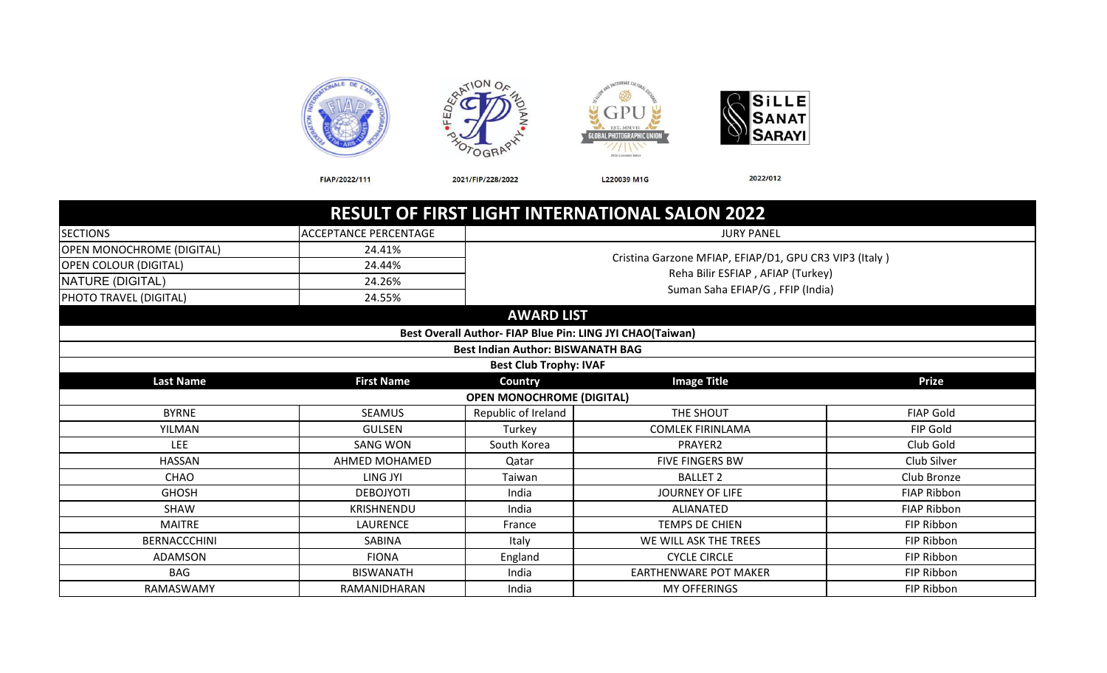

FIAP/2022/111

2021/FIP/228/2022

L220039 M1G

2022/012

|                                  |                              |                                                           | <b>RESULT OF FIRST LIGHT INTERNATIONAL SALON 2022</b>  |                    |
|----------------------------------|------------------------------|-----------------------------------------------------------|--------------------------------------------------------|--------------------|
| <b>SECTIONS</b>                  | <b>ACCEPTANCE PERCENTAGE</b> |                                                           | <b>JURY PANEL</b>                                      |                    |
| <b>OPEN MONOCHROME (DIGITAL)</b> | 24.41%                       |                                                           |                                                        |                    |
| <b>OPEN COLOUR (DIGITAL)</b>     | 24.44%                       |                                                           | Cristina Garzone MFIAP, EFIAP/D1, GPU CR3 VIP3 (Italy) |                    |
| NATURE (DIGITAL)                 | 24.26%                       |                                                           | Reha Bilir ESFIAP, AFIAP (Turkey)                      |                    |
| PHOTO TRAVEL (DIGITAL)           | 24.55%                       |                                                           | Suman Saha EFIAP/G, FFIP (India)                       |                    |
|                                  |                              | <b>AWARD LIST</b>                                         |                                                        |                    |
|                                  |                              | Best Overall Author- FIAP Blue Pin: LING JYI CHAO(Taiwan) |                                                        |                    |
|                                  |                              | <b>Best Indian Author: BISWANATH BAG</b>                  |                                                        |                    |
|                                  |                              | <b>Best Club Trophy: IVAF</b>                             |                                                        |                    |
| <b>Last Name</b>                 | <b>First Name</b>            | Country                                                   | <b>Image Title</b>                                     | <b>Prize</b>       |
|                                  |                              | <b>OPEN MONOCHROME (DIGITAL)</b>                          |                                                        |                    |
| <b>BYRNE</b>                     | <b>SEAMUS</b>                | Republic of Ireland                                       | THE SHOUT                                              | <b>FIAP Gold</b>   |
| <b>YILMAN</b>                    | <b>GULSEN</b>                | Turkey                                                    | <b>COMLEK FIRINLAMA</b>                                | FIP Gold           |
| <b>LEE</b>                       | <b>SANG WON</b>              | South Korea                                               | PRAYER2                                                | Club Gold          |
| <b>HASSAN</b>                    | AHMED MOHAMED                | Qatar                                                     | <b>FIVE FINGERS BW</b>                                 | Club Silver        |
| CHAO                             | LING JYI                     | Taiwan                                                    | <b>BALLET 2</b>                                        | Club Bronze        |
| <b>GHOSH</b>                     | <b>DEBOJYOTI</b>             | India                                                     | JOURNEY OF LIFE                                        | <b>FIAP Ribbon</b> |
| <b>SHAW</b>                      | <b>KRISHNENDU</b>            | India                                                     | ALIANATED                                              | <b>FIAP Ribbon</b> |
| <b>MAITRE</b>                    | LAURENCE                     | France                                                    | <b>TEMPS DE CHIEN</b>                                  | FIP Ribbon         |
| <b>BERNACCCHINI</b>              | <b>SABINA</b>                | Italy                                                     | WE WILL ASK THE TREES                                  | FIP Ribbon         |
| ADAMSON                          | <b>FIONA</b>                 | England                                                   | <b>CYCLE CIRCLE</b>                                    | FIP Ribbon         |
| <b>BAG</b>                       | <b>BISWANATH</b>             | India                                                     | <b>EARTHENWARE POT MAKER</b>                           | FIP Ribbon         |
| RAMASWAMY                        | RAMANIDHARAN                 | India                                                     | <b>MY OFFERINGS</b>                                    | FIP Ribbon         |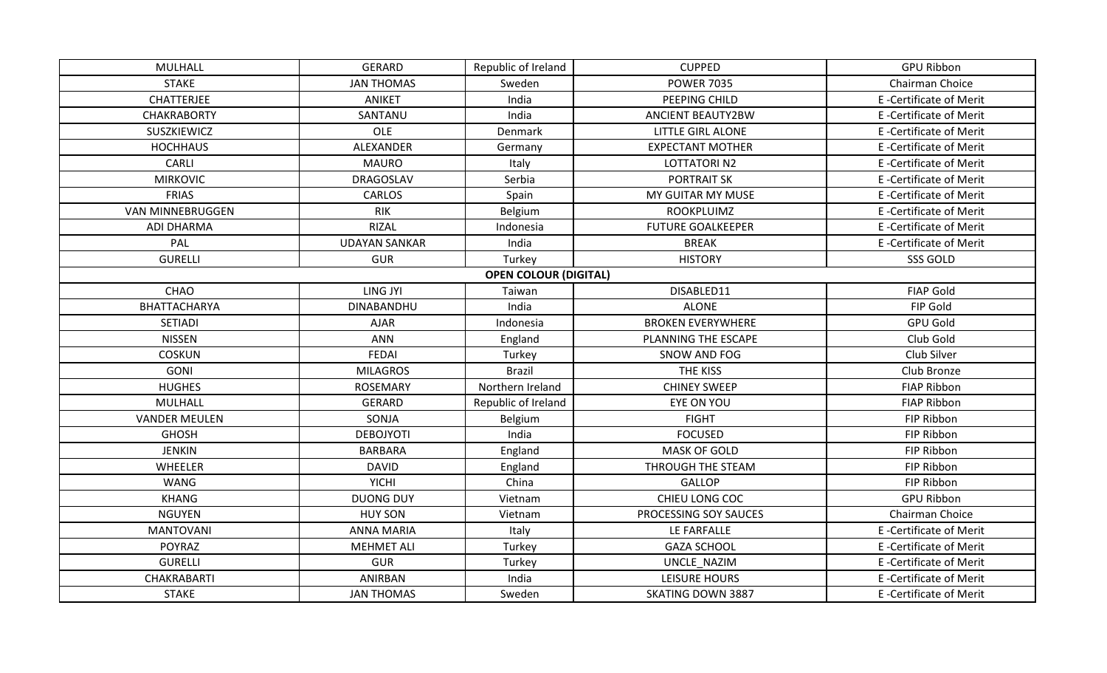| MULHALL                 | <b>GERARD</b>        | Republic of Ireland          | <b>CUPPED</b>            | <b>GPU Ribbon</b>              |
|-------------------------|----------------------|------------------------------|--------------------------|--------------------------------|
| <b>STAKE</b>            | <b>JAN THOMAS</b>    | Sweden                       | <b>POWER 7035</b>        | Chairman Choice                |
| CHATTERJEE              | <b>ANIKET</b>        | India                        | PEEPING CHILD            | E-Certificate of Merit         |
| <b>CHAKRABORTY</b>      | SANTANU              | India                        | <b>ANCIENT BEAUTY2BW</b> | E-Certificate of Merit         |
| SUSZKIEWICZ             | OLE                  | Denmark                      | <b>LITTLE GIRL ALONE</b> | E-Certificate of Merit         |
| <b>HOCHHAUS</b>         | ALEXANDER            | Germany                      | <b>EXPECTANT MOTHER</b>  | E-Certificate of Merit         |
| <b>CARLI</b>            | <b>MAURO</b>         | Italy                        | <b>LOTTATORIN2</b>       | E-Certificate of Merit         |
| <b>MIRKOVIC</b>         | DRAGOSLAV            | Serbia                       | <b>PORTRAIT SK</b>       | E-Certificate of Merit         |
| <b>FRIAS</b>            | CARLOS               | Spain                        | MY GUITAR MY MUSE        | E-Certificate of Merit         |
| <b>VAN MINNEBRUGGEN</b> | <b>RIK</b>           | Belgium                      | ROOKPLUIMZ               | E-Certificate of Merit         |
| ADI DHARMA              | <b>RIZAL</b>         | Indonesia                    | <b>FUTURE GOALKEEPER</b> | E-Certificate of Merit         |
| PAL                     | <b>UDAYAN SANKAR</b> | India                        | <b>BREAK</b>             | E-Certificate of Merit         |
| <b>GURELLI</b>          | <b>GUR</b>           | Turkey                       | <b>HISTORY</b>           | SSS GOLD                       |
|                         |                      | <b>OPEN COLOUR (DIGITAL)</b> |                          |                                |
| <b>CHAO</b>             | <b>LING JYI</b>      | Taiwan                       | DISABLED11               | <b>FIAP Gold</b>               |
| BHATTACHARYA            | DINABANDHU           | India                        | <b>ALONE</b>             | FIP Gold                       |
| <b>SETIADI</b>          | <b>AJAR</b>          | Indonesia                    | <b>BROKEN EVERYWHERE</b> | <b>GPU Gold</b>                |
| <b>NISSEN</b>           | <b>ANN</b>           | England                      | PLANNING THE ESCAPE      | Club Gold                      |
| <b>COSKUN</b>           | <b>FEDAI</b>         | Turkey                       | SNOW AND FOG             | Club Silver                    |
| <b>GONI</b>             | <b>MILAGROS</b>      | <b>Brazil</b>                | THE KISS                 | Club Bronze                    |
| <b>HUGHES</b>           | <b>ROSEMARY</b>      | Northern Ireland             | <b>CHINEY SWEEP</b>      | <b>FIAP Ribbon</b>             |
| MULHALL                 | <b>GERARD</b>        | Republic of Ireland          | EYE ON YOU               | <b>FIAP Ribbon</b>             |
| <b>VANDER MEULEN</b>    | SONJA                | Belgium                      | <b>FIGHT</b>             | FIP Ribbon                     |
| <b>GHOSH</b>            | <b>DEBOJYOTI</b>     | India                        | <b>FOCUSED</b>           | FIP Ribbon                     |
| <b>JENKIN</b>           | <b>BARBARA</b>       | England                      | <b>MASK OF GOLD</b>      | FIP Ribbon                     |
| WHEELER                 | <b>DAVID</b>         | England                      | THROUGH THE STEAM        | FIP Ribbon                     |
| <b>WANG</b>             | <b>YICHI</b>         | China                        | <b>GALLOP</b>            | FIP Ribbon                     |
| <b>KHANG</b>            | <b>DUONG DUY</b>     | Vietnam                      | CHIEU LONG COC           | <b>GPU Ribbon</b>              |
| <b>NGUYEN</b>           | <b>HUY SON</b>       | Vietnam                      | PROCESSING SOY SAUCES    | Chairman Choice                |
| <b>MANTOVANI</b>        | <b>ANNA MARIA</b>    | Italy                        | LE FARFALLE              | <b>E</b> -Certificate of Merit |
| <b>POYRAZ</b>           | <b>MEHMET ALI</b>    | Turkey                       | <b>GAZA SCHOOL</b>       | E-Certificate of Merit         |
| <b>GURELLI</b>          | <b>GUR</b>           | Turkey                       | UNCLE NAZIM              | E-Certificate of Merit         |
| CHAKRABARTI             | ANIRBAN              | India                        | <b>LEISURE HOURS</b>     | E-Certificate of Merit         |
| <b>STAKE</b>            | <b>JAN THOMAS</b>    | Sweden                       | <b>SKATING DOWN 3887</b> | E-Certificate of Merit         |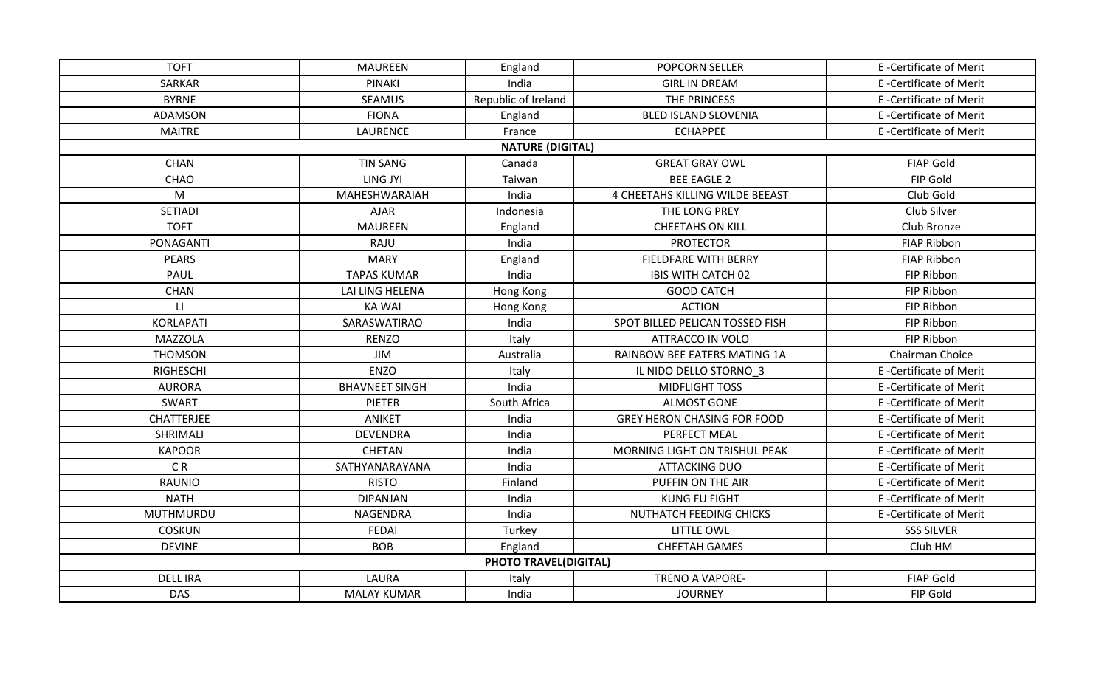| <b>TOFT</b>       | <b>MAUREEN</b>        | England                      | <b>POPCORN SELLER</b>              | E-Certificate of Merit |
|-------------------|-----------------------|------------------------------|------------------------------------|------------------------|
| SARKAR            | <b>PINAKI</b>         | India                        | <b>GIRL IN DREAM</b>               | E-Certificate of Merit |
| <b>BYRNE</b>      | SEAMUS                | Republic of Ireland          | THE PRINCESS                       | E-Certificate of Merit |
| <b>ADAMSON</b>    | <b>FIONA</b>          | England                      | <b>BLED ISLAND SLOVENIA</b>        | E-Certificate of Merit |
| <b>MAITRE</b>     | <b>LAURENCE</b>       | France                       | <b>ECHAPPEE</b>                    | E-Certificate of Merit |
|                   |                       | <b>NATURE (DIGITAL)</b>      |                                    |                        |
| <b>CHAN</b>       | <b>TIN SANG</b>       | Canada                       | <b>GREAT GRAY OWL</b>              | <b>FIAP Gold</b>       |
| CHAO              | LING JYI              | Taiwan                       | <b>BEE EAGLE 2</b>                 | FIP Gold               |
| M                 | MAHESHWARAIAH         | India                        | 4 CHEETAHS KILLING WILDE BEEAST    | Club Gold              |
| SETIADI           | AJAR                  | Indonesia                    | THE LONG PREY                      | Club Silver            |
| <b>TOFT</b>       | <b>MAUREEN</b>        | England                      | <b>CHEETAHS ON KILL</b>            | Club Bronze            |
| PONAGANTI         | RAJU                  | India                        | <b>PROTECTOR</b>                   | <b>FIAP Ribbon</b>     |
| <b>PEARS</b>      | <b>MARY</b>           | England                      | <b>FIELDFARE WITH BERRY</b>        | <b>FIAP Ribbon</b>     |
| PAUL              | <b>TAPAS KUMAR</b>    | India                        | <b>IBIS WITH CATCH 02</b>          | FIP Ribbon             |
| <b>CHAN</b>       | LAI LING HELENA       | Hong Kong                    | <b>GOOD CATCH</b>                  | FIP Ribbon             |
| $\mathsf{L}$      | <b>KA WAI</b>         | Hong Kong                    | <b>ACTION</b>                      | FIP Ribbon             |
| KORLAPATI         | SARASWATIRAO          | India                        | SPOT BILLED PELICAN TOSSED FISH    | FIP Ribbon             |
| <b>MAZZOLA</b>    | <b>RENZO</b>          | Italy                        | ATTRACCO IN VOLO                   | FIP Ribbon             |
| <b>THOMSON</b>    | JIM                   | Australia                    | RAINBOW BEE EATERS MATING 1A       | Chairman Choice        |
| <b>RIGHESCHI</b>  | <b>ENZO</b>           | Italy                        | IL NIDO DELLO STORNO 3             | E-Certificate of Merit |
| <b>AURORA</b>     | <b>BHAVNEET SINGH</b> | India                        | <b>MIDFLIGHT TOSS</b>              | E-Certificate of Merit |
| <b>SWART</b>      | <b>PIETER</b>         | South Africa                 | <b>ALMOST GONE</b>                 | E-Certificate of Merit |
| <b>CHATTERJEE</b> | ANIKET                | India                        | <b>GREY HERON CHASING FOR FOOD</b> | E-Certificate of Merit |
| SHRIMALI          | <b>DEVENDRA</b>       | India                        | PERFECT MEAL                       | E-Certificate of Merit |
| <b>KAPOOR</b>     | <b>CHETAN</b>         | India                        | MORNING LIGHT ON TRISHUL PEAK      | E-Certificate of Merit |
| CR                | SATHYANARAYANA        | India                        | <b>ATTACKING DUO</b>               | E-Certificate of Merit |
| <b>RAUNIO</b>     | <b>RISTO</b>          | Finland                      | PUFFIN ON THE AIR                  | E-Certificate of Merit |
| <b>NATH</b>       | <b>DIPANJAN</b>       | India                        | <b>KUNG FU FIGHT</b>               | E-Certificate of Merit |
| MUTHMURDU         | NAGENDRA              | India                        | NUTHATCH FEEDING CHICKS            | E-Certificate of Merit |
| <b>COSKUN</b>     | <b>FEDAI</b>          | Turkey                       | <b>LITTLE OWL</b>                  | <b>SSS SILVER</b>      |
| <b>DEVINE</b>     | <b>BOB</b>            | England                      | <b>CHEETAH GAMES</b>               | Club HM                |
|                   |                       | <b>PHOTO TRAVEL(DIGITAL)</b> |                                    |                        |
| <b>DELL IRA</b>   | LAURA                 | Italy                        | TRENO A VAPORE-                    | <b>FIAP Gold</b>       |
| <b>DAS</b>        | <b>MALAY KUMAR</b>    | India                        | <b>JOURNEY</b>                     | FIP Gold               |
|                   |                       |                              |                                    |                        |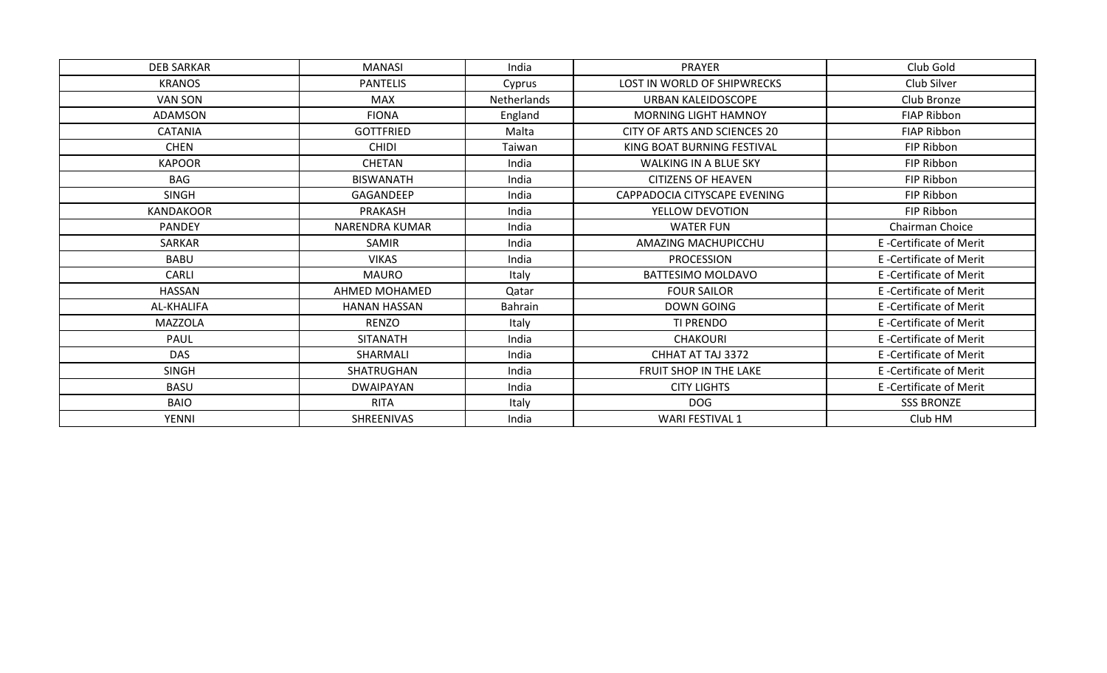| <b>DEB SARKAR</b> | <b>MANASI</b>         | India          | <b>PRAYER</b>                       | Club Gold              |
|-------------------|-----------------------|----------------|-------------------------------------|------------------------|
| <b>KRANOS</b>     | <b>PANTELIS</b>       | Cyprus         | LOST IN WORLD OF SHIPWRECKS         | Club Silver            |
| VAN SON           | <b>MAX</b>            | Netherlands    | URBAN KALEIDOSCOPE                  | Club Bronze            |
| <b>ADAMSON</b>    | <b>FIONA</b>          | England        | <b>MORNING LIGHT HAMNOY</b>         | <b>FIAP Ribbon</b>     |
| <b>CATANIA</b>    | <b>GOTTFRIED</b>      | Malta          | <b>CITY OF ARTS AND SCIENCES 20</b> | <b>FIAP Ribbon</b>     |
| <b>CHEN</b>       | <b>CHIDI</b>          | Taiwan         | KING BOAT BURNING FESTIVAL          | FIP Ribbon             |
| <b>KAPOOR</b>     | CHETAN                | India          | <b>WALKING IN A BLUE SKY</b>        | FIP Ribbon             |
| <b>BAG</b>        | <b>BISWANATH</b>      | India          | <b>CITIZENS OF HEAVEN</b>           | FIP Ribbon             |
| <b>SINGH</b>      | GAGANDEEP             | India          | CAPPADOCIA CITYSCAPE EVENING        | FIP Ribbon             |
| <b>KANDAKOOR</b>  | PRAKASH               | India          | YELLOW DEVOTION                     | FIP Ribbon             |
| <b>PANDEY</b>     | <b>NARENDRA KUMAR</b> | India          | <b>WATER FUN</b>                    | Chairman Choice        |
| <b>SARKAR</b>     | <b>SAMIR</b>          | India          | AMAZING MACHUPICCHU                 | E-Certificate of Merit |
| <b>BABU</b>       | <b>VIKAS</b>          | India          | <b>PROCESSION</b>                   | E-Certificate of Merit |
| CARLI             | <b>MAURO</b>          | Italy          | <b>BATTESIMO MOLDAVO</b>            | E-Certificate of Merit |
| <b>HASSAN</b>     | AHMED MOHAMED         | Qatar          | <b>FOUR SAILOR</b>                  | E-Certificate of Merit |
| AL-KHALIFA        | <b>HANAN HASSAN</b>   | <b>Bahrain</b> | DOWN GOING                          | E-Certificate of Merit |
| <b>MAZZOLA</b>    | <b>RENZO</b>          | Italy          | TI PRENDO                           | E-Certificate of Merit |
| <b>PAUL</b>       | <b>SITANATH</b>       | India          | <b>CHAKOURI</b>                     | E-Certificate of Merit |
| <b>DAS</b>        | SHARMALI              | India          | CHHAT AT TAJ 3372                   | E-Certificate of Merit |
| <b>SINGH</b>      | SHATRUGHAN            | India          | FRUIT SHOP IN THE LAKE              | E-Certificate of Merit |
| <b>BASU</b>       | <b>DWAIPAYAN</b>      | India          | <b>CITY LIGHTS</b>                  | E-Certificate of Merit |
| <b>BAIO</b>       | <b>RITA</b>           | Italy          | <b>DOG</b>                          | <b>SSS BRONZE</b>      |
| <b>YENNI</b>      | SHREENIVAS            | India          | <b>WARI FESTIVAL 1</b>              | Club HM                |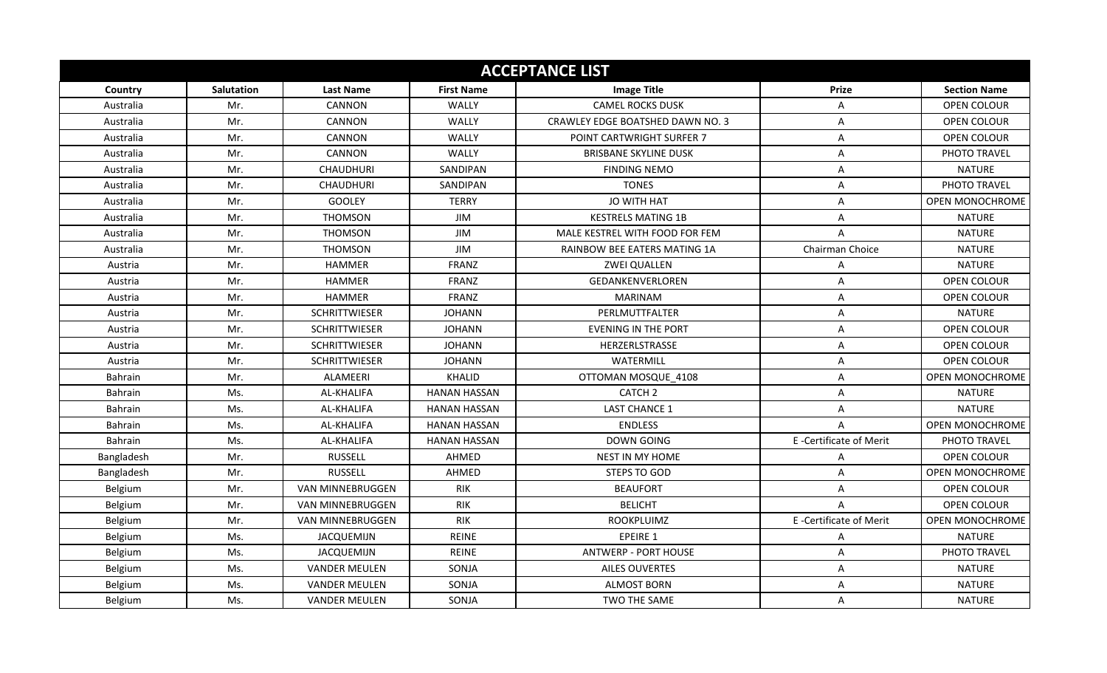|                   |                   |                         |                     | <b>ACCEPTANCE LIST</b>           |                        |                        |
|-------------------|-------------------|-------------------------|---------------------|----------------------------------|------------------------|------------------------|
| Country           | <b>Salutation</b> | <b>Last Name</b>        | <b>First Name</b>   | <b>Image Title</b>               | <b>Prize</b>           | <b>Section Name</b>    |
| Australia         | Mr.               | CANNON                  | WALLY               | <b>CAMEL ROCKS DUSK</b>          | A                      | <b>OPEN COLOUR</b>     |
| Australia         | Mr.               | CANNON                  | WALLY               | CRAWLEY EDGE BOATSHED DAWN NO. 3 | A                      | <b>OPEN COLOUR</b>     |
| Australia         | Mr.               | CANNON                  | WALLY               | POINT CARTWRIGHT SURFER 7        | Α                      | <b>OPEN COLOUR</b>     |
| Australia         | Mr.               | CANNON                  | <b>WALLY</b>        | <b>BRISBANE SKYLINE DUSK</b>     | A                      | PHOTO TRAVEL           |
| Australia         | Mr.               | <b>CHAUDHURI</b>        | SANDIPAN            | <b>FINDING NEMO</b>              | A                      | <b>NATURE</b>          |
| Australia         | Mr.               | <b>CHAUDHURI</b>        | <b>SANDIPAN</b>     | <b>TONES</b>                     | A                      | PHOTO TRAVEL           |
| Australia         | Mr.               | <b>GOOLEY</b>           | <b>TERRY</b>        | JO WITH HAT                      | Α                      | OPEN MONOCHROME        |
| Australia         | Mr.               | <b>THOMSON</b>          | JIM                 | <b>KESTRELS MATING 1B</b>        | A                      | <b>NATURE</b>          |
| Australia         | Mr.               | <b>THOMSON</b>          | JIM                 | MALE KESTREL WITH FOOD FOR FEM   | A                      | <b>NATURE</b>          |
| Australia         | Mr.               | <b>THOMSON</b>          | JIM                 | RAINBOW BEE EATERS MATING 1A     | Chairman Choice        | <b>NATURE</b>          |
| Austria           | Mr.               | <b>HAMMER</b>           | FRANZ               | <b>ZWEI QUALLEN</b>              | A                      | <b>NATURE</b>          |
| Austria           | Mr.               | <b>HAMMER</b>           | <b>FRANZ</b>        | <b>GEDANKENVERLOREN</b>          | A                      | <b>OPEN COLOUR</b>     |
| Austria           | Mr.               | <b>HAMMER</b>           | FRANZ               | <b>MARINAM</b>                   | Α                      | OPEN COLOUR            |
| Austria           | Mr.               | <b>SCHRITTWIESER</b>    | <b>JOHANN</b>       | PERLMUTTFALTER                   | Α                      | <b>NATURE</b>          |
| Austria           | Mr.               | <b>SCHRITTWIESER</b>    | <b>JOHANN</b>       | <b>EVENING IN THE PORT</b>       | A                      | <b>OPEN COLOUR</b>     |
| Austria           | Mr.               | <b>SCHRITTWIESER</b>    | <b>JOHANN</b>       | HERZERLSTRASSE                   | A                      | <b>OPEN COLOUR</b>     |
| Austria           | Mr.               | <b>SCHRITTWIESER</b>    | <b>JOHANN</b>       | <b>WATERMILL</b>                 | A                      | <b>OPEN COLOUR</b>     |
| <b>Bahrain</b>    | Mr.               | <b>ALAMEERI</b>         | <b>KHALID</b>       | OTTOMAN MOSQUE 4108              | A                      | <b>OPEN MONOCHROME</b> |
| Bahrain           | Ms.               | AL-KHALIFA              | <b>HANAN HASSAN</b> | CATCH <sub>2</sub>               | A                      | <b>NATURE</b>          |
| Bahrain           | Ms.               | AL-KHALIFA              | <b>HANAN HASSAN</b> | <b>LAST CHANCE 1</b>             | A                      | <b>NATURE</b>          |
| Bahrain           | Ms.               | AL-KHALIFA              | <b>HANAN HASSAN</b> | <b>ENDLESS</b>                   | $\overline{A}$         | <b>OPEN MONOCHROME</b> |
| Bahrain           | Ms.               | AL-KHALIFA              | <b>HANAN HASSAN</b> | <b>DOWN GOING</b>                | E-Certificate of Merit | PHOTO TRAVEL           |
| Bangladesh        | Mr.               | <b>RUSSELL</b>          | AHMED               | <b>NEST IN MY HOME</b>           | A                      | <b>OPEN COLOUR</b>     |
| <b>Bangladesh</b> | Mr.               | <b>RUSSELL</b>          | <b>AHMED</b>        | STEPS TO GOD                     | A                      | <b>OPEN MONOCHROME</b> |
| Belgium           | Mr.               | <b>VAN MINNEBRUGGEN</b> | <b>RIK</b>          | <b>BEAUFORT</b>                  | A                      | <b>OPEN COLOUR</b>     |
| Belgium           | Mr.               | <b>VAN MINNEBRUGGEN</b> | RIK                 | <b>BELICHT</b>                   | A                      | <b>OPEN COLOUR</b>     |
| Belgium           | Mr.               | <b>VAN MINNEBRUGGEN</b> | <b>RIK</b>          | ROOKPLUIMZ                       | E-Certificate of Merit | <b>OPEN MONOCHROME</b> |
| Belgium           | Ms.               | <b>JACQUEMIJN</b>       | <b>REINE</b>        | <b>EPEIRE 1</b>                  | A                      | <b>NATURE</b>          |
| Belgium           | Ms.               | <b>JACQUEMIJN</b>       | <b>REINE</b>        | <b>ANTWERP - PORT HOUSE</b>      | A                      | PHOTO TRAVEL           |
| Belgium           | Ms.               | <b>VANDER MEULEN</b>    | SONJA               | <b>AILES OUVERTES</b>            | A                      | <b>NATURE</b>          |
| Belgium           | Ms.               | <b>VANDER MEULEN</b>    | SONJA               | <b>ALMOST BORN</b>               | Α                      | <b>NATURE</b>          |
| Belgium           | Ms.               | <b>VANDER MEULEN</b>    | SONJA               | TWO THE SAME                     | A                      | <b>NATURE</b>          |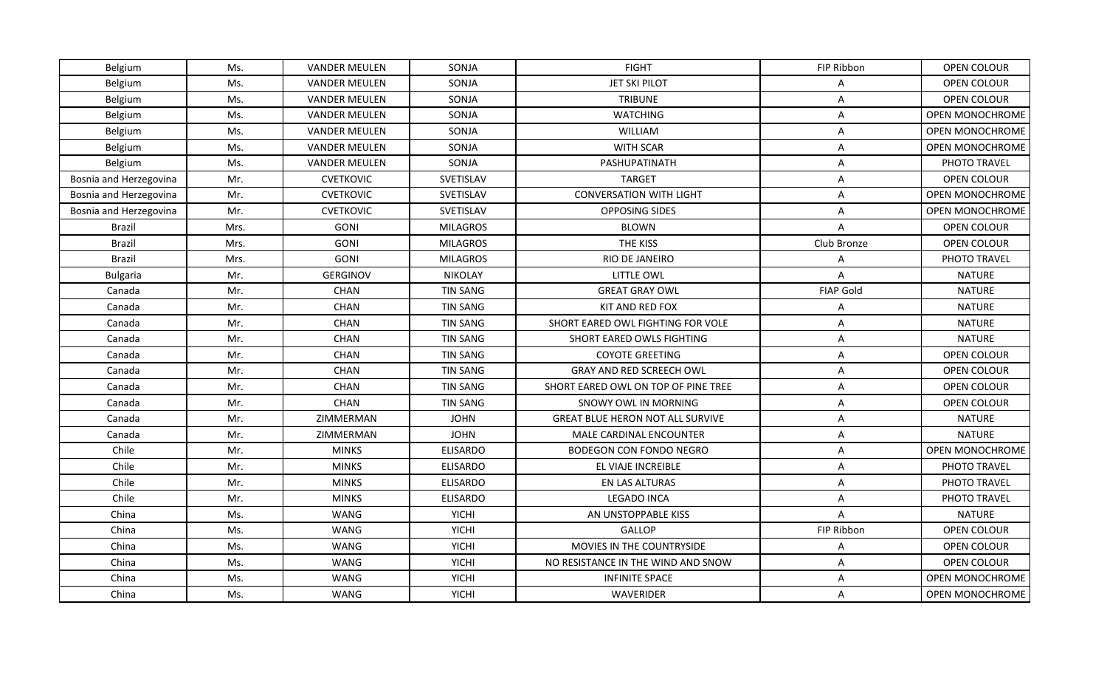| Belgium                | Ms.  | <b>VANDER MEULEN</b> | SONJA           | <b>FIGHT</b>                            | FIP Ribbon       | <b>OPEN COLOUR</b>     |
|------------------------|------|----------------------|-----------------|-----------------------------------------|------------------|------------------------|
| Belgium                | Ms.  | <b>VANDER MEULEN</b> | SONJA           | <b>JET SKI PILOT</b>                    | A                | <b>OPEN COLOUR</b>     |
| Belgium                | Ms.  | <b>VANDER MEULEN</b> | SONJA           | <b>TRIBUNE</b>                          | Α                | OPEN COLOUR            |
| Belgium                | Ms.  | <b>VANDER MEULEN</b> | SONJA           | <b>WATCHING</b>                         | A                | OPEN MONOCHROME        |
| Belgium                | Ms.  | <b>VANDER MEULEN</b> | SONJA           | WILLIAM                                 | A                | OPEN MONOCHROME        |
| Belgium                | Ms.  | <b>VANDER MEULEN</b> | SONJA           | WITH SCAR                               | Α                | <b>OPEN MONOCHROME</b> |
| Belgium                | Ms.  | <b>VANDER MEULEN</b> | SONJA           | PASHUPATINATH                           | A                | PHOTO TRAVEL           |
| Bosnia and Herzegovina | Mr.  | <b>CVETKOVIC</b>     | SVETISLAV       | <b>TARGET</b>                           | A                | OPEN COLOUR            |
| Bosnia and Herzegovina | Mr.  | <b>CVETKOVIC</b>     | SVETISLAV       | <b>CONVERSATION WITH LIGHT</b>          | A                | OPEN MONOCHROME        |
| Bosnia and Herzegovina | Mr.  | <b>CVETKOVIC</b>     | SVETISLAV       | OPPOSING SIDES                          | A                | OPEN MONOCHROME        |
| <b>Brazil</b>          | Mrs. | GONI                 | <b>MILAGROS</b> | <b>BLOWN</b>                            | A                | OPEN COLOUR            |
| <b>Brazil</b>          | Mrs. | <b>GONI</b>          | <b>MILAGROS</b> | THE KISS                                | Club Bronze      | OPEN COLOUR            |
| <b>Brazil</b>          | Mrs. | <b>GONI</b>          | <b>MILAGROS</b> | RIO DE JANEIRO                          | A                | PHOTO TRAVEL           |
| <b>Bulgaria</b>        | Mr.  | <b>GERGINOV</b>      | <b>NIKOLAY</b>  | <b>LITTLE OWL</b>                       | A                | <b>NATURE</b>          |
| Canada                 | Mr.  | CHAN                 | <b>TIN SANG</b> | <b>GREAT GRAY OWL</b>                   | <b>FIAP Gold</b> | <b>NATURE</b>          |
| Canada                 | Mr.  | CHAN                 | <b>TIN SANG</b> | KIT AND RED FOX                         | Α                | <b>NATURE</b>          |
| Canada                 | Mr.  | CHAN                 | <b>TIN SANG</b> | SHORT EARED OWL FIGHTING FOR VOLE       | A                | <b>NATURE</b>          |
| Canada                 | Mr.  | CHAN                 | <b>TIN SANG</b> | SHORT EARED OWLS FIGHTING               | A                | <b>NATURE</b>          |
| Canada                 | Mr.  | <b>CHAN</b>          | <b>TIN SANG</b> | <b>COYOTE GREETING</b>                  | A                | OPEN COLOUR            |
| Canada                 | Mr.  | CHAN                 | <b>TIN SANG</b> | GRAY AND RED SCREECH OWL                | A                | OPEN COLOUR            |
| Canada                 | Mr.  | CHAN                 | <b>TIN SANG</b> | SHORT EARED OWL ON TOP OF PINE TREE     | Α                | OPEN COLOUR            |
| Canada                 | Mr.  | CHAN                 | <b>TIN SANG</b> | SNOWY OWL IN MORNING                    | A                | <b>OPEN COLOUR</b>     |
| Canada                 | Mr.  | ZIMMERMAN            | <b>JOHN</b>     | <b>GREAT BLUE HERON NOT ALL SURVIVE</b> | Α                | <b>NATURE</b>          |
| Canada                 | Mr.  | ZIMMERMAN            | <b>JOHN</b>     | <b>MALE CARDINAL ENCOUNTER</b>          | A                | <b>NATURE</b>          |
| Chile                  | Mr.  | <b>MINKS</b>         | <b>ELISARDO</b> | BODEGON CON FONDO NEGRO                 | A                | OPEN MONOCHROME        |
| Chile                  | Mr.  | <b>MINKS</b>         | <b>ELISARDO</b> | EL VIAJE INCREIBLE                      | Α                | PHOTO TRAVEL           |
| Chile                  | Mr.  | <b>MINKS</b>         | <b>ELISARDO</b> | EN LAS ALTURAS                          | A                | PHOTO TRAVEL           |
| Chile                  | Mr.  | <b>MINKS</b>         | <b>ELISARDO</b> | <b>LEGADO INCA</b>                      | Α                | PHOTO TRAVEL           |
| China                  | Ms.  | <b>WANG</b>          | <b>YICHI</b>    | AN UNSTOPPABLE KISS                     | A                | <b>NATURE</b>          |
| China                  | Ms.  | <b>WANG</b>          | <b>YICHI</b>    | GALLOP                                  | FIP Ribbon       | OPEN COLOUR            |
| China                  | Ms.  | <b>WANG</b>          | <b>YICHI</b>    | MOVIES IN THE COUNTRYSIDE               | Α                | OPEN COLOUR            |
| China                  | Ms.  | WANG                 | <b>YICHI</b>    | NO RESISTANCE IN THE WIND AND SNOW      | A                | OPEN COLOUR            |
| China                  | Ms.  | <b>WANG</b>          | <b>YICHI</b>    | <b>INFINITE SPACE</b>                   | A                | OPEN MONOCHROME        |
| China                  | Ms.  | WANG                 | <b>YICHI</b>    | WAVERIDER                               | A                | OPEN MONOCHROME        |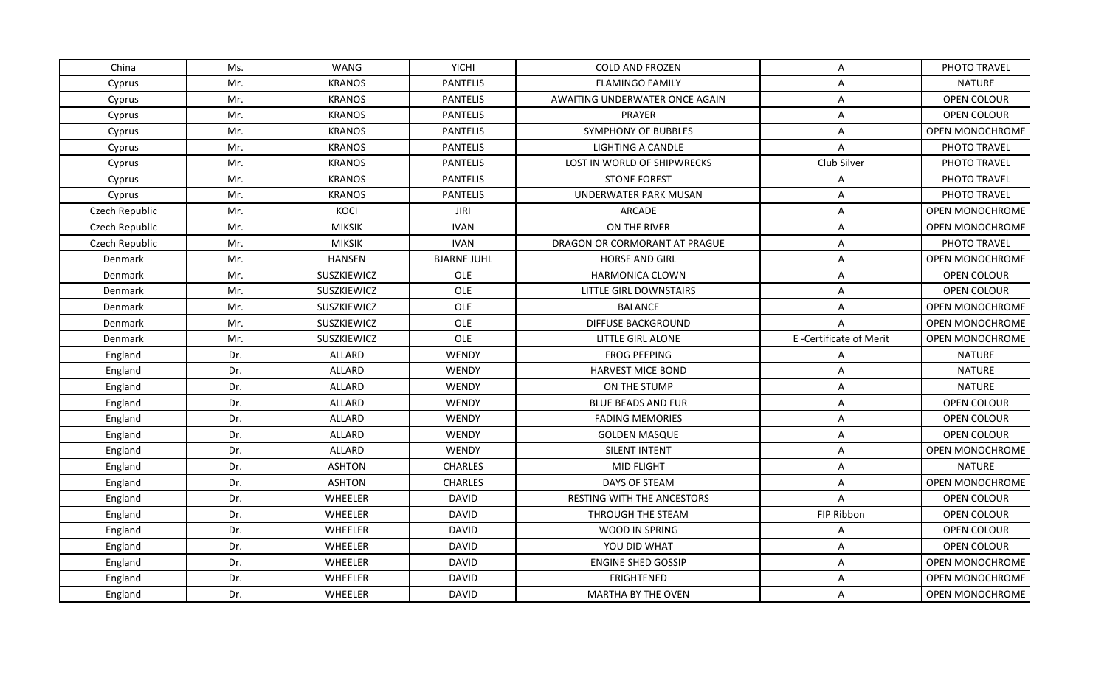| China          | Ms. | WANG           | <b>YICHI</b>       | <b>COLD AND FROZEN</b>         | A                      | PHOTO TRAVEL       |
|----------------|-----|----------------|--------------------|--------------------------------|------------------------|--------------------|
| Cyprus         | Mr. | <b>KRANOS</b>  | <b>PANTELIS</b>    | <b>FLAMINGO FAMILY</b>         | A                      | <b>NATURE</b>      |
| Cyprus         | Mr. | <b>KRANOS</b>  | <b>PANTELIS</b>    | AWAITING UNDERWATER ONCE AGAIN | A                      | OPEN COLOUR        |
| Cyprus         | Mr. | <b>KRANOS</b>  | <b>PANTELIS</b>    | <b>PRAYER</b>                  | Α                      | OPEN COLOUR        |
| Cyprus         | Mr. | <b>KRANOS</b>  | <b>PANTELIS</b>    | SYMPHONY OF BUBBLES            | Α                      | OPEN MONOCHROME    |
| Cyprus         | Mr. | <b>KRANOS</b>  | <b>PANTELIS</b>    | LIGHTING A CANDLE              | A                      | PHOTO TRAVEL       |
| Cyprus         | Mr. | <b>KRANOS</b>  | <b>PANTELIS</b>    | LOST IN WORLD OF SHIPWRECKS    | Club Silver            | PHOTO TRAVEL       |
| Cyprus         | Mr. | <b>KRANOS</b>  | <b>PANTELIS</b>    | <b>STONE FOREST</b>            | Α                      | PHOTO TRAVEL       |
| Cyprus         | Mr. | <b>KRANOS</b>  | <b>PANTELIS</b>    | UNDERWATER PARK MUSAN          | A                      | PHOTO TRAVEL       |
| Czech Republic | Mr. | KOCI           | <b>JIRI</b>        | ARCADE                         | Α                      | OPEN MONOCHROME    |
| Czech Republic | Mr. | <b>MIKSIK</b>  | <b>IVAN</b>        | ON THE RIVER                   | A                      | OPEN MONOCHROME    |
| Czech Republic | Mr. | <b>MIKSIK</b>  | <b>IVAN</b>        | DRAGON OR CORMORANT AT PRAGUE  | Α                      | PHOTO TRAVEL       |
| Denmark        | Mr. | <b>HANSEN</b>  | <b>BJARNE JUHL</b> | <b>HORSE AND GIRL</b>          | Α                      | OPEN MONOCHROME    |
| Denmark        | Mr. | SUSZKIEWICZ    | OLE                | <b>HARMONICA CLOWN</b>         | Α                      | OPEN COLOUR        |
| Denmark        | Mr. | SUSZKIEWICZ    | OLE                | LITTLE GIRL DOWNSTAIRS         | Α                      | OPEN COLOUR        |
| Denmark        | Mr. | SUSZKIEWICZ    | OLE                | <b>BALANCE</b>                 | A                      | OPEN MONOCHROME    |
| Denmark        | Mr. | SUSZKIEWICZ    | OLE                | <b>DIFFUSE BACKGROUND</b>      | A                      | OPEN MONOCHROME    |
| Denmark        | Mr. | SUSZKIEWICZ    | OLE                | LITTLE GIRL ALONE              | E-Certificate of Merit | OPEN MONOCHROME    |
| England        | Dr. | ALLARD         | <b>WENDY</b>       | <b>FROG PEEPING</b>            | A                      | <b>NATURE</b>      |
| England        | Dr. | <b>ALLARD</b>  | <b>WENDY</b>       | <b>HARVEST MICE BOND</b>       | Α                      | <b>NATURE</b>      |
| England        | Dr. | <b>ALLARD</b>  | <b>WENDY</b>       | ON THE STUMP                   | A                      | <b>NATURE</b>      |
| England        | Dr. | <b>ALLARD</b>  | <b>WENDY</b>       | <b>BLUE BEADS AND FUR</b>      | Α                      | OPEN COLOUR        |
| England        | Dr. | <b>ALLARD</b>  | <b>WENDY</b>       | <b>FADING MEMORIES</b>         | Α                      | <b>OPEN COLOUR</b> |
| England        | Dr. | <b>ALLARD</b>  | WENDY              | <b>GOLDEN MASQUE</b>           | Α                      | OPEN COLOUR        |
| England        | Dr. | ALLARD         | <b>WENDY</b>       | <b>SILENT INTENT</b>           | Α                      | OPEN MONOCHROME    |
| England        | Dr. | <b>ASHTON</b>  | <b>CHARLES</b>     | MID FLIGHT                     | A                      | <b>NATURE</b>      |
| England        | Dr. | <b>ASHTON</b>  | CHARLES            | DAYS OF STEAM                  | Α                      | OPEN MONOCHROME    |
| England        | Dr. | WHEELER        | <b>DAVID</b>       | RESTING WITH THE ANCESTORS     | A                      | OPEN COLOUR        |
| England        | Dr. | WHEELER        | <b>DAVID</b>       | THROUGH THE STEAM              | FIP Ribbon             | OPEN COLOUR        |
| England        | Dr. | WHEELER        | DAVID              | WOOD IN SPRING                 | A                      | OPEN COLOUR        |
| England        | Dr. | WHEELER        | <b>DAVID</b>       | YOU DID WHAT                   | A                      | OPEN COLOUR        |
| England        | Dr. | WHEELER        | <b>DAVID</b>       | <b>ENGINE SHED GOSSIP</b>      | Α                      | OPEN MONOCHROME    |
| England        | Dr. | WHEELER        | <b>DAVID</b>       | <b>FRIGHTENED</b>              | A                      | OPEN MONOCHROME    |
| England        | Dr. | <b>WHEELER</b> | <b>DAVID</b>       | <b>MARTHA BY THE OVEN</b>      | A                      | OPEN MONOCHROME    |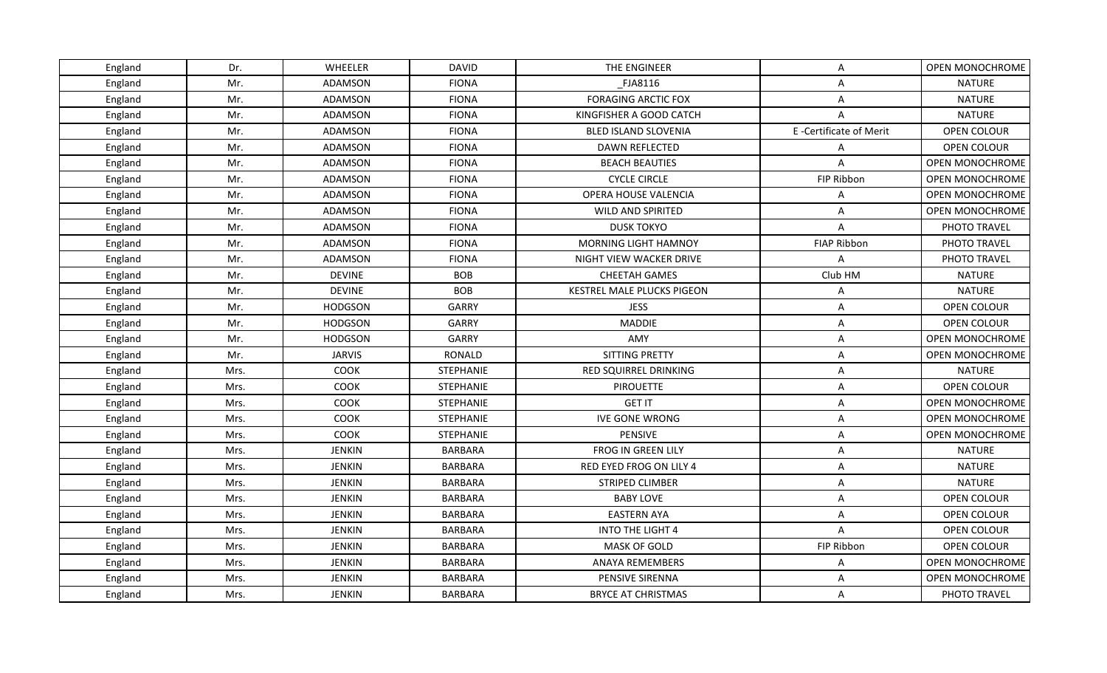| England | Dr.  | <b>WHEELER</b> | <b>DAVID</b>     | THE ENGINEER                | A                      | OPEN MONOCHROME    |
|---------|------|----------------|------------------|-----------------------------|------------------------|--------------------|
| England | Mr.  | ADAMSON        | <b>FIONA</b>     | FJA8116                     | Α                      | <b>NATURE</b>      |
| England | Mr.  | ADAMSON        | <b>FIONA</b>     | <b>FORAGING ARCTIC FOX</b>  | Α                      | <b>NATURE</b>      |
| England | Mr.  | ADAMSON        | <b>FIONA</b>     | KINGFISHER A GOOD CATCH     | A                      | <b>NATURE</b>      |
| England | Mr.  | ADAMSON        | <b>FIONA</b>     | <b>BLED ISLAND SLOVENIA</b> | E-Certificate of Merit | OPEN COLOUR        |
| England | Mr.  | ADAMSON        | <b>FIONA</b>     | <b>DAWN REFLECTED</b>       | A                      | OPEN COLOUR        |
| England | Mr.  | ADAMSON        | <b>FIONA</b>     | <b>BEACH BEAUTIES</b>       | A                      | OPEN MONOCHROME    |
| England | Mr.  | ADAMSON        | <b>FIONA</b>     | <b>CYCLE CIRCLE</b>         | FIP Ribbon             | OPEN MONOCHROME    |
| England | Mr.  | ADAMSON        | <b>FIONA</b>     | OPERA HOUSE VALENCIA        | Α                      | OPEN MONOCHROME    |
| England | Mr.  | ADAMSON        | <b>FIONA</b>     | <b>WILD AND SPIRITED</b>    | Α                      | OPEN MONOCHROME    |
| England | Mr.  | ADAMSON        | <b>FIONA</b>     | <b>DUSK TOKYO</b>           | A                      | PHOTO TRAVEL       |
| England | Mr.  | ADAMSON        | <b>FIONA</b>     | MORNING LIGHT HAMNOY        | FIAP Ribbon            | PHOTO TRAVEL       |
| England | Mr.  | ADAMSON        | <b>FIONA</b>     | NIGHT VIEW WACKER DRIVE     | A                      | PHOTO TRAVEL       |
| England | Mr.  | <b>DEVINE</b>  | <b>BOB</b>       | <b>CHEETAH GAMES</b>        | Club HM                | <b>NATURE</b>      |
| England | Mr.  | <b>DEVINE</b>  | <b>BOB</b>       | KESTREL MALE PLUCKS PIGEON  | Α                      | <b>NATURE</b>      |
| England | Mr.  | <b>HODGSON</b> | <b>GARRY</b>     | <b>JESS</b>                 | A                      | OPEN COLOUR        |
| England | Mr.  | <b>HODGSON</b> | <b>GARRY</b>     | <b>MADDIE</b>               | Α                      | OPEN COLOUR        |
| England | Mr.  | <b>HODGSON</b> | <b>GARRY</b>     | AMY                         | Α                      | OPEN MONOCHROME    |
| England | Mr.  | <b>JARVIS</b>  | RONALD           | SITTING PRETTY              | A                      | OPEN MONOCHROME    |
| England | Mrs. | COOK           | <b>STEPHANIE</b> | RED SQUIRREL DRINKING       | Α                      | <b>NATURE</b>      |
| England | Mrs. | <b>COOK</b>    | STEPHANIE        | <b>PIROUETTE</b>            | A                      | OPEN COLOUR        |
| England | Mrs. | COOK           | <b>STEPHANIE</b> | <b>GET IT</b>               | Α                      | OPEN MONOCHROME    |
| England | Mrs. | COOK           | <b>STEPHANIE</b> | <b>IVE GONE WRONG</b>       | Α                      | OPEN MONOCHROME    |
| England | Mrs. | COOK           | <b>STEPHANIE</b> | <b>PENSIVE</b>              | Α                      | OPEN MONOCHROME    |
| England | Mrs. | JENKIN         | <b>BARBARA</b>   | <b>FROG IN GREEN LILY</b>   | Α                      | <b>NATURE</b>      |
| England | Mrs. | JENKIN         | <b>BARBARA</b>   | RED EYED FROG ON LILY 4     | A                      | <b>NATURE</b>      |
| England | Mrs. | JENKIN         | <b>BARBARA</b>   | STRIPED CLIMBER             | Α                      | <b>NATURE</b>      |
| England | Mrs. | <b>JENKIN</b>  | <b>BARBARA</b>   | <b>BABY LOVE</b>            | Α                      | <b>OPEN COLOUR</b> |
| England | Mrs. | JENKIN         | <b>BARBARA</b>   | <b>EASTERN AYA</b>          | Α                      | OPEN COLOUR        |
| England | Mrs. | JENKIN         | <b>BARBARA</b>   | <b>INTO THE LIGHT 4</b>     | A                      | <b>OPEN COLOUR</b> |
| England | Mrs. | JENKIN         | <b>BARBARA</b>   | MASK OF GOLD                | FIP Ribbon             | OPEN COLOUR        |
| England | Mrs. | JENKIN         | <b>BARBARA</b>   | ANAYA REMEMBERS             | Α                      | OPEN MONOCHROME    |
| England | Mrs. | <b>JENKIN</b>  | <b>BARBARA</b>   | PENSIVE SIRENNA             | A                      | OPEN MONOCHROME    |
| England | Mrs. | JENKIN         | BARBARA          | <b>BRYCE AT CHRISTMAS</b>   | A                      | PHOTO TRAVEL       |
|         |      |                |                  |                             |                        |                    |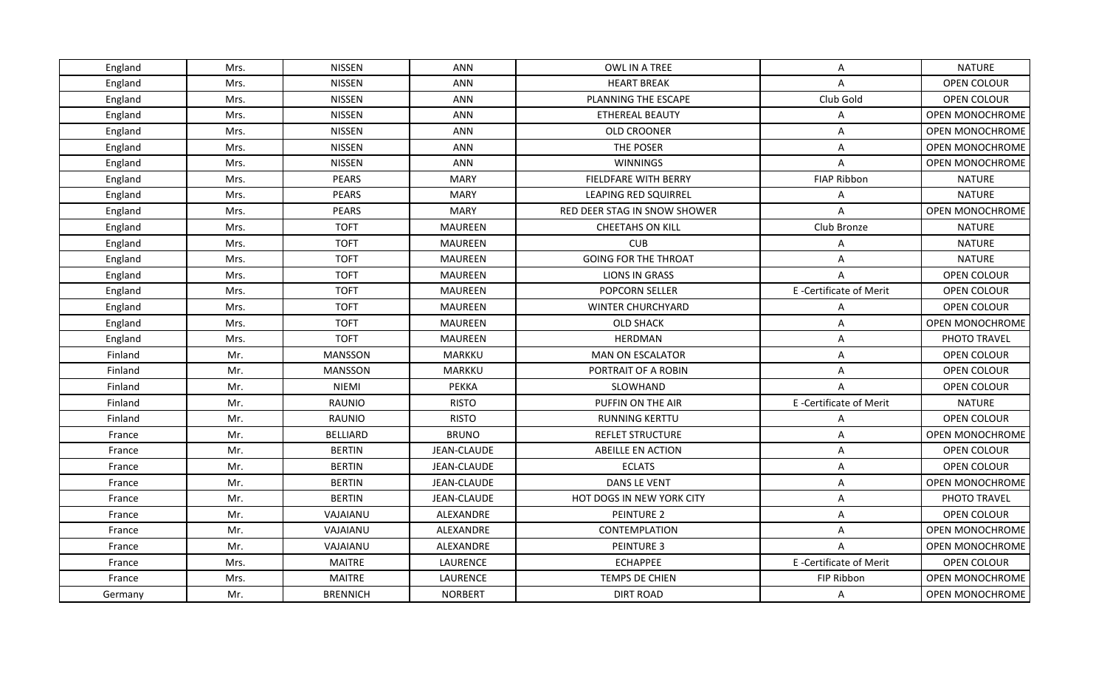| England | Mrs. | NISSEN          | <b>ANN</b>         | OWL IN A TREE                | A                      | <b>NATURE</b>          |
|---------|------|-----------------|--------------------|------------------------------|------------------------|------------------------|
| England | Mrs. | <b>NISSEN</b>   | <b>ANN</b>         | <b>HEART BREAK</b>           | A                      | <b>OPEN COLOUR</b>     |
| England | Mrs. | <b>NISSEN</b>   | ANN                | PLANNING THE ESCAPE          | Club Gold              | OPEN COLOUR            |
| England | Mrs. | <b>NISSEN</b>   | ANN                | ETHEREAL BEAUTY              | A                      | OPEN MONOCHROME        |
| England | Mrs. | <b>NISSEN</b>   | ANN                | <b>OLD CROONER</b>           | Α                      | OPEN MONOCHROME        |
| England | Mrs. | <b>NISSEN</b>   | ANN                | THE POSER                    | A                      | OPEN MONOCHROME        |
| England | Mrs. | <b>NISSEN</b>   | ANN                | <b>WINNINGS</b>              | Α                      | <b>OPEN MONOCHROME</b> |
| England | Mrs. | <b>PEARS</b>    | <b>MARY</b>        | FIELDFARE WITH BERRY         | FIAP Ribbon            | <b>NATURE</b>          |
| England | Mrs. | <b>PEARS</b>    | <b>MARY</b>        | LEAPING RED SQUIRREL         | A                      | <b>NATURE</b>          |
| England | Mrs. | <b>PEARS</b>    | <b>MARY</b>        | RED DEER STAG IN SNOW SHOWER | Α                      | OPEN MONOCHROME        |
| England | Mrs. | <b>TOFT</b>     | <b>MAUREEN</b>     | <b>CHEETAHS ON KILL</b>      | Club Bronze            | <b>NATURE</b>          |
| England | Mrs. | <b>TOFT</b>     | <b>MAUREEN</b>     | <b>CUB</b>                   | Α                      | <b>NATURE</b>          |
| England | Mrs. | <b>TOFT</b>     | <b>MAUREEN</b>     | <b>GOING FOR THE THROAT</b>  | Α                      | <b>NATURE</b>          |
| England | Mrs. | <b>TOFT</b>     | <b>MAUREEN</b>     | <b>LIONS IN GRASS</b>        | A                      | OPEN COLOUR            |
| England | Mrs. | <b>TOFT</b>     | <b>MAUREEN</b>     | POPCORN SELLER               | E-Certificate of Merit | OPEN COLOUR            |
| England | Mrs. | <b>TOFT</b>     | <b>MAUREEN</b>     | WINTER CHURCHYARD            | Α                      | OPEN COLOUR            |
| England | Mrs. | <b>TOFT</b>     | <b>MAUREEN</b>     | <b>OLD SHACK</b>             | Α                      | OPEN MONOCHROME        |
| England | Mrs. | <b>TOFT</b>     | <b>MAUREEN</b>     | HERDMAN                      | A                      | PHOTO TRAVEL           |
| Finland | Mr.  | <b>MANSSON</b>  | MARKKU             | <b>MAN ON ESCALATOR</b>      | Α                      | OPEN COLOUR            |
| Finland | Mr.  | <b>MANSSON</b>  | <b>MARKKU</b>      | PORTRAIT OF A ROBIN          | Α                      | <b>OPEN COLOUR</b>     |
| Finland | Mr.  | <b>NIEMI</b>    | PEKKA              | SLOWHAND                     | A                      | OPEN COLOUR            |
| Finland | Mr.  | RAUNIO          | <b>RISTO</b>       | PUFFIN ON THE AIR            | E-Certificate of Merit | <b>NATURE</b>          |
| Finland | Mr.  | RAUNIO          | <b>RISTO</b>       | <b>RUNNING KERTTU</b>        | Α                      | <b>OPEN COLOUR</b>     |
| France  | Mr.  | <b>BELLIARD</b> | <b>BRUNO</b>       | <b>REFLET STRUCTURE</b>      | Α                      | OPEN MONOCHROME        |
| France  | Mr.  | <b>BERTIN</b>   | <b>JEAN-CLAUDE</b> | <b>ABEILLE EN ACTION</b>     | A                      | <b>OPEN COLOUR</b>     |
| France  | Mr.  | <b>BERTIN</b>   | JEAN-CLAUDE        | <b>ECLATS</b>                | Α                      | OPEN COLOUR            |
| France  | Mr.  | <b>BERTIN</b>   | JEAN-CLAUDE        | DANS LE VENT                 | Α                      | OPEN MONOCHROME        |
| France  | Mr.  | <b>BERTIN</b>   | JEAN-CLAUDE        | HOT DOGS IN NEW YORK CITY    | A                      | PHOTO TRAVEL           |
| France  | Mr.  | VAJAIANU        | ALEXANDRE          | PEINTURE 2                   | Α                      | OPEN COLOUR            |
| France  | Mr.  | VAJAIANU        | ALEXANDRE          | CONTEMPLATION                | A                      | OPEN MONOCHROME        |
| France  | Mr.  | VAJAIANU        | ALEXANDRE          | PEINTURE 3                   | A                      | OPEN MONOCHROME        |
| France  | Mrs. | <b>MAITRE</b>   | LAURENCE           | <b>ECHAPPEE</b>              | E-Certificate of Merit | OPEN COLOUR            |
| France  | Mrs. | <b>MAITRE</b>   | LAURENCE           | TEMPS DE CHIEN               | FIP Ribbon             | OPEN MONOCHROME        |
| Germany | Mr.  | <b>BRENNICH</b> | NORBERT            | <b>DIRT ROAD</b>             | A                      | OPEN MONOCHROME        |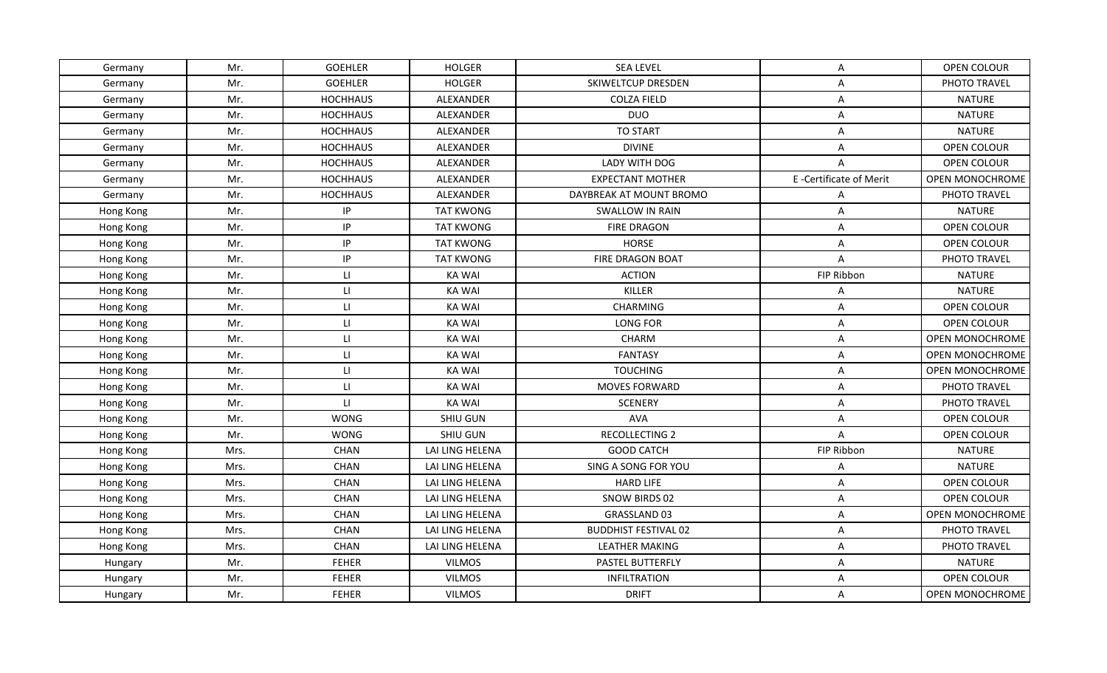| Germany   | Mr.  | <b>GOEHLER</b>          | <b>HOLGER</b>    | <b>SEA LEVEL</b>            | A                      | OPEN COLOUR        |
|-----------|------|-------------------------|------------------|-----------------------------|------------------------|--------------------|
| Germany   | Mr.  | <b>GOEHLER</b>          | <b>HOLGER</b>    | <b>SKIWELTCUP DRESDEN</b>   | A                      | PHOTO TRAVEL       |
| Germany   | Mr.  | <b>HOCHHAUS</b>         | ALEXANDER        | <b>COLZA FIELD</b>          | Α                      | <b>NATURE</b>      |
| Germany   | Mr.  | <b>HOCHHAUS</b>         | ALEXANDER        | <b>DUO</b>                  | Α                      | <b>NATURE</b>      |
| Germany   | Mr.  | <b>HOCHHAUS</b>         | ALEXANDER        | <b>TO START</b>             | Α                      | <b>NATURE</b>      |
| Germany   | Mr.  | <b>HOCHHAUS</b>         | ALEXANDER        | <b>DIVINE</b>               | A                      | OPEN COLOUR        |
| Germany   | Mr.  | <b>HOCHHAUS</b>         | ALEXANDER        | LADY WITH DOG               | A                      | OPEN COLOUR        |
| Germany   | Mr.  | <b>HOCHHAUS</b>         | ALEXANDER        | <b>EXPECTANT MOTHER</b>     | E-Certificate of Merit | OPEN MONOCHROME    |
| Germany   | Mr.  | <b>HOCHHAUS</b>         | ALEXANDER        | DAYBREAK AT MOUNT BROMO     | A                      | PHOTO TRAVEL       |
| Hong Kong | Mr.  | IP                      | <b>TAT KWONG</b> | <b>SWALLOW IN RAIN</b>      | Α                      | <b>NATURE</b>      |
| Hong Kong | Mr.  | IP                      | <b>TAT KWONG</b> | <b>FIRE DRAGON</b>          | A                      | OPEN COLOUR        |
| Hong Kong | Mr.  | IP                      | <b>TAT KWONG</b> | HORSE                       | Α                      | OPEN COLOUR        |
| Hong Kong | Mr.  | IP                      | <b>TAT KWONG</b> | FIRE DRAGON BOAT            | A                      | PHOTO TRAVEL       |
| Hong Kong | Mr.  | $\mathsf{L} \mathsf{L}$ | <b>KA WAI</b>    | <b>ACTION</b>               | FIP Ribbon             | <b>NATURE</b>      |
| Hong Kong | Mr.  | $\mathsf{L}$            | <b>KA WAI</b>    | KILLER                      | Α                      | <b>NATURE</b>      |
| Hong Kong | Mr.  | LI.                     | <b>KA WAI</b>    | CHARMING                    | A                      | OPEN COLOUR        |
| Hong Kong | Mr.  | $\mathsf{L}\mathsf{L}$  | <b>KA WAI</b>    | LONG FOR                    | Α                      | OPEN COLOUR        |
| Hong Kong | Mr.  | $\mathsf{L}\mathsf{L}$  | <b>KA WAI</b>    | CHARM                       | Α                      | OPEN MONOCHROME    |
| Hong Kong | Mr.  | LI.                     | <b>KA WAI</b>    | <b>FANTASY</b>              | Α                      | OPEN MONOCHROME    |
| Hong Kong | Mr.  | $\mathsf{H}$            | <b>KA WAI</b>    | <b>TOUCHING</b>             | Α                      | OPEN MONOCHROME    |
| Hong Kong | Mr.  | $\mathsf{L}\mathsf{L}$  | <b>KA WAI</b>    | MOVES FORWARD               | Α                      | PHOTO TRAVEL       |
| Hong Kong | Mr.  | $\mathsf{L}$            | <b>KA WAI</b>    | <b>SCENERY</b>              | Α                      | PHOTO TRAVEL       |
| Hong Kong | Mr.  | <b>WONG</b>             | SHIU GUN         | <b>AVA</b>                  | Α                      | <b>OPEN COLOUR</b> |
| Hong Kong | Mr.  | <b>WONG</b>             | SHIU GUN         | RECOLLECTING 2              | A                      | OPEN COLOUR        |
| Hong Kong | Mrs. | <b>CHAN</b>             | LAI LING HELENA  | <b>GOOD CATCH</b>           | FIP Ribbon             | <b>NATURE</b>      |
| Hong Kong | Mrs. | <b>CHAN</b>             | LAI LING HELENA  | SING A SONG FOR YOU         | Α                      | <b>NATURE</b>      |
| Hong Kong | Mrs. | CHAN                    | LAI LING HELENA  | <b>HARD LIFE</b>            | Α                      | OPEN COLOUR        |
| Hong Kong | Mrs. | CHAN                    | LAI LING HELENA  | SNOW BIRDS 02               | A                      | OPEN COLOUR        |
| Hong Kong | Mrs. | CHAN                    | LAI LING HELENA  | GRASSLAND 03                | Α                      | OPEN MONOCHROME    |
| Hong Kong | Mrs. | CHAN                    | LAI LING HELENA  | <b>BUDDHIST FESTIVAL 02</b> | Α                      | PHOTO TRAVEL       |
| Hong Kong | Mrs. | CHAN                    | LAI LING HELENA  | <b>LEATHER MAKING</b>       | Α                      | PHOTO TRAVEL       |
| Hungary   | Mr.  | <b>FEHER</b>            | <b>VILMOS</b>    | PASTEL BUTTERFLY            | Α                      | <b>NATURE</b>      |
| Hungary   | Mr.  | <b>FEHER</b>            | <b>VILMOS</b>    | <b>INFILTRATION</b>         | A                      | <b>OPEN COLOUR</b> |
|           |      |                         |                  |                             |                        |                    |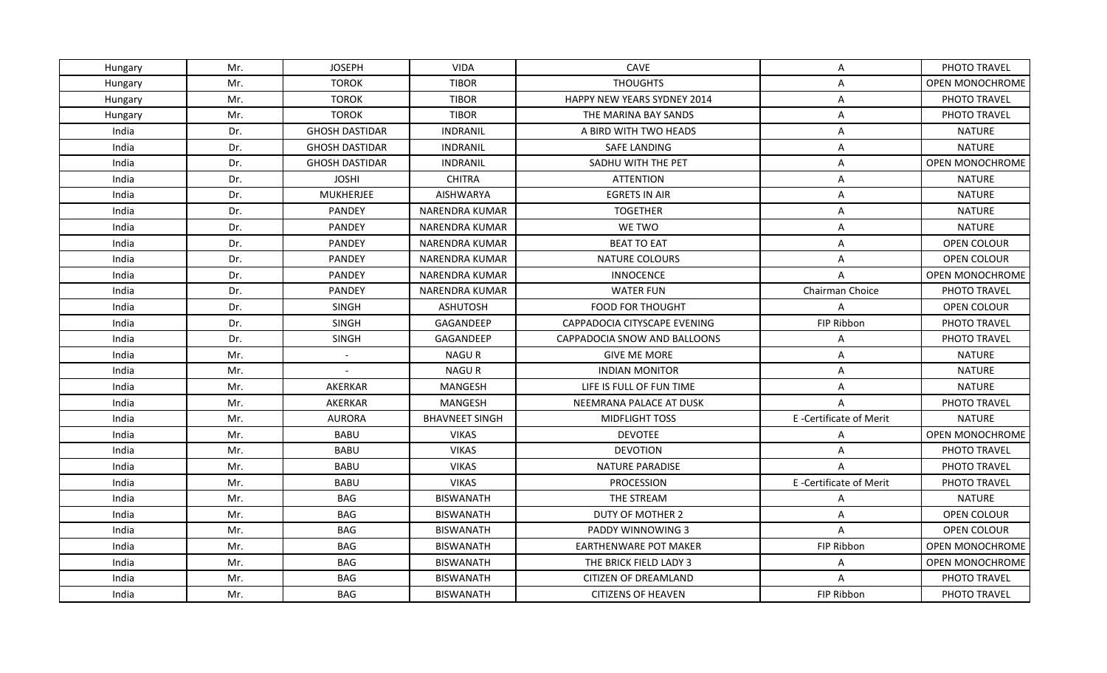| Mr.<br><b>JOSEPH</b><br><b>VIDA</b><br><b>CAVE</b><br>$\mathsf{A}$<br>PHOTO TRAVEL<br>Hungary<br><b>TOROK</b><br><b>TIBOR</b><br><b>THOUGHTS</b><br>Mr.<br>A<br>Hungary<br>Mr.<br><b>TOROK</b><br><b>TIBOR</b><br>HAPPY NEW YEARS SYDNEY 2014<br>PHOTO TRAVEL<br>Hungary<br>Α<br>Mr.<br><b>TOROK</b><br><b>TIBOR</b><br>THE MARINA BAY SANDS<br>A<br>PHOTO TRAVEL<br>Hungary<br><b>GHOSH DASTIDAR</b><br><b>NATURE</b><br>India<br>Dr.<br>INDRANIL<br>A BIRD WITH TWO HEADS<br>Α<br>Dr.<br><b>GHOSH DASTIDAR</b><br>INDRANIL<br>SAFE LANDING<br><b>NATURE</b><br>India<br>Α<br>India<br>Dr.<br><b>GHOSH DASTIDAR</b><br><b>INDRANIL</b><br>SADHU WITH THE PET<br>Α<br><b>CHITRA</b><br><b>NATURE</b><br>India<br>Dr.<br><b>JOSHI</b><br><b>ATTENTION</b><br>Α<br><b>MUKHERJEE</b><br>India<br>Dr.<br><b>AISHWARYA</b><br><b>EGRETS IN AIR</b><br>A<br><b>NATURE</b><br>India<br>Dr.<br>PANDEY<br><b>TOGETHER</b><br><b>NATURE</b><br><b>NARENDRA KUMAR</b><br>Α<br>WE TWO<br>India<br>Dr.<br><b>PANDEY</b><br>NATURE<br>NARENDRA KUMAR<br>A<br>India<br><b>PANDEY</b><br><b>NARENDRA KUMAR</b><br><b>BEAT TO EAT</b><br>OPEN COLOUR<br>Dr.<br>Α<br>PANDEY<br>NATURE COLOURS<br>OPEN COLOUR<br>India<br>Dr.<br><b>NARENDRA KUMAR</b><br>Α<br>Dr.<br>PANDEY<br><b>NARENDRA KUMAR</b><br><b>INNOCENCE</b><br>A<br>India<br>PANDEY<br><b>WATER FUN</b><br>Chairman Choice<br>PHOTO TRAVEL<br>India<br>Dr.<br><b>NARENDRA KUMAR</b><br><b>SINGH</b><br><b>ASHUTOSH</b><br><b>FOOD FOR THOUGHT</b><br>India<br>Dr.<br>A<br>OPEN COLOUR<br>SINGH<br>GAGANDEEP<br>FIP Ribbon<br>PHOTO TRAVEL<br>India<br>Dr.<br>CAPPADOCIA CITYSCAPE EVENING<br>GAGANDEEP<br>PHOTO TRAVEL<br>India<br>Dr.<br><b>SINGH</b><br>CAPPADOCIA SNOW AND BALLOONS<br>A<br>Mr.<br><b>NAGUR</b><br><b>NATURE</b><br>India<br><b>GIVE ME MORE</b><br>Α<br>India<br>Mr.<br>NAGU R<br><b>INDIAN MONITOR</b><br>Α<br><b>NATURE</b><br>MANGESH<br><b>NATURE</b><br>India<br>Mr.<br>AKERKAR<br>LIFE IS FULL OF FUN TIME<br>A<br>AKERKAR<br>MANGESH<br>PHOTO TRAVEL<br>India<br>Mr.<br>NEEMRANA PALACE AT DUSK<br>A<br><b>AURORA</b><br><b>BHAVNEET SINGH</b><br><b>MIDFLIGHT TOSS</b><br>E-Certificate of Merit<br><b>NATURE</b><br>India<br>Mr.<br><b>BABU</b><br><b>VIKAS</b><br><b>DEVOTEE</b><br>India<br>Mr.<br>Α<br><b>DEVOTION</b><br>India<br>Mr.<br><b>BABU</b><br><b>VIKAS</b><br>PHOTO TRAVEL<br>A<br>NATURE PARADISE<br>PHOTO TRAVEL<br>India<br>Mr.<br><b>BABU</b><br><b>VIKAS</b><br>A<br>PROCESSION<br>E-Certificate of Merit<br>PHOTO TRAVEL<br>India<br>Mr.<br><b>BABU</b><br><b>VIKAS</b><br><b>BAG</b><br><b>BISWANATH</b><br>THE STREAM<br><b>NATURE</b><br>India<br>Mr.<br>A<br><b>BAG</b><br>India<br>Mr.<br><b>BISWANATH</b><br>DUTY OF MOTHER 2<br>Α<br>OPEN COLOUR<br><b>BAG</b><br>India<br>Mr.<br><b>BISWANATH</b><br>A<br><b>OPEN COLOUR</b><br><b>PADDY WINNOWING 3</b><br><b>BAG</b><br><b>BISWANATH</b><br>FIP Ribbon<br>India<br>Mr.<br><b>EARTHENWARE POT MAKER</b><br><b>BISWANATH</b><br>India<br><b>BAG</b><br>THE BRICK FIELD LADY 3<br>Mr.<br>A<br><b>BISWANATH</b><br>India<br>Mr.<br><b>BAG</b><br><b>CITIZEN OF DREAMLAND</b><br>A<br>PHOTO TRAVEL<br><b>BAG</b><br><b>BISWANATH</b><br><b>CITIZENS OF HEAVEN</b><br>FIP Ribbon<br>PHOTO TRAVEL<br>India<br>Mr. |  |  |  |                        |
|------------------------------------------------------------------------------------------------------------------------------------------------------------------------------------------------------------------------------------------------------------------------------------------------------------------------------------------------------------------------------------------------------------------------------------------------------------------------------------------------------------------------------------------------------------------------------------------------------------------------------------------------------------------------------------------------------------------------------------------------------------------------------------------------------------------------------------------------------------------------------------------------------------------------------------------------------------------------------------------------------------------------------------------------------------------------------------------------------------------------------------------------------------------------------------------------------------------------------------------------------------------------------------------------------------------------------------------------------------------------------------------------------------------------------------------------------------------------------------------------------------------------------------------------------------------------------------------------------------------------------------------------------------------------------------------------------------------------------------------------------------------------------------------------------------------------------------------------------------------------------------------------------------------------------------------------------------------------------------------------------------------------------------------------------------------------------------------------------------------------------------------------------------------------------------------------------------------------------------------------------------------------------------------------------------------------------------------------------------------------------------------------------------------------------------------------------------------------------------------------------------------------------------------------------------------------------------------------------------------------------------------------------------------------------------------------------------------------------------------------------------------------------------------------------------------------------------------------------------------------------------------------------------------------------------------------------------------------------------------------------------------------------------------------------------------------------------------------------------------------------------------------------------------------------------------------------------------------------------------------------------------|--|--|--|------------------------|
|                                                                                                                                                                                                                                                                                                                                                                                                                                                                                                                                                                                                                                                                                                                                                                                                                                                                                                                                                                                                                                                                                                                                                                                                                                                                                                                                                                                                                                                                                                                                                                                                                                                                                                                                                                                                                                                                                                                                                                                                                                                                                                                                                                                                                                                                                                                                                                                                                                                                                                                                                                                                                                                                                                                                                                                                                                                                                                                                                                                                                                                                                                                                                                                                                                                                  |  |  |  |                        |
|                                                                                                                                                                                                                                                                                                                                                                                                                                                                                                                                                                                                                                                                                                                                                                                                                                                                                                                                                                                                                                                                                                                                                                                                                                                                                                                                                                                                                                                                                                                                                                                                                                                                                                                                                                                                                                                                                                                                                                                                                                                                                                                                                                                                                                                                                                                                                                                                                                                                                                                                                                                                                                                                                                                                                                                                                                                                                                                                                                                                                                                                                                                                                                                                                                                                  |  |  |  | OPEN MONOCHROME        |
|                                                                                                                                                                                                                                                                                                                                                                                                                                                                                                                                                                                                                                                                                                                                                                                                                                                                                                                                                                                                                                                                                                                                                                                                                                                                                                                                                                                                                                                                                                                                                                                                                                                                                                                                                                                                                                                                                                                                                                                                                                                                                                                                                                                                                                                                                                                                                                                                                                                                                                                                                                                                                                                                                                                                                                                                                                                                                                                                                                                                                                                                                                                                                                                                                                                                  |  |  |  |                        |
|                                                                                                                                                                                                                                                                                                                                                                                                                                                                                                                                                                                                                                                                                                                                                                                                                                                                                                                                                                                                                                                                                                                                                                                                                                                                                                                                                                                                                                                                                                                                                                                                                                                                                                                                                                                                                                                                                                                                                                                                                                                                                                                                                                                                                                                                                                                                                                                                                                                                                                                                                                                                                                                                                                                                                                                                                                                                                                                                                                                                                                                                                                                                                                                                                                                                  |  |  |  |                        |
|                                                                                                                                                                                                                                                                                                                                                                                                                                                                                                                                                                                                                                                                                                                                                                                                                                                                                                                                                                                                                                                                                                                                                                                                                                                                                                                                                                                                                                                                                                                                                                                                                                                                                                                                                                                                                                                                                                                                                                                                                                                                                                                                                                                                                                                                                                                                                                                                                                                                                                                                                                                                                                                                                                                                                                                                                                                                                                                                                                                                                                                                                                                                                                                                                                                                  |  |  |  |                        |
|                                                                                                                                                                                                                                                                                                                                                                                                                                                                                                                                                                                                                                                                                                                                                                                                                                                                                                                                                                                                                                                                                                                                                                                                                                                                                                                                                                                                                                                                                                                                                                                                                                                                                                                                                                                                                                                                                                                                                                                                                                                                                                                                                                                                                                                                                                                                                                                                                                                                                                                                                                                                                                                                                                                                                                                                                                                                                                                                                                                                                                                                                                                                                                                                                                                                  |  |  |  |                        |
|                                                                                                                                                                                                                                                                                                                                                                                                                                                                                                                                                                                                                                                                                                                                                                                                                                                                                                                                                                                                                                                                                                                                                                                                                                                                                                                                                                                                                                                                                                                                                                                                                                                                                                                                                                                                                                                                                                                                                                                                                                                                                                                                                                                                                                                                                                                                                                                                                                                                                                                                                                                                                                                                                                                                                                                                                                                                                                                                                                                                                                                                                                                                                                                                                                                                  |  |  |  | <b>OPEN MONOCHROME</b> |
|                                                                                                                                                                                                                                                                                                                                                                                                                                                                                                                                                                                                                                                                                                                                                                                                                                                                                                                                                                                                                                                                                                                                                                                                                                                                                                                                                                                                                                                                                                                                                                                                                                                                                                                                                                                                                                                                                                                                                                                                                                                                                                                                                                                                                                                                                                                                                                                                                                                                                                                                                                                                                                                                                                                                                                                                                                                                                                                                                                                                                                                                                                                                                                                                                                                                  |  |  |  |                        |
|                                                                                                                                                                                                                                                                                                                                                                                                                                                                                                                                                                                                                                                                                                                                                                                                                                                                                                                                                                                                                                                                                                                                                                                                                                                                                                                                                                                                                                                                                                                                                                                                                                                                                                                                                                                                                                                                                                                                                                                                                                                                                                                                                                                                                                                                                                                                                                                                                                                                                                                                                                                                                                                                                                                                                                                                                                                                                                                                                                                                                                                                                                                                                                                                                                                                  |  |  |  |                        |
|                                                                                                                                                                                                                                                                                                                                                                                                                                                                                                                                                                                                                                                                                                                                                                                                                                                                                                                                                                                                                                                                                                                                                                                                                                                                                                                                                                                                                                                                                                                                                                                                                                                                                                                                                                                                                                                                                                                                                                                                                                                                                                                                                                                                                                                                                                                                                                                                                                                                                                                                                                                                                                                                                                                                                                                                                                                                                                                                                                                                                                                                                                                                                                                                                                                                  |  |  |  |                        |
|                                                                                                                                                                                                                                                                                                                                                                                                                                                                                                                                                                                                                                                                                                                                                                                                                                                                                                                                                                                                                                                                                                                                                                                                                                                                                                                                                                                                                                                                                                                                                                                                                                                                                                                                                                                                                                                                                                                                                                                                                                                                                                                                                                                                                                                                                                                                                                                                                                                                                                                                                                                                                                                                                                                                                                                                                                                                                                                                                                                                                                                                                                                                                                                                                                                                  |  |  |  |                        |
|                                                                                                                                                                                                                                                                                                                                                                                                                                                                                                                                                                                                                                                                                                                                                                                                                                                                                                                                                                                                                                                                                                                                                                                                                                                                                                                                                                                                                                                                                                                                                                                                                                                                                                                                                                                                                                                                                                                                                                                                                                                                                                                                                                                                                                                                                                                                                                                                                                                                                                                                                                                                                                                                                                                                                                                                                                                                                                                                                                                                                                                                                                                                                                                                                                                                  |  |  |  |                        |
|                                                                                                                                                                                                                                                                                                                                                                                                                                                                                                                                                                                                                                                                                                                                                                                                                                                                                                                                                                                                                                                                                                                                                                                                                                                                                                                                                                                                                                                                                                                                                                                                                                                                                                                                                                                                                                                                                                                                                                                                                                                                                                                                                                                                                                                                                                                                                                                                                                                                                                                                                                                                                                                                                                                                                                                                                                                                                                                                                                                                                                                                                                                                                                                                                                                                  |  |  |  |                        |
|                                                                                                                                                                                                                                                                                                                                                                                                                                                                                                                                                                                                                                                                                                                                                                                                                                                                                                                                                                                                                                                                                                                                                                                                                                                                                                                                                                                                                                                                                                                                                                                                                                                                                                                                                                                                                                                                                                                                                                                                                                                                                                                                                                                                                                                                                                                                                                                                                                                                                                                                                                                                                                                                                                                                                                                                                                                                                                                                                                                                                                                                                                                                                                                                                                                                  |  |  |  | OPEN MONOCHROME        |
|                                                                                                                                                                                                                                                                                                                                                                                                                                                                                                                                                                                                                                                                                                                                                                                                                                                                                                                                                                                                                                                                                                                                                                                                                                                                                                                                                                                                                                                                                                                                                                                                                                                                                                                                                                                                                                                                                                                                                                                                                                                                                                                                                                                                                                                                                                                                                                                                                                                                                                                                                                                                                                                                                                                                                                                                                                                                                                                                                                                                                                                                                                                                                                                                                                                                  |  |  |  |                        |
|                                                                                                                                                                                                                                                                                                                                                                                                                                                                                                                                                                                                                                                                                                                                                                                                                                                                                                                                                                                                                                                                                                                                                                                                                                                                                                                                                                                                                                                                                                                                                                                                                                                                                                                                                                                                                                                                                                                                                                                                                                                                                                                                                                                                                                                                                                                                                                                                                                                                                                                                                                                                                                                                                                                                                                                                                                                                                                                                                                                                                                                                                                                                                                                                                                                                  |  |  |  |                        |
|                                                                                                                                                                                                                                                                                                                                                                                                                                                                                                                                                                                                                                                                                                                                                                                                                                                                                                                                                                                                                                                                                                                                                                                                                                                                                                                                                                                                                                                                                                                                                                                                                                                                                                                                                                                                                                                                                                                                                                                                                                                                                                                                                                                                                                                                                                                                                                                                                                                                                                                                                                                                                                                                                                                                                                                                                                                                                                                                                                                                                                                                                                                                                                                                                                                                  |  |  |  |                        |
|                                                                                                                                                                                                                                                                                                                                                                                                                                                                                                                                                                                                                                                                                                                                                                                                                                                                                                                                                                                                                                                                                                                                                                                                                                                                                                                                                                                                                                                                                                                                                                                                                                                                                                                                                                                                                                                                                                                                                                                                                                                                                                                                                                                                                                                                                                                                                                                                                                                                                                                                                                                                                                                                                                                                                                                                                                                                                                                                                                                                                                                                                                                                                                                                                                                                  |  |  |  |                        |
|                                                                                                                                                                                                                                                                                                                                                                                                                                                                                                                                                                                                                                                                                                                                                                                                                                                                                                                                                                                                                                                                                                                                                                                                                                                                                                                                                                                                                                                                                                                                                                                                                                                                                                                                                                                                                                                                                                                                                                                                                                                                                                                                                                                                                                                                                                                                                                                                                                                                                                                                                                                                                                                                                                                                                                                                                                                                                                                                                                                                                                                                                                                                                                                                                                                                  |  |  |  |                        |
|                                                                                                                                                                                                                                                                                                                                                                                                                                                                                                                                                                                                                                                                                                                                                                                                                                                                                                                                                                                                                                                                                                                                                                                                                                                                                                                                                                                                                                                                                                                                                                                                                                                                                                                                                                                                                                                                                                                                                                                                                                                                                                                                                                                                                                                                                                                                                                                                                                                                                                                                                                                                                                                                                                                                                                                                                                                                                                                                                                                                                                                                                                                                                                                                                                                                  |  |  |  |                        |
|                                                                                                                                                                                                                                                                                                                                                                                                                                                                                                                                                                                                                                                                                                                                                                                                                                                                                                                                                                                                                                                                                                                                                                                                                                                                                                                                                                                                                                                                                                                                                                                                                                                                                                                                                                                                                                                                                                                                                                                                                                                                                                                                                                                                                                                                                                                                                                                                                                                                                                                                                                                                                                                                                                                                                                                                                                                                                                                                                                                                                                                                                                                                                                                                                                                                  |  |  |  |                        |
|                                                                                                                                                                                                                                                                                                                                                                                                                                                                                                                                                                                                                                                                                                                                                                                                                                                                                                                                                                                                                                                                                                                                                                                                                                                                                                                                                                                                                                                                                                                                                                                                                                                                                                                                                                                                                                                                                                                                                                                                                                                                                                                                                                                                                                                                                                                                                                                                                                                                                                                                                                                                                                                                                                                                                                                                                                                                                                                                                                                                                                                                                                                                                                                                                                                                  |  |  |  |                        |
|                                                                                                                                                                                                                                                                                                                                                                                                                                                                                                                                                                                                                                                                                                                                                                                                                                                                                                                                                                                                                                                                                                                                                                                                                                                                                                                                                                                                                                                                                                                                                                                                                                                                                                                                                                                                                                                                                                                                                                                                                                                                                                                                                                                                                                                                                                                                                                                                                                                                                                                                                                                                                                                                                                                                                                                                                                                                                                                                                                                                                                                                                                                                                                                                                                                                  |  |  |  |                        |
|                                                                                                                                                                                                                                                                                                                                                                                                                                                                                                                                                                                                                                                                                                                                                                                                                                                                                                                                                                                                                                                                                                                                                                                                                                                                                                                                                                                                                                                                                                                                                                                                                                                                                                                                                                                                                                                                                                                                                                                                                                                                                                                                                                                                                                                                                                                                                                                                                                                                                                                                                                                                                                                                                                                                                                                                                                                                                                                                                                                                                                                                                                                                                                                                                                                                  |  |  |  | OPEN MONOCHROME        |
|                                                                                                                                                                                                                                                                                                                                                                                                                                                                                                                                                                                                                                                                                                                                                                                                                                                                                                                                                                                                                                                                                                                                                                                                                                                                                                                                                                                                                                                                                                                                                                                                                                                                                                                                                                                                                                                                                                                                                                                                                                                                                                                                                                                                                                                                                                                                                                                                                                                                                                                                                                                                                                                                                                                                                                                                                                                                                                                                                                                                                                                                                                                                                                                                                                                                  |  |  |  |                        |
|                                                                                                                                                                                                                                                                                                                                                                                                                                                                                                                                                                                                                                                                                                                                                                                                                                                                                                                                                                                                                                                                                                                                                                                                                                                                                                                                                                                                                                                                                                                                                                                                                                                                                                                                                                                                                                                                                                                                                                                                                                                                                                                                                                                                                                                                                                                                                                                                                                                                                                                                                                                                                                                                                                                                                                                                                                                                                                                                                                                                                                                                                                                                                                                                                                                                  |  |  |  |                        |
|                                                                                                                                                                                                                                                                                                                                                                                                                                                                                                                                                                                                                                                                                                                                                                                                                                                                                                                                                                                                                                                                                                                                                                                                                                                                                                                                                                                                                                                                                                                                                                                                                                                                                                                                                                                                                                                                                                                                                                                                                                                                                                                                                                                                                                                                                                                                                                                                                                                                                                                                                                                                                                                                                                                                                                                                                                                                                                                                                                                                                                                                                                                                                                                                                                                                  |  |  |  |                        |
|                                                                                                                                                                                                                                                                                                                                                                                                                                                                                                                                                                                                                                                                                                                                                                                                                                                                                                                                                                                                                                                                                                                                                                                                                                                                                                                                                                                                                                                                                                                                                                                                                                                                                                                                                                                                                                                                                                                                                                                                                                                                                                                                                                                                                                                                                                                                                                                                                                                                                                                                                                                                                                                                                                                                                                                                                                                                                                                                                                                                                                                                                                                                                                                                                                                                  |  |  |  |                        |
|                                                                                                                                                                                                                                                                                                                                                                                                                                                                                                                                                                                                                                                                                                                                                                                                                                                                                                                                                                                                                                                                                                                                                                                                                                                                                                                                                                                                                                                                                                                                                                                                                                                                                                                                                                                                                                                                                                                                                                                                                                                                                                                                                                                                                                                                                                                                                                                                                                                                                                                                                                                                                                                                                                                                                                                                                                                                                                                                                                                                                                                                                                                                                                                                                                                                  |  |  |  |                        |
|                                                                                                                                                                                                                                                                                                                                                                                                                                                                                                                                                                                                                                                                                                                                                                                                                                                                                                                                                                                                                                                                                                                                                                                                                                                                                                                                                                                                                                                                                                                                                                                                                                                                                                                                                                                                                                                                                                                                                                                                                                                                                                                                                                                                                                                                                                                                                                                                                                                                                                                                                                                                                                                                                                                                                                                                                                                                                                                                                                                                                                                                                                                                                                                                                                                                  |  |  |  |                        |
|                                                                                                                                                                                                                                                                                                                                                                                                                                                                                                                                                                                                                                                                                                                                                                                                                                                                                                                                                                                                                                                                                                                                                                                                                                                                                                                                                                                                                                                                                                                                                                                                                                                                                                                                                                                                                                                                                                                                                                                                                                                                                                                                                                                                                                                                                                                                                                                                                                                                                                                                                                                                                                                                                                                                                                                                                                                                                                                                                                                                                                                                                                                                                                                                                                                                  |  |  |  | OPEN MONOCHROME        |
|                                                                                                                                                                                                                                                                                                                                                                                                                                                                                                                                                                                                                                                                                                                                                                                                                                                                                                                                                                                                                                                                                                                                                                                                                                                                                                                                                                                                                                                                                                                                                                                                                                                                                                                                                                                                                                                                                                                                                                                                                                                                                                                                                                                                                                                                                                                                                                                                                                                                                                                                                                                                                                                                                                                                                                                                                                                                                                                                                                                                                                                                                                                                                                                                                                                                  |  |  |  | OPEN MONOCHROME        |
|                                                                                                                                                                                                                                                                                                                                                                                                                                                                                                                                                                                                                                                                                                                                                                                                                                                                                                                                                                                                                                                                                                                                                                                                                                                                                                                                                                                                                                                                                                                                                                                                                                                                                                                                                                                                                                                                                                                                                                                                                                                                                                                                                                                                                                                                                                                                                                                                                                                                                                                                                                                                                                                                                                                                                                                                                                                                                                                                                                                                                                                                                                                                                                                                                                                                  |  |  |  |                        |
|                                                                                                                                                                                                                                                                                                                                                                                                                                                                                                                                                                                                                                                                                                                                                                                                                                                                                                                                                                                                                                                                                                                                                                                                                                                                                                                                                                                                                                                                                                                                                                                                                                                                                                                                                                                                                                                                                                                                                                                                                                                                                                                                                                                                                                                                                                                                                                                                                                                                                                                                                                                                                                                                                                                                                                                                                                                                                                                                                                                                                                                                                                                                                                                                                                                                  |  |  |  |                        |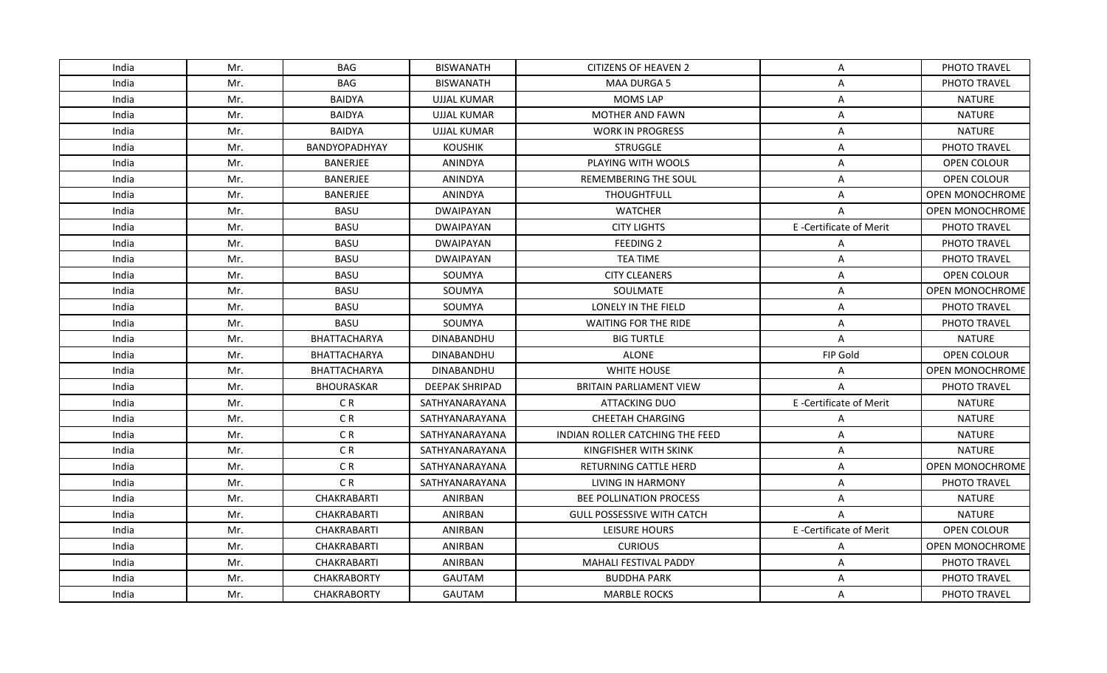| India | Mr. | <b>BAG</b>          | <b>BISWANATH</b>      | <b>CITIZENS OF HEAVEN 2</b>       | A                      | PHOTO TRAVEL           |
|-------|-----|---------------------|-----------------------|-----------------------------------|------------------------|------------------------|
| India | Mr. | <b>BAG</b>          | <b>BISWANATH</b>      | <b>MAA DURGA 5</b>                | Α                      | PHOTO TRAVEL           |
| India | Mr. | <b>BAIDYA</b>       | <b>UJJAL KUMAR</b>    | <b>MOMS LAP</b>                   | Α                      | <b>NATURE</b>          |
| India | Mr. | <b>BAIDYA</b>       | <b>UJJAL KUMAR</b>    | <b>MOTHER AND FAWN</b>            | Α                      | <b>NATURE</b>          |
| India | Mr. | <b>BAIDYA</b>       | <b>UJJAL KUMAR</b>    | <b>WORK IN PROGRESS</b>           | Α                      | <b>NATURE</b>          |
| India | Mr. | BANDYOPADHYAY       | <b>KOUSHIK</b>        | <b>STRUGGLE</b>                   | A                      | PHOTO TRAVEL           |
| India | Mr. | <b>BANERJEE</b>     | <b>ANINDYA</b>        | PLAYING WITH WOOLS                | A                      | OPEN COLOUR            |
| India | Mr. | BANERJEE            | ANINDYA               | REMEMBERING THE SOUL              | Α                      | OPEN COLOUR            |
| India | Mr. | BANERJEE            | ANINDYA               | <b>THOUGHTFULL</b>                | Α                      | <b>OPEN MONOCHROME</b> |
| India | Mr. | <b>BASU</b>         | <b>DWAIPAYAN</b>      | <b>WATCHER</b>                    | A                      | OPEN MONOCHROME        |
| India | Mr. | <b>BASU</b>         | DWAIPAYAN             | <b>CITY LIGHTS</b>                | E-Certificate of Merit | PHOTO TRAVEL           |
| India | Mr. | <b>BASU</b>         | <b>DWAIPAYAN</b>      | <b>FEEDING 2</b>                  | A                      | PHOTO TRAVEL           |
| India | Mr. | <b>BASU</b>         | <b>DWAIPAYAN</b>      | <b>TEA TIME</b>                   | Α                      | PHOTO TRAVEL           |
| India | Mr. | <b>BASU</b>         | SOUMYA                | <b>CITY CLEANERS</b>              | Α                      | OPEN COLOUR            |
| India | Mr. | <b>BASU</b>         | SOUMYA                | SOULMATE                          | Α                      | OPEN MONOCHROME        |
| India | Mr. | BASU                | SOUMYA                | LONELY IN THE FIELD               | A                      | PHOTO TRAVEL           |
| India | Mr. | <b>BASU</b>         | SOUMYA                | WAITING FOR THE RIDE              | Α                      | PHOTO TRAVEL           |
| India | Mr. | BHATTACHARYA        | DINABANDHU            | <b>BIG TURTLE</b>                 | A                      | <b>NATURE</b>          |
| India | Mr. | <b>BHATTACHARYA</b> | <b>DINABANDHU</b>     | <b>ALONE</b>                      | FIP Gold               | OPEN COLOUR            |
| India | Mr. | <b>BHATTACHARYA</b> | <b>DINABANDHU</b>     | WHITE HOUSE                       | Α                      | OPEN MONOCHROME        |
| India | Mr. | <b>BHOURASKAR</b>   | <b>DEEPAK SHRIPAD</b> | <b>BRITAIN PARLIAMENT VIEW</b>    | A                      | PHOTO TRAVEL           |
| India | Mr. | CR                  | SATHYANARAYANA        | <b>ATTACKING DUO</b>              | E-Certificate of Merit | <b>NATURE</b>          |
| India | Mr. | CR                  | SATHYANARAYANA        | <b>CHEETAH CHARGING</b>           | Α                      | <b>NATURE</b>          |
| India | Mr. | CR                  | SATHYANARAYANA        | INDIAN ROLLER CATCHING THE FEED   | Α                      | <b>NATURE</b>          |
| India | Mr. | CR                  | SATHYANARAYANA        | KINGFISHER WITH SKINK             | Α                      | <b>NATURE</b>          |
| India | Mr. | CR                  | SATHYANARAYANA        | RETURNING CATTLE HERD             | A                      | OPEN MONOCHROME        |
| India | Mr. | CR                  | SATHYANARAYANA        | LIVING IN HARMONY                 | A                      | PHOTO TRAVEL           |
| India | Mr. | CHAKRABARTI         | ANIRBAN               | <b>BEE POLLINATION PROCESS</b>    | Α                      | <b>NATURE</b>          |
| India | Mr. | CHAKRABARTI         | ANIRBAN               | <b>GULL POSSESSIVE WITH CATCH</b> | A                      | <b>NATURE</b>          |
| India | Mr. | CHAKRABARTI         | ANIRBAN               | LEISURE HOURS                     | E-Certificate of Merit | OPEN COLOUR            |
| India | Mr. | CHAKRABARTI         | ANIRBAN               | <b>CURIOUS</b>                    | A                      | OPEN MONOCHROME        |
| India | Mr. | CHAKRABARTI         | ANIRBAN               | MAHALI FESTIVAL PADDY             | $\mathsf{A}$           | <b>PHOTO TRAVEL</b>    |
| India | Mr. | <b>CHAKRABORTY</b>  | <b>GAUTAM</b>         | <b>BUDDHA PARK</b>                | Α                      | PHOTO TRAVEL           |
| India | Mr. | <b>CHAKRABORTY</b>  | GAUTAM                | <b>MARBLE ROCKS</b>               | A                      | PHOTO TRAVEL           |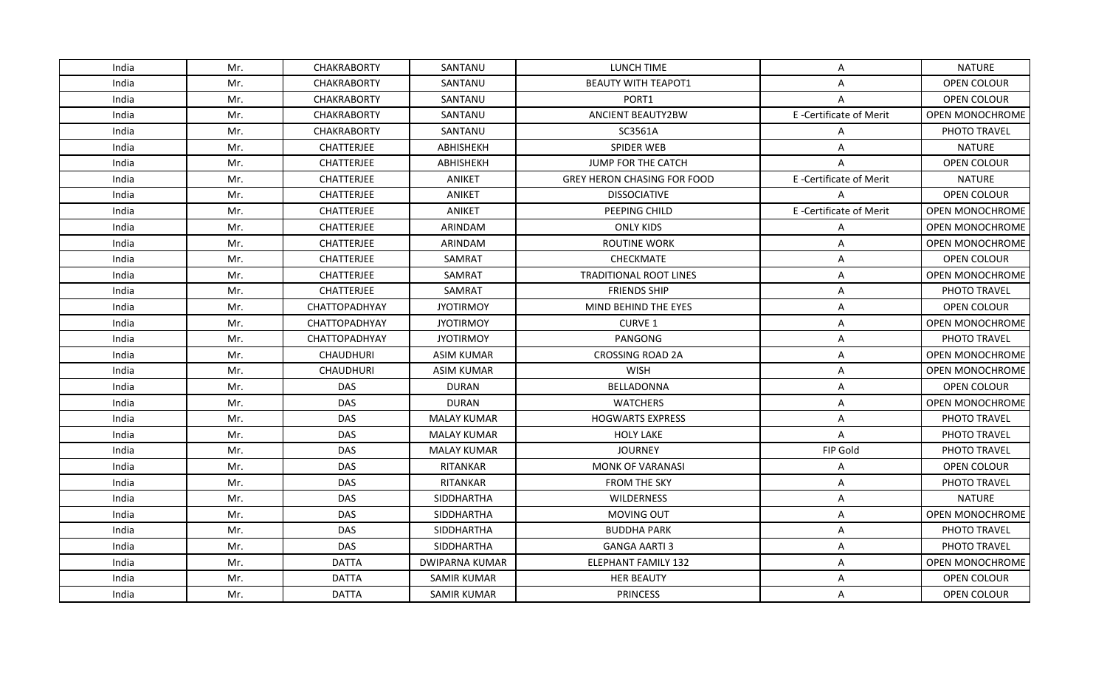| India | Mr. | <b>CHAKRABORTY</b>   | SANTANU            | LUNCH TIME                    | A                      | <b>NATURE</b>          |
|-------|-----|----------------------|--------------------|-------------------------------|------------------------|------------------------|
| India | Mr. | <b>CHAKRABORTY</b>   | SANTANU            | <b>BEAUTY WITH TEAPOT1</b>    | Α                      | <b>OPEN COLOUR</b>     |
| India | Mr. | <b>CHAKRABORTY</b>   | SANTANU            | PORT1                         | A                      | OPEN COLOUR            |
| India | Mr. | CHAKRABORTY          | SANTANU            | <b>ANCIENT BEAUTY2BW</b>      | E-Certificate of Merit | OPEN MONOCHROME        |
| India | Mr. | <b>CHAKRABORTY</b>   | SANTANU            | SC3561A                       | A                      | PHOTO TRAVEL           |
| India | Mr. | <b>CHATTERJEE</b>    | ABHISHEKH          | <b>SPIDER WEB</b>             | Α                      | NATURE                 |
| India | Mr. | CHATTERJEE           | ABHISHEKH          | <b>JUMP FOR THE CATCH</b>     | A                      | <b>OPEN COLOUR</b>     |
| India | Mr. | CHATTERJEE           | ANIKET             | GREY HERON CHASING FOR FOOD   | E-Certificate of Merit | <b>NATURE</b>          |
| India | Mr. | <b>CHATTERJEE</b>    | <b>ANIKET</b>      | <b>DISSOCIATIVE</b>           | $\mathsf{A}$           | OPEN COLOUR            |
| India | Mr. | CHATTERJEE           | ANIKET             | PEEPING CHILD                 | E-Certificate of Merit | OPEN MONOCHROME        |
| India | Mr. | CHATTERJEE           | ARINDAM            | <b>ONLY KIDS</b>              | A                      | OPEN MONOCHROME        |
| India | Mr. | <b>CHATTERJEE</b>    | ARINDAM            | <b>ROUTINE WORK</b>           | A                      | <b>OPEN MONOCHROME</b> |
| India | Mr. | CHATTERJEE           | SAMRAT             | CHECKMATE                     | Α                      | OPEN COLOUR            |
| India | Mr. | CHATTERJEE           | SAMRAT             | <b>TRADITIONAL ROOT LINES</b> | Α                      | OPEN MONOCHROME        |
| India | Mr. | CHATTERJEE           | SAMRAT             | <b>FRIENDS SHIP</b>           | Α                      | PHOTO TRAVEL           |
| India | Mr. | <b>CHATTOPADHYAY</b> | <b>JYOTIRMOY</b>   | MIND BEHIND THE EYES          | A                      | OPEN COLOUR            |
| India | Mr. | <b>CHATTOPADHYAY</b> | <b>JYOTIRMOY</b>   | <b>CURVE 1</b>                | A                      | OPEN MONOCHROME        |
| India | Mr. | CHATTOPADHYAY        | <b>JYOTIRMOY</b>   | PANGONG                       | A                      | PHOTO TRAVEL           |
| India | Mr. | <b>CHAUDHURI</b>     | <b>ASIM KUMAR</b>  | <b>CROSSING ROAD 2A</b>       | A                      | <b>OPEN MONOCHROME</b> |
| India | Mr. | CHAUDHURI            | <b>ASIM KUMAR</b>  | <b>WISH</b>                   | A                      | OPEN MONOCHROME        |
| India | Mr. | <b>DAS</b>           | <b>DURAN</b>       | BELLADONNA                    | A                      | OPEN COLOUR            |
| India | Mr. | <b>DAS</b>           | <b>DURAN</b>       | <b>WATCHERS</b>               | A                      | OPEN MONOCHROME        |
| India | Mr. | <b>DAS</b>           | <b>MALAY KUMAR</b> | <b>HOGWARTS EXPRESS</b>       | Α                      | PHOTO TRAVEL           |
| India | Mr. | <b>DAS</b>           | <b>MALAY KUMAR</b> | <b>HOLY LAKE</b>              | A                      | PHOTO TRAVEL           |
| India | Mr. | <b>DAS</b>           | <b>MALAY KUMAR</b> | <b>JOURNEY</b>                | FIP Gold               | PHOTO TRAVEL           |
| India | Mr. | DAS                  | RITANKAR           | MONK OF VARANASI              | A                      | OPEN COLOUR            |
| India | Mr. | <b>DAS</b>           | RITANKAR           | <b>FROM THE SKY</b>           | A                      | PHOTO TRAVEL           |
| India | Mr. | <b>DAS</b>           | <b>SIDDHARTHA</b>  | <b>WILDERNESS</b>             | Α                      | <b>NATURE</b>          |
| India | Mr. | <b>DAS</b>           | <b>SIDDHARTHA</b>  | <b>MOVING OUT</b>             | A                      | OPEN MONOCHROME        |
| India | Mr. | <b>DAS</b>           | SIDDHARTHA         | <b>BUDDHA PARK</b>            | A                      | PHOTO TRAVEL           |
| India | Mr. | <b>DAS</b>           | SIDDHARTHA         | <b>GANGA AARTI 3</b>          | Α                      | PHOTO TRAVEL           |
| India | Mr. | <b>DATTA</b>         | DWIPARNA KUMAR     | ELEPHANT FAMILY 132           | $\mathsf{A}$           | OPEN MONOCHROME        |
| India | Mr. | <b>DATTA</b>         | <b>SAMIR KUMAR</b> | <b>HER BEAUTY</b>             | Α                      | OPEN COLOUR            |
| India | Mr. | <b>DATTA</b>         | <b>SAMIR KUMAR</b> | <b>PRINCESS</b>               | A                      | OPEN COLOUR            |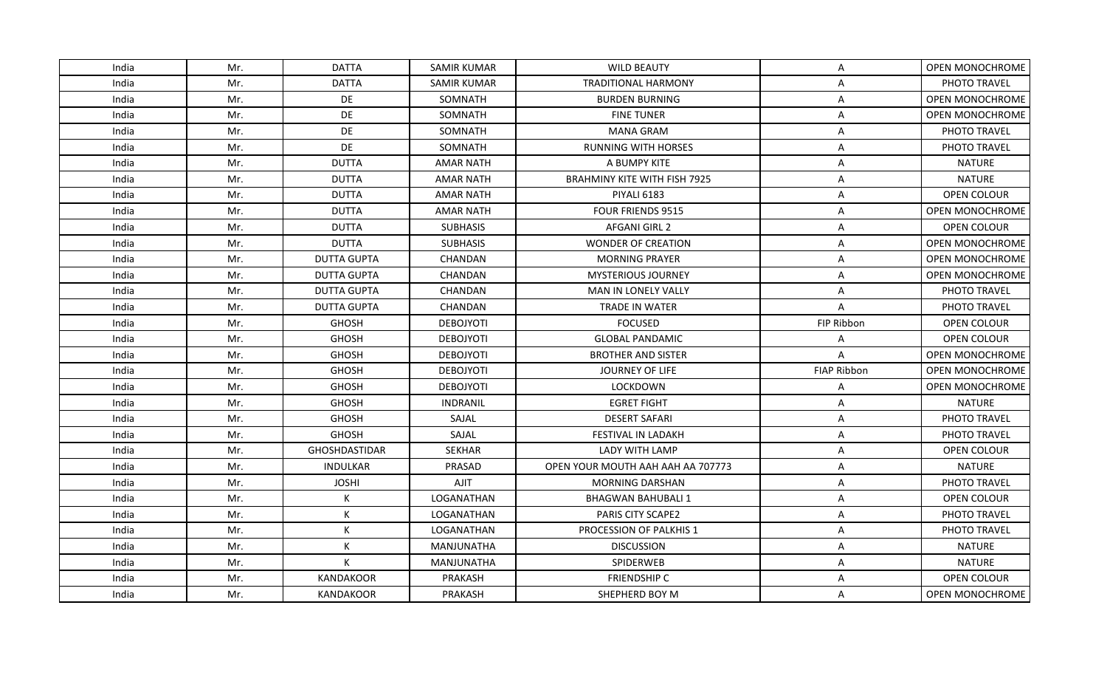| India | Mr. | <b>DATTA</b>         | <b>SAMIR KUMAR</b> | <b>WILD BEAUTY</b>                  | A           | <b>OPEN MONOCHROME</b> |
|-------|-----|----------------------|--------------------|-------------------------------------|-------------|------------------------|
| India | Mr. | <b>DATTA</b>         | <b>SAMIR KUMAR</b> | <b>TRADITIONAL HARMONY</b>          | A           | PHOTO TRAVEL           |
| India | Mr. | DE                   | SOMNATH            | <b>BURDEN BURNING</b>               | Α           | OPEN MONOCHROME        |
| India | Mr. | DE                   | SOMNATH            | <b>FINE TUNER</b>                   | Α           | OPEN MONOCHROME        |
| India | Mr. | DE                   | SOMNATH            | <b>MANA GRAM</b>                    | Α           | PHOTO TRAVEL           |
| India | Mr. | DE                   | SOMNATH            | <b>RUNNING WITH HORSES</b>          | A           | PHOTO TRAVEL           |
| India | Mr. | <b>DUTTA</b>         | <b>AMAR NATH</b>   | A BUMPY KITE                        | Α           | <b>NATURE</b>          |
| India | Mr. | <b>DUTTA</b>         | <b>AMAR NATH</b>   | <b>BRAHMINY KITE WITH FISH 7925</b> | Α           | <b>NATURE</b>          |
| India | Mr. | <b>DUTTA</b>         | <b>AMAR NATH</b>   | <b>PIYALI 6183</b>                  | A           | OPEN COLOUR            |
| India | Mr. | <b>DUTTA</b>         | <b>AMAR NATH</b>   | <b>FOUR FRIENDS 9515</b>            | Α           | OPEN MONOCHROME        |
| India | Mr. | <b>DUTTA</b>         | <b>SUBHASIS</b>    | AFGANI GIRL 2                       | A           | OPEN COLOUR            |
| India | Mr. | <b>DUTTA</b>         | <b>SUBHASIS</b>    | <b>WONDER OF CREATION</b>           | Α           | OPEN MONOCHROME        |
| India | Mr. | <b>DUTTA GUPTA</b>   | CHANDAN            | <b>MORNING PRAYER</b>               | Α           | OPEN MONOCHROME        |
| India | Mr. | <b>DUTTA GUPTA</b>   | CHANDAN            | <b>MYSTERIOUS JOURNEY</b>           | Α           | OPEN MONOCHROME        |
| India | Mr. | <b>DUTTA GUPTA</b>   | CHANDAN            | MAN IN LONELY VALLY                 | Α           | PHOTO TRAVEL           |
| India | Mr. | <b>DUTTA GUPTA</b>   | <b>CHANDAN</b>     | TRADE IN WATER                      | A           | PHOTO TRAVEL           |
| India | Mr. | <b>GHOSH</b>         | <b>DEBOJYOTI</b>   | <b>FOCUSED</b>                      | FIP Ribbon  | <b>OPEN COLOUR</b>     |
| India | Mr. | <b>GHOSH</b>         | <b>DEBOJYOTI</b>   | <b>GLOBAL PANDAMIC</b>              | A           | OPEN COLOUR            |
| India | Mr. | <b>GHOSH</b>         | <b>DEBOJYOTI</b>   | <b>BROTHER AND SISTER</b>           | A           | OPEN MONOCHROME        |
| India | Mr. | <b>GHOSH</b>         | <b>DEBOJYOTI</b>   | JOURNEY OF LIFE                     | FIAP Ribbon | OPEN MONOCHROME        |
| India | Mr. | <b>GHOSH</b>         | <b>DEBOJYOTI</b>   | LOCKDOWN                            | A           | OPEN MONOCHROME        |
| India | Mr. | <b>GHOSH</b>         | INDRANIL           | <b>EGRET FIGHT</b>                  | Α           | <b>NATURE</b>          |
| India | Mr. | <b>GHOSH</b>         | SAJAL              | <b>DESERT SAFARI</b>                | Α           | PHOTO TRAVEL           |
| India | Mr. | <b>GHOSH</b>         | SAJAL              | FESTIVAL IN LADAKH                  | Α           | PHOTO TRAVEL           |
| India | Mr. | <b>GHOSHDASTIDAR</b> | <b>SEKHAR</b>      | LADY WITH LAMP                      | Α           | <b>OPEN COLOUR</b>     |
| India | Mr. | <b>INDULKAR</b>      | PRASAD             | OPEN YOUR MOUTH AAH AAH AA 707773   | A           | NATURE                 |
| India | Mr. | <b>JOSHI</b>         | AJIT               | <b>MORNING DARSHAN</b>              | Α           | PHOTO TRAVEL           |
| India | Mr. | К                    | LOGANATHAN         | <b>BHAGWAN BAHUBALI 1</b>           | A           | OPEN COLOUR            |
| India | Mr. | К                    | LOGANATHAN         | <b>PARIS CITY SCAPE2</b>            | Α           | PHOTO TRAVEL           |
| India | Mr. | K                    | LOGANATHAN         | <b>PROCESSION OF PALKHIS 1</b>      | Α           | PHOTO TRAVEL           |
| India | Mr. | К                    | <b>MANJUNATHA</b>  | <b>DISCUSSION</b>                   | Α           | NATURE                 |
| India | Mr. | K                    | MANJUNATHA         | SPIDERWEB                           | A           | <b>NATURE</b>          |
| India | Mr. | KANDAKOOR            | PRAKASH            | <b>FRIENDSHIP C</b>                 | A           | OPEN COLOUR            |
| India | Mr. | <b>KANDAKOOR</b>     | PRAKASH            | SHEPHERD BOY M                      | A           | OPEN MONOCHROME        |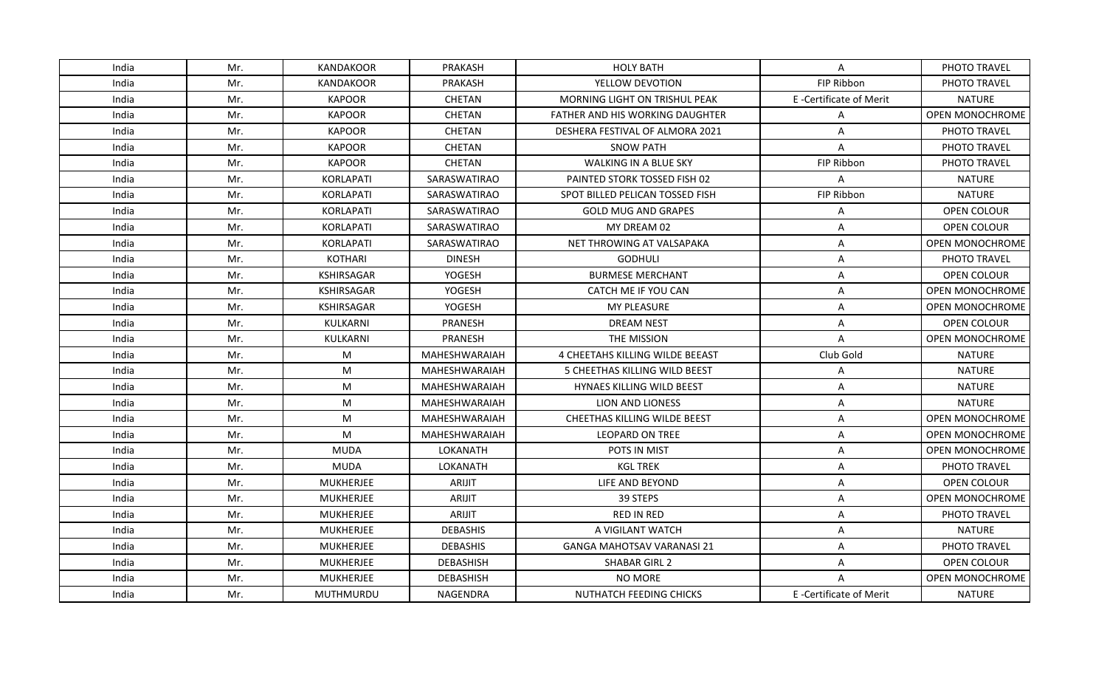| India | Mr. | KANDAKOOR         | PRAKASH          | <b>HOLY BATH</b>                       | A                      | PHOTO TRAVEL           |
|-------|-----|-------------------|------------------|----------------------------------------|------------------------|------------------------|
| India | Mr. | <b>KANDAKOOR</b>  | <b>PRAKASH</b>   | YELLOW DEVOTION                        | FIP Ribbon             | PHOTO TRAVEL           |
| India | Mr. | <b>KAPOOR</b>     | CHETAN           | MORNING LIGHT ON TRISHUL PEAK          | E-Certificate of Merit | <b>NATURE</b>          |
| India | Mr. | <b>KAPOOR</b>     | <b>CHETAN</b>    | <b>FATHER AND HIS WORKING DAUGHTER</b> | A                      | OPEN MONOCHROME        |
| India | Mr. | <b>KAPOOR</b>     | <b>CHETAN</b>    | DESHERA FESTIVAL OF ALMORA 2021        | Α                      | PHOTO TRAVEL           |
| India | Mr. | KAPOOR            | <b>CHETAN</b>    | SNOW PATH                              | A                      | <b>PHOTO TRAVEL</b>    |
| India | Mr. | <b>KAPOOR</b>     | CHETAN           | <b>WALKING IN A BLUE SKY</b>           | FIP Ribbon             | PHOTO TRAVEL           |
| India | Mr. | <b>KORLAPATI</b>  | SARASWATIRAO     | <b>PAINTED STORK TOSSED FISH 02</b>    | A                      | <b>NATURE</b>          |
| India | Mr. | <b>KORLAPATI</b>  | SARASWATIRAO     | SPOT BILLED PELICAN TOSSED FISH        | FIP Ribbon             | <b>NATURE</b>          |
| India | Mr. | <b>KORLAPATI</b>  | SARASWATIRAO     | <b>GOLD MUG AND GRAPES</b>             | A                      | OPEN COLOUR            |
| India | Mr. | <b>KORLAPATI</b>  | SARASWATIRAO     | MY DREAM 02                            | A                      | OPEN COLOUR            |
| India | Mr. | <b>KORLAPATI</b>  | SARASWATIRAO     | NET THROWING AT VALSAPAKA              | A                      | OPEN MONOCHROME        |
| India | Mr. | KOTHARI           | <b>DINESH</b>    | <b>GODHULI</b>                         | Α                      | PHOTO TRAVEL           |
| India | Mr. | <b>KSHIRSAGAR</b> | YOGESH           | <b>BURMESE MERCHANT</b>                | Α                      | OPEN COLOUR            |
| India | Mr. | <b>KSHIRSAGAR</b> | <b>YOGESH</b>    | CATCH ME IF YOU CAN                    | Α                      | OPEN MONOCHROME        |
| India | Mr. | <b>KSHIRSAGAR</b> | YOGESH           | MY PLEASURE                            | A                      | OPEN MONOCHROME        |
| India | Mr. | <b>KULKARNI</b>   | <b>PRANESH</b>   | <b>DREAM NEST</b>                      | Α                      | <b>OPEN COLOUR</b>     |
| India | Mr. | KULKARNI          | PRANESH          | THE MISSION                            | $\mathsf{A}$           | OPEN MONOCHROME        |
| India | Mr. | M                 | MAHESHWARAIAH    | <b>4 CHEETAHS KILLING WILDE BEEAST</b> | Club Gold              | <b>NATURE</b>          |
| India | Mr. | M                 | MAHESHWARAIAH    | 5 CHEETHAS KILLING WILD BEEST          | A                      | <b>NATURE</b>          |
| India | Mr. | M                 | MAHESHWARAIAH    | <b>HYNAES KILLING WILD BEEST</b>       | Α                      | <b>NATURE</b>          |
| India | Mr. | M                 | MAHESHWARAIAH    | LION AND LIONESS                       | Α                      | <b>NATURE</b>          |
| India | Mr. | M                 | MAHESHWARAIAH    | CHEETHAS KILLING WILDE BEEST           | Α                      | OPEN MONOCHROME        |
| India | Mr. | M                 | MAHESHWARAIAH    | <b>LEOPARD ON TREE</b>                 | Α                      | OPEN MONOCHROME        |
| India | Mr. | <b>MUDA</b>       | LOKANATH         | POTS IN MIST                           | Α                      | <b>OPEN MONOCHROME</b> |
| India | Mr. | MUDA              | LOKANATH         | <b>KGL TREK</b>                        | A                      | PHOTO TRAVEL           |
| India | Mr. | <b>MUKHERJEE</b>  | ARIJIT           | LIFE AND BEYOND                        | A                      | OPEN COLOUR            |
| India | Mr. | <b>MUKHERJEE</b>  | <b>ARIJIT</b>    | 39 STEPS                               | Α                      | <b>OPEN MONOCHROME</b> |
| India | Mr. | MUKHERJEE         | ARIJIT           | <b>RED IN RED</b>                      | Α                      | PHOTO TRAVEL           |
| India | Mr. | <b>MUKHERJEE</b>  | <b>DEBASHIS</b>  | A VIGILANT WATCH                       | A                      | <b>NATURE</b>          |
| India | Mr. | <b>MUKHERJEE</b>  | <b>DEBASHIS</b>  | <b>GANGA MAHOTSAV VARANASI 21</b>      | Α                      | PHOTO TRAVEL           |
| India | Mr. | MUKHERJEE         | DEBASHISH        | <b>SHABAR GIRL 2</b>                   | A                      | <b>OPEN COLOUR</b>     |
| India | Mr. | <b>MUKHERJEE</b>  | <b>DEBASHISH</b> | NO MORE                                | A                      | OPEN MONOCHROME        |
| India | Mr. | MUTHMURDU         | NAGENDRA         | <b>NUTHATCH FEEDING CHICKS</b>         | E-Certificate of Merit | NATURE                 |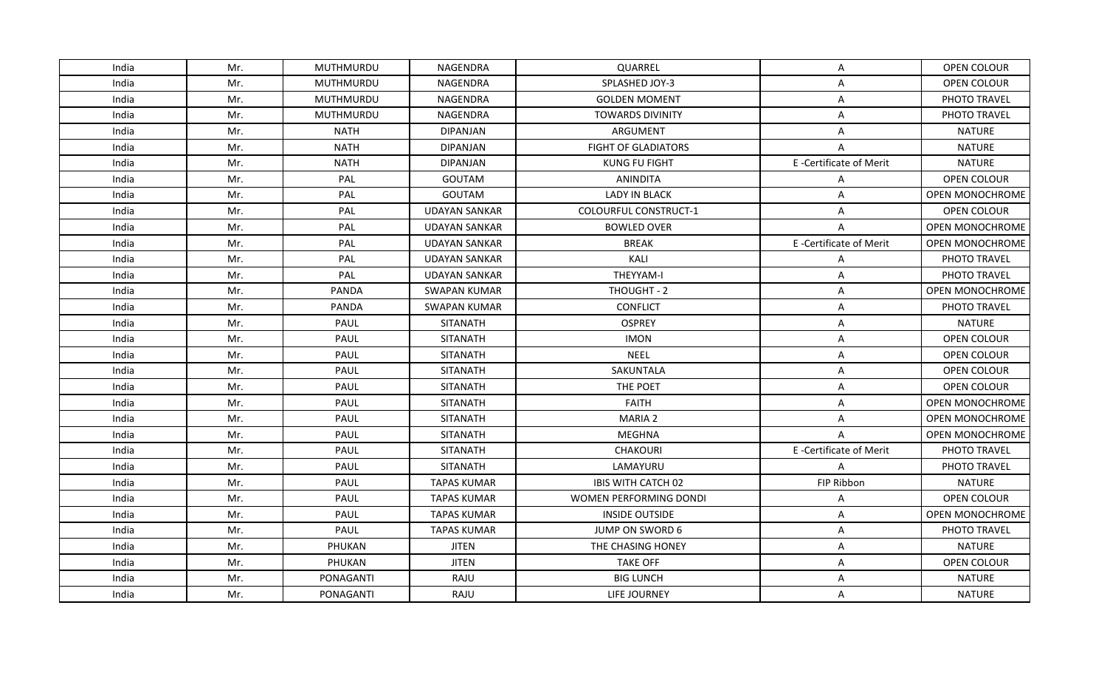| India | Mr. | MUTHMURDU        | NAGENDRA             | QUARREL                      | Α                      | <b>OPEN COLOUR</b>     |
|-------|-----|------------------|----------------------|------------------------------|------------------------|------------------------|
| India | Mr. | <b>MUTHMURDU</b> | <b>NAGENDRA</b>      | SPLASHED JOY-3               | Α                      | <b>OPEN COLOUR</b>     |
| India | Mr. | MUTHMURDU        | NAGENDRA             | <b>GOLDEN MOMENT</b>         | Α                      | PHOTO TRAVEL           |
| India | Mr. | MUTHMURDU        | NAGENDRA             | <b>TOWARDS DIVINITY</b>      | Α                      | PHOTO TRAVEL           |
| India | Mr. | <b>NATH</b>      | <b>DIPANJAN</b>      | ARGUMENT                     | Α                      | <b>NATURE</b>          |
| India | Mr. | <b>NATH</b>      | <b>DIPANJAN</b>      | <b>FIGHT OF GLADIATORS</b>   | A                      | <b>NATURE</b>          |
| India | Mr. | <b>NATH</b>      | <b>DIPANJAN</b>      | <b>KUNG FU FIGHT</b>         | E-Certificate of Merit | <b>NATURE</b>          |
| India | Mr. | PAL              | <b>GOUTAM</b>        | <b>ANINDITA</b>              | Α                      | OPEN COLOUR            |
| India | Mr. | PAL              | <b>GOUTAM</b>        | <b>LADY IN BLACK</b>         | A                      | <b>OPEN MONOCHROME</b> |
| India | Mr. | PAL              | <b>UDAYAN SANKAR</b> | <b>COLOURFUL CONSTRUCT-1</b> | Α                      | OPEN COLOUR            |
| India | Mr. | PAL              | <b>UDAYAN SANKAR</b> | <b>BOWLED OVER</b>           | A                      | OPEN MONOCHROME        |
| India | Mr. | PAL              | <b>UDAYAN SANKAR</b> | <b>BREAK</b>                 | E-Certificate of Merit | OPEN MONOCHROME        |
| India | Mr. | PAL              | <b>UDAYAN SANKAR</b> | KALI                         | A                      | PHOTO TRAVEL           |
| India | Mr. | PAL              | <b>UDAYAN SANKAR</b> | THEYYAM-I                    | Α                      | PHOTO TRAVEL           |
| India | Mr. | PANDA            | SWAPAN KUMAR         | THOUGHT - 2                  | Α                      | OPEN MONOCHROME        |
| India | Mr. | PANDA            | SWAPAN KUMAR         | <b>CONFLICT</b>              | A                      | PHOTO TRAVEL           |
| India | Mr. | PAUL             | <b>SITANATH</b>      | <b>OSPREY</b>                | Α                      | <b>NATURE</b>          |
| India | Mr. | PAUL             | <b>SITANATH</b>      | <b>IMON</b>                  | A                      | OPEN COLOUR            |
| India | Mr. | PAUL             | SITANATH             | <b>NEEL</b>                  | Α                      | <b>OPEN COLOUR</b>     |
| India | Mr. | PAUL             | <b>SITANATH</b>      | SAKUNTALA                    | A                      | <b>OPEN COLOUR</b>     |
| India | Mr. | <b>PAUL</b>      | <b>SITANATH</b>      | THE POET                     | A                      | OPEN COLOUR            |
| India | Mr. | PAUL             | <b>SITANATH</b>      | <b>FAITH</b>                 | A                      | OPEN MONOCHROME        |
| India | Mr. | PAUL             | <b>SITANATH</b>      | <b>MARIA 2</b>               | Α                      | OPEN MONOCHROME        |
| India | Mr. | PAUL             | SITANATH             | MEGHNA                       | A                      | OPEN MONOCHROME        |
| India | Mr. | PAUL             | <b>SITANATH</b>      | <b>CHAKOURI</b>              | E-Certificate of Merit | PHOTO TRAVEL           |
| India | Mr. | PAUL             | <b>SITANATH</b>      | LAMAYURU                     | Α                      | PHOTO TRAVEL           |
| India | Mr. | PAUL             | <b>TAPAS KUMAR</b>   | <b>IBIS WITH CATCH 02</b>    | FIP Ribbon             | <b>NATURE</b>          |
| India | Mr. | PAUL             | <b>TAPAS KUMAR</b>   | WOMEN PERFORMING DONDI       | Α                      | OPEN COLOUR            |
| India | Mr. | PAUL             | <b>TAPAS KUMAR</b>   | <b>INSIDE OUTSIDE</b>        | Α                      | OPEN MONOCHROME        |
| India | Mr. | PAUL             | <b>TAPAS KUMAR</b>   | JUMP ON SWORD 6              | A                      | PHOTO TRAVEL           |
| India | Mr. | PHUKAN           | <b>JITEN</b>         | THE CHASING HONEY            | Α                      | <b>NATURE</b>          |
| India | Mr. | PHUKAN           | <b>JITEN</b>         | <b>TAKE OFF</b>              | $\mathsf{A}$           | OPEN COLOUR            |
| India | Mr. | PONAGANTI        | RAJU                 | <b>BIG LUNCH</b>             | Α                      | <b>NATURE</b>          |
| India | Mr. | PONAGANTI        | RAJU                 | LIFE JOURNEY                 | A                      | NATURE                 |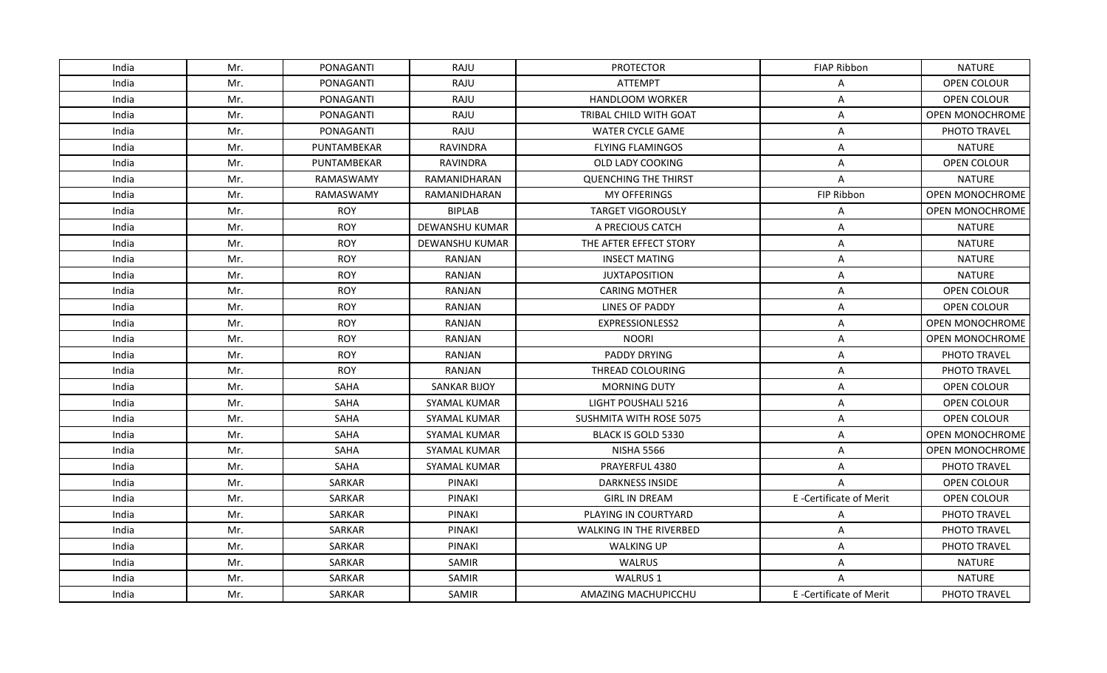| India | Mr. | PONAGANTI        | RAJU                  | <b>PROTECTOR</b>               | FIAP Ribbon            | NATURE              |
|-------|-----|------------------|-----------------------|--------------------------------|------------------------|---------------------|
| India | Mr. | PONAGANTI        | RAJU                  | ATTEMPT                        | A                      | <b>OPEN COLOUR</b>  |
| India | Mr. | PONAGANTI        | RAJU                  | HANDLOOM WORKER                | Α                      | OPEN COLOUR         |
| India | Mr. | <b>PONAGANTI</b> | RAJU                  | TRIBAL CHILD WITH GOAT         | Α                      | OPEN MONOCHROME     |
| India | Mr. | PONAGANTI        | RAJU                  | <b>WATER CYCLE GAME</b>        | Α                      | PHOTO TRAVEL        |
| India | Mr. | PUNTAMBEKAR      | <b>RAVINDRA</b>       | <b>FLYING FLAMINGOS</b>        | A                      | <b>NATURE</b>       |
| India | Mr. | PUNTAMBEKAR      | <b>RAVINDRA</b>       | OLD LADY COOKING               | Α                      | OPEN COLOUR         |
| India | Mr. | <b>RAMASWAMY</b> | RAMANIDHARAN          | <b>QUENCHING THE THIRST</b>    | A                      | <b>NATURE</b>       |
| India | Mr. | RAMASWAMY        | RAMANIDHARAN          | MY OFFERINGS                   | FIP Ribbon             | OPEN MONOCHROME     |
| India | Mr. | <b>ROY</b>       | <b>BIPLAB</b>         | <b>TARGET VIGOROUSLY</b>       | A                      | OPEN MONOCHROME     |
| India | Mr. | <b>ROY</b>       | DEWANSHU KUMAR        | A PRECIOUS CATCH               | A                      | NATURE              |
| India | Mr. | <b>ROY</b>       | <b>DEWANSHU KUMAR</b> | THE AFTER EFFECT STORY         | Α                      | <b>NATURE</b>       |
| India | Mr. | <b>ROY</b>       | RANJAN                | <b>INSECT MATING</b>           | Α                      | <b>NATURE</b>       |
| India | Mr. | <b>ROY</b>       | RANJAN                | <b>JUXTAPOSITION</b>           | A                      | <b>NATURE</b>       |
| India | Mr. | <b>ROY</b>       | RANJAN                | <b>CARING MOTHER</b>           | Α                      | OPEN COLOUR         |
| India | Mr. | <b>ROY</b>       | RANJAN                | LINES OF PADDY                 | A                      | OPEN COLOUR         |
| India | Mr. | <b>ROY</b>       | RANJAN                | EXPRESSIONLESS2                | Α                      | OPEN MONOCHROME     |
| India | Mr. | <b>ROY</b>       | <b>RANJAN</b>         | <b>NOORI</b>                   | A                      | OPEN MONOCHROME     |
| India | Mr. | <b>ROY</b>       | RANJAN                | PADDY DRYING                   | Α                      | PHOTO TRAVEL        |
| India | Mr. | <b>ROY</b>       | <b>RANJAN</b>         | THREAD COLOURING               | A                      | <b>PHOTO TRAVEL</b> |
| India | Mr. | SAHA             | <b>SANKAR BIJOY</b>   | <b>MORNING DUTY</b>            | Α                      | OPEN COLOUR         |
| India | Mr. | SAHA             | <b>SYAMAL KUMAR</b>   | LIGHT POUSHALI 5216            | Α                      | OPEN COLOUR         |
| India | Mr. | SAHA             | <b>SYAMAL KUMAR</b>   | SUSHMITA WITH ROSE 5075        | Α                      | OPEN COLOUR         |
| India | Mr. | SAHA             | <b>SYAMAL KUMAR</b>   | BLACK IS GOLD 5330             | Α                      | OPEN MONOCHROME     |
| India | Mr. | SAHA             | <b>SYAMAL KUMAR</b>   | <b>NISHA 5566</b>              | Α                      | OPEN MONOCHROME     |
| India | Mr. | SAHA             | SYAMAL KUMAR          | PRAYERFUL 4380                 | A                      | PHOTO TRAVEL        |
| India | Mr. | SARKAR           | PINAKI                | <b>DARKNESS INSIDE</b>         | A                      | OPEN COLOUR         |
| India | Mr. | SARKAR           | PINAKI                | <b>GIRL IN DREAM</b>           | E-Certificate of Merit | OPEN COLOUR         |
| India | Mr. | SARKAR           | PINAKI                | PLAYING IN COURTYARD           | Α                      | PHOTO TRAVEL        |
| India | Mr. | SARKAR           | PINAKI                | <b>WALKING IN THE RIVERBED</b> | Α                      | PHOTO TRAVEL        |
| India | Mr. | SARKAR           | PINAKI                | <b>WALKING UP</b>              | A                      | PHOTO TRAVEL        |
| India | Mr. | SARKAR           | SAMIR                 | <b>WALRUS</b>                  | A                      | <b>NATURE</b>       |
| India | Mr. | SARKAR           | SAMIR                 | WALRUS <sub>1</sub>            | A                      | <b>NATURE</b>       |
| India | Mr. | SARKAR           | SAMIR                 | AMAZING MACHUPICCHU            | E-Certificate of Merit | PHOTO TRAVEL        |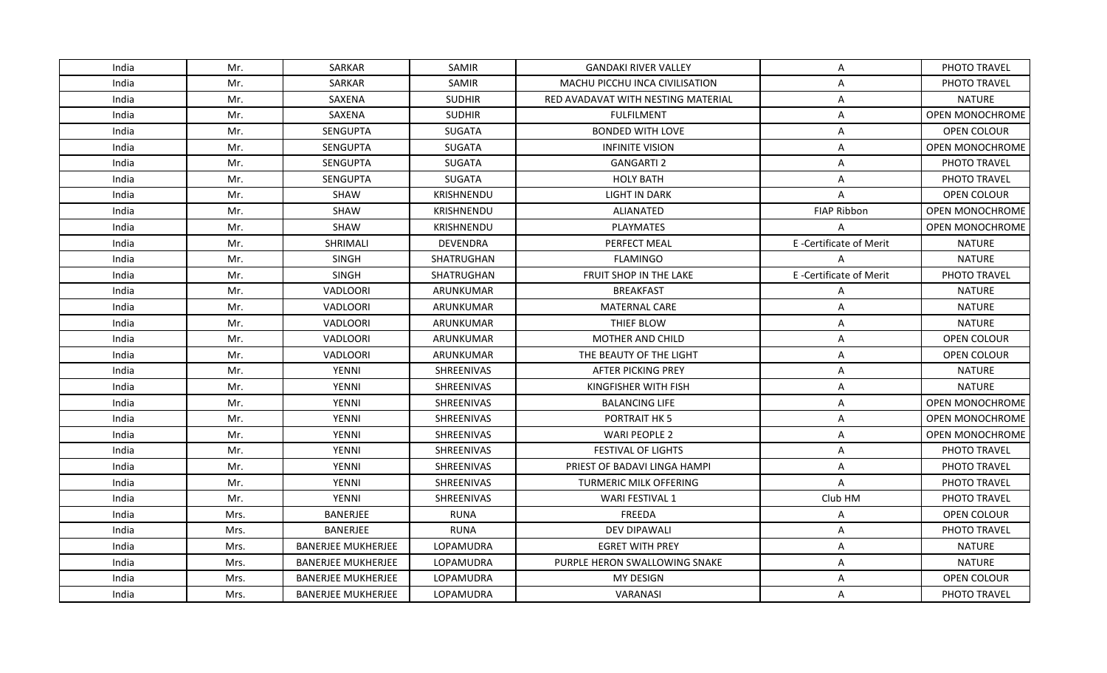| India<br>Mr.<br><b>SARKAR</b><br><b>SAMIR</b><br><b>GANDAKI RIVER VALLEY</b><br>A<br>India<br>Mr.<br><b>SARKAR</b><br><b>SAMIR</b><br>MACHU PICCHU INCA CIVILISATION<br>A<br>India<br>Mr.<br>SAXENA<br><b>SUDHIR</b><br>RED AVADAVAT WITH NESTING MATERIAL<br>A<br>India<br>SAXENA<br><b>SUDHIR</b><br><b>FULFILMENT</b><br>Mr.<br>A<br>Mr.<br>SENGUPTA<br><b>SUGATA</b><br><b>BONDED WITH LOVE</b><br>India<br>Α<br><b>SENGUPTA</b><br><b>SUGATA</b><br><b>INFINITE VISION</b><br>India<br>Mr.<br>A | PHOTO TRAVEL<br>PHOTO TRAVEL<br><b>NATURE</b><br>OPEN MONOCHROME<br><b>OPEN COLOUR</b><br>OPEN MONOCHROME |
|------------------------------------------------------------------------------------------------------------------------------------------------------------------------------------------------------------------------------------------------------------------------------------------------------------------------------------------------------------------------------------------------------------------------------------------------------------------------------------------------------|-----------------------------------------------------------------------------------------------------------|
|                                                                                                                                                                                                                                                                                                                                                                                                                                                                                                      |                                                                                                           |
|                                                                                                                                                                                                                                                                                                                                                                                                                                                                                                      |                                                                                                           |
|                                                                                                                                                                                                                                                                                                                                                                                                                                                                                                      |                                                                                                           |
|                                                                                                                                                                                                                                                                                                                                                                                                                                                                                                      |                                                                                                           |
|                                                                                                                                                                                                                                                                                                                                                                                                                                                                                                      |                                                                                                           |
|                                                                                                                                                                                                                                                                                                                                                                                                                                                                                                      |                                                                                                           |
| Mr.<br><b>SENGUPTA</b><br>SUGATA<br><b>GANGARTI 2</b><br>India<br>Α                                                                                                                                                                                                                                                                                                                                                                                                                                  | PHOTO TRAVEL                                                                                              |
| <b>HOLY BATH</b><br>Mr.<br>SENGUPTA<br>SUGATA<br>India<br>Α                                                                                                                                                                                                                                                                                                                                                                                                                                          | PHOTO TRAVEL                                                                                              |
| Mr.<br>SHAW<br>KRISHNENDU<br><b>LIGHT IN DARK</b><br>$\mathsf{A}$<br>India                                                                                                                                                                                                                                                                                                                                                                                                                           | OPEN COLOUR                                                                                               |
| Mr.<br><b>SHAW</b><br>KRISHNENDU<br>ALIANATED<br>FIAP Ribbon<br>India                                                                                                                                                                                                                                                                                                                                                                                                                                | OPEN MONOCHROME                                                                                           |
| Mr.<br><b>SHAW</b><br>KRISHNENDU<br><b>PLAYMATES</b><br>India<br>A                                                                                                                                                                                                                                                                                                                                                                                                                                   | OPEN MONOCHROME                                                                                           |
| SHRIMALI<br><b>DEVENDRA</b><br>PERFECT MEAL<br>E-Certificate of Merit<br>India<br>Mr.                                                                                                                                                                                                                                                                                                                                                                                                                | <b>NATURE</b>                                                                                             |
| SINGH<br>SHATRUGHAN<br><b>FLAMINGO</b><br>India<br>Mr.                                                                                                                                                                                                                                                                                                                                                                                                                                               | <b>NATURE</b>                                                                                             |
| E-Certificate of Merit<br>SINGH<br>SHATRUGHAN<br>FRUIT SHOP IN THE LAKE<br>India<br>Mr.                                                                                                                                                                                                                                                                                                                                                                                                              | PHOTO TRAVEL                                                                                              |
| Mr.<br>VADLOORI<br><b>BREAKFAST</b><br>India<br>ARUNKUMAR<br>Α                                                                                                                                                                                                                                                                                                                                                                                                                                       | <b>NATURE</b>                                                                                             |
| VADLOORI<br><b>MATERNAL CARE</b><br>India<br>Mr.<br>ARUNKUMAR<br>Α                                                                                                                                                                                                                                                                                                                                                                                                                                   | <b>NATURE</b>                                                                                             |
| VADLOORI<br>India<br>Mr.<br>ARUNKUMAR<br>THIEF BLOW<br>Α                                                                                                                                                                                                                                                                                                                                                                                                                                             | <b>NATURE</b>                                                                                             |
| VADLOORI<br>MOTHER AND CHILD<br>India<br>Mr.<br>ARUNKUMAR<br>Α                                                                                                                                                                                                                                                                                                                                                                                                                                       | OPEN COLOUR                                                                                               |
| VADLOORI<br>India<br>Mr.<br>ARUNKUMAR<br>THE BEAUTY OF THE LIGHT<br>Α                                                                                                                                                                                                                                                                                                                                                                                                                                | OPEN COLOUR                                                                                               |
| YENNI<br>India<br>Mr.<br>SHREENIVAS<br>AFTER PICKING PREY<br>A                                                                                                                                                                                                                                                                                                                                                                                                                                       | <b>NATURE</b>                                                                                             |
| SHREENIVAS<br>India<br>Mr.<br>YENNI<br>KINGFISHER WITH FISH<br>A                                                                                                                                                                                                                                                                                                                                                                                                                                     | <b>NATURE</b>                                                                                             |
| SHREENIVAS<br>India<br>Mr.<br>YENNI<br><b>BALANCING LIFE</b><br>A                                                                                                                                                                                                                                                                                                                                                                                                                                    | OPEN MONOCHROME                                                                                           |
| YENNI<br>SHREENIVAS<br>PORTRAIT HK 5<br>India<br>Mr.<br>Α                                                                                                                                                                                                                                                                                                                                                                                                                                            | <b>OPEN MONOCHROME</b>                                                                                    |
| YENNI<br>SHREENIVAS<br><b>WARI PEOPLE 2</b><br>India<br>Mr.<br>Α                                                                                                                                                                                                                                                                                                                                                                                                                                     | OPEN MONOCHROME                                                                                           |
| Mr.<br><b>YENNI</b><br><b>SHREENIVAS</b><br><b>FESTIVAL OF LIGHTS</b><br>India<br>Α                                                                                                                                                                                                                                                                                                                                                                                                                  | <b>PHOTO TRAVEL</b>                                                                                       |
| India<br>Mr.<br>YENNI<br>SHREENIVAS<br>PRIEST OF BADAVI LINGA HAMPI<br>A                                                                                                                                                                                                                                                                                                                                                                                                                             | PHOTO TRAVEL                                                                                              |
| SHREENIVAS<br>Mr.<br>YENNI<br><b>TURMERIC MILK OFFERING</b><br>Α<br>India                                                                                                                                                                                                                                                                                                                                                                                                                            | PHOTO TRAVEL                                                                                              |
| SHREENIVAS<br>Club HM<br>Mr.<br><b>YENNI</b><br>WARI FESTIVAL 1<br>India                                                                                                                                                                                                                                                                                                                                                                                                                             | PHOTO TRAVEL                                                                                              |
| BANERJEE<br>FREEDA<br>India<br><b>RUNA</b><br>Mrs.<br>A                                                                                                                                                                                                                                                                                                                                                                                                                                              | OPEN COLOUR                                                                                               |
| India<br><b>BANERJEE</b><br><b>RUNA</b><br><b>DEV DIPAWALI</b><br>Mrs.<br>A                                                                                                                                                                                                                                                                                                                                                                                                                          | PHOTO TRAVEL                                                                                              |
| India<br><b>BANERJEE MUKHERJEE</b><br>LOPAMUDRA<br><b>EGRET WITH PREY</b><br>Mrs.<br>A                                                                                                                                                                                                                                                                                                                                                                                                               | <b>NATURE</b>                                                                                             |
| <b>BANERJEE MUKHERJEE</b><br>LOPAMUDRA<br>PURPLE HERON SWALLOWING SNAKE<br>India<br>Mrs.<br>A                                                                                                                                                                                                                                                                                                                                                                                                        | <b>NATURE</b>                                                                                             |
| <b>BANERJEE MUKHERJEE</b><br>LOPAMUDRA<br>MY DESIGN<br>A<br>India<br>Mrs.                                                                                                                                                                                                                                                                                                                                                                                                                            | OPEN COLOUR                                                                                               |
| <b>BANERJEE MUKHERJEE</b><br>LOPAMUDRA<br>VARANASI<br>India<br>Mrs.<br>A                                                                                                                                                                                                                                                                                                                                                                                                                             | PHOTO TRAVEL                                                                                              |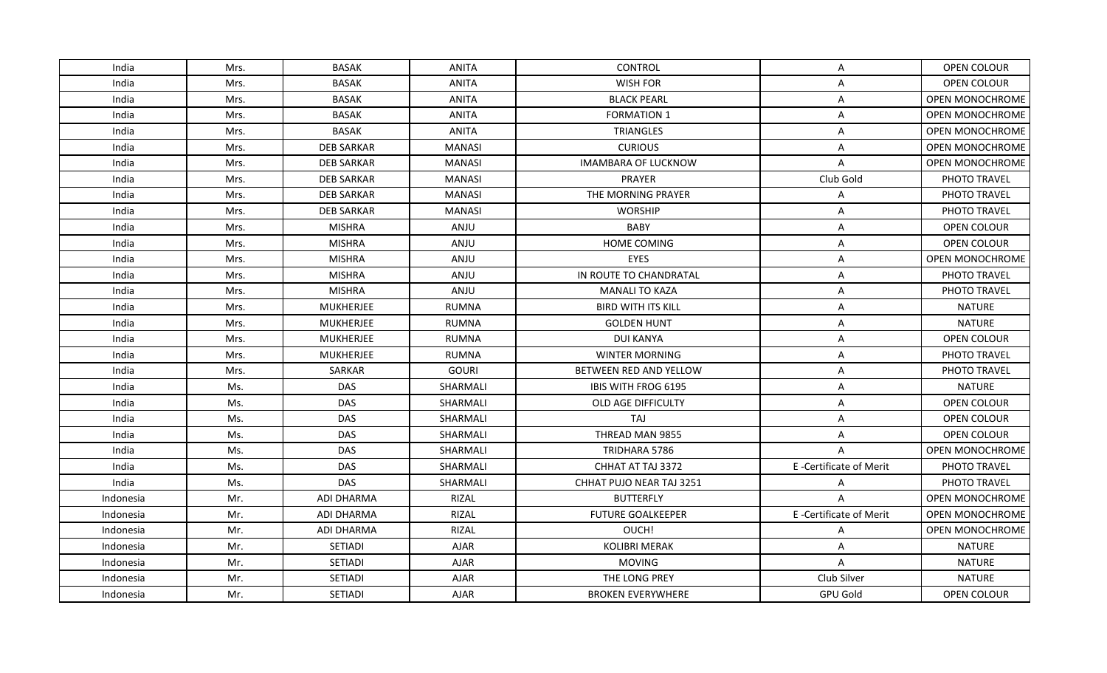| India<br>Mrs.<br><b>BASAK</b><br>ANITA<br><b>CONTROL</b><br>$\mathsf{A}$<br><b>OPEN COLOUR</b><br><b>BASAK</b><br><b>ANITA</b><br><b>WISH FOR</b><br>India<br>Mrs.<br><b>OPEN COLOUR</b><br>A<br><b>BASAK</b><br><b>BLACK PEARL</b><br>India<br>ANITA<br>Α<br>Mrs.<br><b>BASAK</b><br><b>ANITA</b><br><b>FORMATION 1</b><br>A<br>India<br>Mrs.<br><b>BASAK</b><br>TRIANGLES<br>India<br>Mrs.<br>ANITA<br>Α<br><b>DEB SARKAR</b><br><b>CURIOUS</b><br>India<br>Mrs.<br>MANASI<br>A<br><b>DEB SARKAR</b><br><b>IMAMBARA OF LUCKNOW</b><br>India<br>Mrs.<br><b>MANASI</b><br>Α<br>Club Gold<br>India<br>Mrs.<br><b>DEB SARKAR</b><br><b>MANASI</b><br><b>PRAYER</b><br>PHOTO TRAVEL<br>Mrs.<br><b>DEB SARKAR</b><br><b>MANASI</b><br>THE MORNING PRAYER<br>PHOTO TRAVEL<br>India<br>A<br>India<br>Mrs.<br><b>DEB SARKAR</b><br><b>MANASI</b><br>PHOTO TRAVEL<br><b>WORSHIP</b><br>Α<br><b>MISHRA</b><br><b>BABY</b><br>OPEN COLOUR<br>India<br>Mrs.<br>ANJU<br>A<br><b>MISHRA</b><br>ANJU<br><b>HOME COMING</b><br>OPEN COLOUR<br>India<br>Mrs.<br>Α<br><b>MISHRA</b><br><b>EYES</b><br>India<br>ANJU<br>Mrs.<br>Α<br>IN ROUTE TO CHANDRATAL<br><b>MISHRA</b><br>ANJU<br>A<br>PHOTO TRAVEL<br>India<br>Mrs.<br><b>MISHRA</b><br>ANJU<br><b>MANALI TO KAZA</b><br>PHOTO TRAVEL<br>India<br>Mrs.<br>Α<br>MUKHERJEE<br><b>NATURE</b><br>India<br>Mrs.<br>RUMNA<br><b>BIRD WITH ITS KILL</b><br>Α<br>MUKHERJEE<br><b>NATURE</b><br>India<br>Mrs.<br><b>RUMNA</b><br><b>GOLDEN HUNT</b><br>Α<br>MUKHERJEE<br>OPEN COLOUR<br>India<br>RUMNA<br><b>DUI KANYA</b><br>Mrs.<br>A<br>MUKHERJEE<br>India<br>Mrs.<br>RUMNA<br><b>WINTER MORNING</b><br>$\mathsf{A}$<br>PHOTO TRAVEL<br>India<br>Mrs.<br>SARKAR<br>GOURI<br>BETWEEN RED AND YELLOW<br>Α<br>PHOTO TRAVEL<br><b>DAS</b><br><b>NATURE</b><br>India<br>Ms.<br>SHARMALI<br><b>IBIS WITH FROG 6195</b><br>A<br>SHARMALI<br>OPEN COLOUR<br>India<br><b>DAS</b><br>OLD AGE DIFFICULTY<br>Ms.<br>Α<br>SHARMALI<br>TAJ<br>India<br>Ms.<br><b>DAS</b><br>Α<br>OPEN COLOUR<br>SHARMALI<br>THREAD MAN 9855<br>India<br>Ms.<br><b>DAS</b><br>Α<br><b>OPEN COLOUR</b><br>Ms.<br><b>DAS</b><br>SHARMALI<br>TRIDHARA 5786<br>India<br>A<br>E-Certificate of Merit<br>India<br>Ms.<br><b>DAS</b><br>SHARMALI<br>CHHAT AT TAJ 3372<br>PHOTO TRAVEL<br>India<br>Ms.<br><b>DAS</b><br>SHARMALI<br>CHHAT PUJO NEAR TAJ 3251<br>PHOTO TRAVEL<br>Α<br>ADI DHARMA<br><b>BUTTERFLY</b><br>Mr.<br>RIZAL<br>Indonesia<br>A<br><b>FUTURE GOALKEEPER</b><br>E-Certificate of Merit<br>Mr.<br>ADI DHARMA<br><b>RIZAL</b><br>Indonesia<br>Mr.<br>ADI DHARMA<br>RIZAL<br>OUCH!<br>Indonesia<br>A<br>SETIADI<br>Mr.<br><b>KOLIBRI MERAK</b><br><b>NATURE</b><br>Indonesia<br>AJAR<br>A<br>SETIADI<br>AJAR<br><b>MOVING</b><br>A<br><b>NATURE</b><br>Indonesia<br>Mr.<br>Club Silver<br><b>NATURE</b><br>Mr.<br><b>SETIADI</b><br><b>AJAR</b><br>THE LONG PREY<br>Indonesia<br>SETIADI<br>AJAR<br><b>BROKEN EVERYWHERE</b><br><b>GPU Gold</b><br>OPEN COLOUR<br>Indonesia<br>Mr. |  |  |  |                        |
|----------------------------------------------------------------------------------------------------------------------------------------------------------------------------------------------------------------------------------------------------------------------------------------------------------------------------------------------------------------------------------------------------------------------------------------------------------------------------------------------------------------------------------------------------------------------------------------------------------------------------------------------------------------------------------------------------------------------------------------------------------------------------------------------------------------------------------------------------------------------------------------------------------------------------------------------------------------------------------------------------------------------------------------------------------------------------------------------------------------------------------------------------------------------------------------------------------------------------------------------------------------------------------------------------------------------------------------------------------------------------------------------------------------------------------------------------------------------------------------------------------------------------------------------------------------------------------------------------------------------------------------------------------------------------------------------------------------------------------------------------------------------------------------------------------------------------------------------------------------------------------------------------------------------------------------------------------------------------------------------------------------------------------------------------------------------------------------------------------------------------------------------------------------------------------------------------------------------------------------------------------------------------------------------------------------------------------------------------------------------------------------------------------------------------------------------------------------------------------------------------------------------------------------------------------------------------------------------------------------------------------------------------------------------------------------------------------------------------------------------------------------------------------------------------------------------------------------------------------------------------------------------------------------------------------------------------------------------------------------------|--|--|--|------------------------|
|                                                                                                                                                                                                                                                                                                                                                                                                                                                                                                                                                                                                                                                                                                                                                                                                                                                                                                                                                                                                                                                                                                                                                                                                                                                                                                                                                                                                                                                                                                                                                                                                                                                                                                                                                                                                                                                                                                                                                                                                                                                                                                                                                                                                                                                                                                                                                                                                                                                                                                                                                                                                                                                                                                                                                                                                                                                                                                                                                                                              |  |  |  |                        |
|                                                                                                                                                                                                                                                                                                                                                                                                                                                                                                                                                                                                                                                                                                                                                                                                                                                                                                                                                                                                                                                                                                                                                                                                                                                                                                                                                                                                                                                                                                                                                                                                                                                                                                                                                                                                                                                                                                                                                                                                                                                                                                                                                                                                                                                                                                                                                                                                                                                                                                                                                                                                                                                                                                                                                                                                                                                                                                                                                                                              |  |  |  |                        |
|                                                                                                                                                                                                                                                                                                                                                                                                                                                                                                                                                                                                                                                                                                                                                                                                                                                                                                                                                                                                                                                                                                                                                                                                                                                                                                                                                                                                                                                                                                                                                                                                                                                                                                                                                                                                                                                                                                                                                                                                                                                                                                                                                                                                                                                                                                                                                                                                                                                                                                                                                                                                                                                                                                                                                                                                                                                                                                                                                                                              |  |  |  | OPEN MONOCHROME        |
|                                                                                                                                                                                                                                                                                                                                                                                                                                                                                                                                                                                                                                                                                                                                                                                                                                                                                                                                                                                                                                                                                                                                                                                                                                                                                                                                                                                                                                                                                                                                                                                                                                                                                                                                                                                                                                                                                                                                                                                                                                                                                                                                                                                                                                                                                                                                                                                                                                                                                                                                                                                                                                                                                                                                                                                                                                                                                                                                                                                              |  |  |  | OPEN MONOCHROME        |
|                                                                                                                                                                                                                                                                                                                                                                                                                                                                                                                                                                                                                                                                                                                                                                                                                                                                                                                                                                                                                                                                                                                                                                                                                                                                                                                                                                                                                                                                                                                                                                                                                                                                                                                                                                                                                                                                                                                                                                                                                                                                                                                                                                                                                                                                                                                                                                                                                                                                                                                                                                                                                                                                                                                                                                                                                                                                                                                                                                                              |  |  |  | OPEN MONOCHROME        |
|                                                                                                                                                                                                                                                                                                                                                                                                                                                                                                                                                                                                                                                                                                                                                                                                                                                                                                                                                                                                                                                                                                                                                                                                                                                                                                                                                                                                                                                                                                                                                                                                                                                                                                                                                                                                                                                                                                                                                                                                                                                                                                                                                                                                                                                                                                                                                                                                                                                                                                                                                                                                                                                                                                                                                                                                                                                                                                                                                                                              |  |  |  | OPEN MONOCHROME        |
|                                                                                                                                                                                                                                                                                                                                                                                                                                                                                                                                                                                                                                                                                                                                                                                                                                                                                                                                                                                                                                                                                                                                                                                                                                                                                                                                                                                                                                                                                                                                                                                                                                                                                                                                                                                                                                                                                                                                                                                                                                                                                                                                                                                                                                                                                                                                                                                                                                                                                                                                                                                                                                                                                                                                                                                                                                                                                                                                                                                              |  |  |  | OPEN MONOCHROME        |
|                                                                                                                                                                                                                                                                                                                                                                                                                                                                                                                                                                                                                                                                                                                                                                                                                                                                                                                                                                                                                                                                                                                                                                                                                                                                                                                                                                                                                                                                                                                                                                                                                                                                                                                                                                                                                                                                                                                                                                                                                                                                                                                                                                                                                                                                                                                                                                                                                                                                                                                                                                                                                                                                                                                                                                                                                                                                                                                                                                                              |  |  |  |                        |
|                                                                                                                                                                                                                                                                                                                                                                                                                                                                                                                                                                                                                                                                                                                                                                                                                                                                                                                                                                                                                                                                                                                                                                                                                                                                                                                                                                                                                                                                                                                                                                                                                                                                                                                                                                                                                                                                                                                                                                                                                                                                                                                                                                                                                                                                                                                                                                                                                                                                                                                                                                                                                                                                                                                                                                                                                                                                                                                                                                                              |  |  |  |                        |
|                                                                                                                                                                                                                                                                                                                                                                                                                                                                                                                                                                                                                                                                                                                                                                                                                                                                                                                                                                                                                                                                                                                                                                                                                                                                                                                                                                                                                                                                                                                                                                                                                                                                                                                                                                                                                                                                                                                                                                                                                                                                                                                                                                                                                                                                                                                                                                                                                                                                                                                                                                                                                                                                                                                                                                                                                                                                                                                                                                                              |  |  |  |                        |
|                                                                                                                                                                                                                                                                                                                                                                                                                                                                                                                                                                                                                                                                                                                                                                                                                                                                                                                                                                                                                                                                                                                                                                                                                                                                                                                                                                                                                                                                                                                                                                                                                                                                                                                                                                                                                                                                                                                                                                                                                                                                                                                                                                                                                                                                                                                                                                                                                                                                                                                                                                                                                                                                                                                                                                                                                                                                                                                                                                                              |  |  |  |                        |
|                                                                                                                                                                                                                                                                                                                                                                                                                                                                                                                                                                                                                                                                                                                                                                                                                                                                                                                                                                                                                                                                                                                                                                                                                                                                                                                                                                                                                                                                                                                                                                                                                                                                                                                                                                                                                                                                                                                                                                                                                                                                                                                                                                                                                                                                                                                                                                                                                                                                                                                                                                                                                                                                                                                                                                                                                                                                                                                                                                                              |  |  |  |                        |
|                                                                                                                                                                                                                                                                                                                                                                                                                                                                                                                                                                                                                                                                                                                                                                                                                                                                                                                                                                                                                                                                                                                                                                                                                                                                                                                                                                                                                                                                                                                                                                                                                                                                                                                                                                                                                                                                                                                                                                                                                                                                                                                                                                                                                                                                                                                                                                                                                                                                                                                                                                                                                                                                                                                                                                                                                                                                                                                                                                                              |  |  |  | OPEN MONOCHROME        |
|                                                                                                                                                                                                                                                                                                                                                                                                                                                                                                                                                                                                                                                                                                                                                                                                                                                                                                                                                                                                                                                                                                                                                                                                                                                                                                                                                                                                                                                                                                                                                                                                                                                                                                                                                                                                                                                                                                                                                                                                                                                                                                                                                                                                                                                                                                                                                                                                                                                                                                                                                                                                                                                                                                                                                                                                                                                                                                                                                                                              |  |  |  |                        |
|                                                                                                                                                                                                                                                                                                                                                                                                                                                                                                                                                                                                                                                                                                                                                                                                                                                                                                                                                                                                                                                                                                                                                                                                                                                                                                                                                                                                                                                                                                                                                                                                                                                                                                                                                                                                                                                                                                                                                                                                                                                                                                                                                                                                                                                                                                                                                                                                                                                                                                                                                                                                                                                                                                                                                                                                                                                                                                                                                                                              |  |  |  |                        |
|                                                                                                                                                                                                                                                                                                                                                                                                                                                                                                                                                                                                                                                                                                                                                                                                                                                                                                                                                                                                                                                                                                                                                                                                                                                                                                                                                                                                                                                                                                                                                                                                                                                                                                                                                                                                                                                                                                                                                                                                                                                                                                                                                                                                                                                                                                                                                                                                                                                                                                                                                                                                                                                                                                                                                                                                                                                                                                                                                                                              |  |  |  |                        |
|                                                                                                                                                                                                                                                                                                                                                                                                                                                                                                                                                                                                                                                                                                                                                                                                                                                                                                                                                                                                                                                                                                                                                                                                                                                                                                                                                                                                                                                                                                                                                                                                                                                                                                                                                                                                                                                                                                                                                                                                                                                                                                                                                                                                                                                                                                                                                                                                                                                                                                                                                                                                                                                                                                                                                                                                                                                                                                                                                                                              |  |  |  |                        |
|                                                                                                                                                                                                                                                                                                                                                                                                                                                                                                                                                                                                                                                                                                                                                                                                                                                                                                                                                                                                                                                                                                                                                                                                                                                                                                                                                                                                                                                                                                                                                                                                                                                                                                                                                                                                                                                                                                                                                                                                                                                                                                                                                                                                                                                                                                                                                                                                                                                                                                                                                                                                                                                                                                                                                                                                                                                                                                                                                                                              |  |  |  |                        |
|                                                                                                                                                                                                                                                                                                                                                                                                                                                                                                                                                                                                                                                                                                                                                                                                                                                                                                                                                                                                                                                                                                                                                                                                                                                                                                                                                                                                                                                                                                                                                                                                                                                                                                                                                                                                                                                                                                                                                                                                                                                                                                                                                                                                                                                                                                                                                                                                                                                                                                                                                                                                                                                                                                                                                                                                                                                                                                                                                                                              |  |  |  |                        |
|                                                                                                                                                                                                                                                                                                                                                                                                                                                                                                                                                                                                                                                                                                                                                                                                                                                                                                                                                                                                                                                                                                                                                                                                                                                                                                                                                                                                                                                                                                                                                                                                                                                                                                                                                                                                                                                                                                                                                                                                                                                                                                                                                                                                                                                                                                                                                                                                                                                                                                                                                                                                                                                                                                                                                                                                                                                                                                                                                                                              |  |  |  |                        |
|                                                                                                                                                                                                                                                                                                                                                                                                                                                                                                                                                                                                                                                                                                                                                                                                                                                                                                                                                                                                                                                                                                                                                                                                                                                                                                                                                                                                                                                                                                                                                                                                                                                                                                                                                                                                                                                                                                                                                                                                                                                                                                                                                                                                                                                                                                                                                                                                                                                                                                                                                                                                                                                                                                                                                                                                                                                                                                                                                                                              |  |  |  |                        |
|                                                                                                                                                                                                                                                                                                                                                                                                                                                                                                                                                                                                                                                                                                                                                                                                                                                                                                                                                                                                                                                                                                                                                                                                                                                                                                                                                                                                                                                                                                                                                                                                                                                                                                                                                                                                                                                                                                                                                                                                                                                                                                                                                                                                                                                                                                                                                                                                                                                                                                                                                                                                                                                                                                                                                                                                                                                                                                                                                                                              |  |  |  |                        |
|                                                                                                                                                                                                                                                                                                                                                                                                                                                                                                                                                                                                                                                                                                                                                                                                                                                                                                                                                                                                                                                                                                                                                                                                                                                                                                                                                                                                                                                                                                                                                                                                                                                                                                                                                                                                                                                                                                                                                                                                                                                                                                                                                                                                                                                                                                                                                                                                                                                                                                                                                                                                                                                                                                                                                                                                                                                                                                                                                                                              |  |  |  |                        |
|                                                                                                                                                                                                                                                                                                                                                                                                                                                                                                                                                                                                                                                                                                                                                                                                                                                                                                                                                                                                                                                                                                                                                                                                                                                                                                                                                                                                                                                                                                                                                                                                                                                                                                                                                                                                                                                                                                                                                                                                                                                                                                                                                                                                                                                                                                                                                                                                                                                                                                                                                                                                                                                                                                                                                                                                                                                                                                                                                                                              |  |  |  |                        |
|                                                                                                                                                                                                                                                                                                                                                                                                                                                                                                                                                                                                                                                                                                                                                                                                                                                                                                                                                                                                                                                                                                                                                                                                                                                                                                                                                                                                                                                                                                                                                                                                                                                                                                                                                                                                                                                                                                                                                                                                                                                                                                                                                                                                                                                                                                                                                                                                                                                                                                                                                                                                                                                                                                                                                                                                                                                                                                                                                                                              |  |  |  | <b>OPEN MONOCHROME</b> |
|                                                                                                                                                                                                                                                                                                                                                                                                                                                                                                                                                                                                                                                                                                                                                                                                                                                                                                                                                                                                                                                                                                                                                                                                                                                                                                                                                                                                                                                                                                                                                                                                                                                                                                                                                                                                                                                                                                                                                                                                                                                                                                                                                                                                                                                                                                                                                                                                                                                                                                                                                                                                                                                                                                                                                                                                                                                                                                                                                                                              |  |  |  |                        |
|                                                                                                                                                                                                                                                                                                                                                                                                                                                                                                                                                                                                                                                                                                                                                                                                                                                                                                                                                                                                                                                                                                                                                                                                                                                                                                                                                                                                                                                                                                                                                                                                                                                                                                                                                                                                                                                                                                                                                                                                                                                                                                                                                                                                                                                                                                                                                                                                                                                                                                                                                                                                                                                                                                                                                                                                                                                                                                                                                                                              |  |  |  |                        |
|                                                                                                                                                                                                                                                                                                                                                                                                                                                                                                                                                                                                                                                                                                                                                                                                                                                                                                                                                                                                                                                                                                                                                                                                                                                                                                                                                                                                                                                                                                                                                                                                                                                                                                                                                                                                                                                                                                                                                                                                                                                                                                                                                                                                                                                                                                                                                                                                                                                                                                                                                                                                                                                                                                                                                                                                                                                                                                                                                                                              |  |  |  | OPEN MONOCHROME        |
|                                                                                                                                                                                                                                                                                                                                                                                                                                                                                                                                                                                                                                                                                                                                                                                                                                                                                                                                                                                                                                                                                                                                                                                                                                                                                                                                                                                                                                                                                                                                                                                                                                                                                                                                                                                                                                                                                                                                                                                                                                                                                                                                                                                                                                                                                                                                                                                                                                                                                                                                                                                                                                                                                                                                                                                                                                                                                                                                                                                              |  |  |  | OPEN MONOCHROME        |
|                                                                                                                                                                                                                                                                                                                                                                                                                                                                                                                                                                                                                                                                                                                                                                                                                                                                                                                                                                                                                                                                                                                                                                                                                                                                                                                                                                                                                                                                                                                                                                                                                                                                                                                                                                                                                                                                                                                                                                                                                                                                                                                                                                                                                                                                                                                                                                                                                                                                                                                                                                                                                                                                                                                                                                                                                                                                                                                                                                                              |  |  |  | OPEN MONOCHROME        |
|                                                                                                                                                                                                                                                                                                                                                                                                                                                                                                                                                                                                                                                                                                                                                                                                                                                                                                                                                                                                                                                                                                                                                                                                                                                                                                                                                                                                                                                                                                                                                                                                                                                                                                                                                                                                                                                                                                                                                                                                                                                                                                                                                                                                                                                                                                                                                                                                                                                                                                                                                                                                                                                                                                                                                                                                                                                                                                                                                                                              |  |  |  |                        |
|                                                                                                                                                                                                                                                                                                                                                                                                                                                                                                                                                                                                                                                                                                                                                                                                                                                                                                                                                                                                                                                                                                                                                                                                                                                                                                                                                                                                                                                                                                                                                                                                                                                                                                                                                                                                                                                                                                                                                                                                                                                                                                                                                                                                                                                                                                                                                                                                                                                                                                                                                                                                                                                                                                                                                                                                                                                                                                                                                                                              |  |  |  |                        |
|                                                                                                                                                                                                                                                                                                                                                                                                                                                                                                                                                                                                                                                                                                                                                                                                                                                                                                                                                                                                                                                                                                                                                                                                                                                                                                                                                                                                                                                                                                                                                                                                                                                                                                                                                                                                                                                                                                                                                                                                                                                                                                                                                                                                                                                                                                                                                                                                                                                                                                                                                                                                                                                                                                                                                                                                                                                                                                                                                                                              |  |  |  |                        |
|                                                                                                                                                                                                                                                                                                                                                                                                                                                                                                                                                                                                                                                                                                                                                                                                                                                                                                                                                                                                                                                                                                                                                                                                                                                                                                                                                                                                                                                                                                                                                                                                                                                                                                                                                                                                                                                                                                                                                                                                                                                                                                                                                                                                                                                                                                                                                                                                                                                                                                                                                                                                                                                                                                                                                                                                                                                                                                                                                                                              |  |  |  |                        |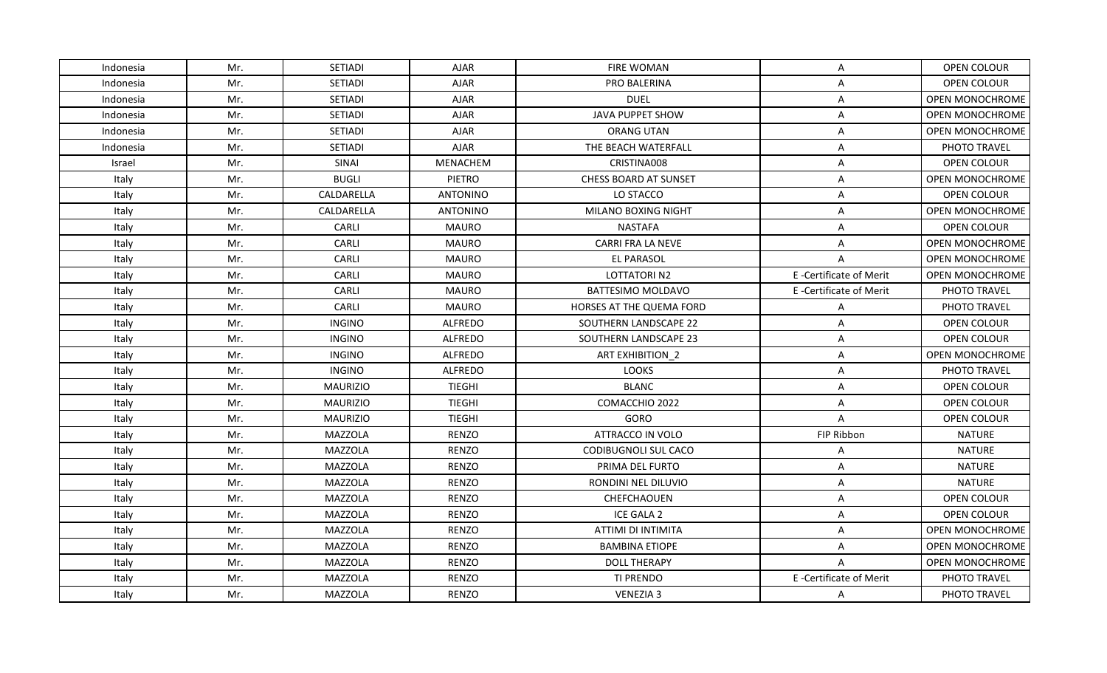| Indonesia | Mr. | <b>SETIADI</b>  | <b>AJAR</b>     | <b>FIRE WOMAN</b>            | Α                      | <b>OPEN COLOUR</b> |
|-----------|-----|-----------------|-----------------|------------------------------|------------------------|--------------------|
| Indonesia | Mr. | <b>SETIADI</b>  | <b>AJAR</b>     | PRO BALERINA                 | A                      | <b>OPEN COLOUR</b> |
| Indonesia | Mr. | SETIADI         | <b>AJAR</b>     | <b>DUEL</b>                  | Α                      | OPEN MONOCHROME    |
| Indonesia | Mr. | SETIADI         | <b>AJAR</b>     | <b>JAVA PUPPET SHOW</b>      | A                      | OPEN MONOCHROME    |
| Indonesia | Mr. | SETIADI         | <b>AJAR</b>     | <b>ORANG UTAN</b>            | Α                      | OPEN MONOCHROME    |
| Indonesia | Mr. | SETIADI         | <b>AJAR</b>     | THE BEACH WATERFALL          | Α                      | PHOTO TRAVEL       |
| Israel    | Mr. | SINAI           | MENACHEM        | CRISTINA008                  | Α                      | OPEN COLOUR        |
| Italy     | Mr. | <b>BUGLI</b>    | PIETRO          | <b>CHESS BOARD AT SUNSET</b> | Α                      | OPEN MONOCHROME    |
| Italy     | Mr. | CALDARELLA      | <b>ANTONINO</b> | LO STACCO                    | A                      | OPEN COLOUR        |
| Italy     | Mr. | CALDARELLA      | <b>ANTONINO</b> | MILANO BOXING NIGHT          | Α                      | OPEN MONOCHROME    |
| Italy     | Mr. | <b>CARLI</b>    | <b>MAURO</b>    | <b>NASTAFA</b>               | A                      | OPEN COLOUR        |
| Italy     | Mr. | CARLI           | <b>MAURO</b>    | <b>CARRI FRA LA NEVE</b>     | Α                      | OPEN MONOCHROME    |
| Italy     | Mr. | CARLI           | <b>MAURO</b>    | <b>EL PARASOL</b>            | A                      | OPEN MONOCHROME    |
| Italy     | Mr. | CARLI           | <b>MAURO</b>    | <b>LOTTATORIN2</b>           | E-Certificate of Merit | OPEN MONOCHROME    |
| Italy     | Mr. | CARLI           | <b>MAURO</b>    | <b>BATTESIMO MOLDAVO</b>     | E-Certificate of Merit | PHOTO TRAVEL       |
| Italy     | Mr. | CARLI           | <b>MAURO</b>    | HORSES AT THE QUEMA FORD     | Α                      | PHOTO TRAVEL       |
| Italy     | Mr. | <b>INGINO</b>   | <b>ALFREDO</b>  | SOUTHERN LANDSCAPE 22        | Α                      | OPEN COLOUR        |
| Italy     | Mr. | <b>INGINO</b>   | ALFREDO         | SOUTHERN LANDSCAPE 23        | A                      | OPEN COLOUR        |
| Italy     | Mr. | <b>INGINO</b>   | ALFREDO         | ART EXHIBITION_2             | Α                      | OPEN MONOCHROME    |
| Italy     | Mr. | <b>INGINO</b>   | ALFREDO         | <b>LOOKS</b>                 | Α                      | PHOTO TRAVEL       |
| Italy     | Mr. | <b>MAURIZIO</b> | TIEGHI          | <b>BLANC</b>                 | Α                      | OPEN COLOUR        |
| Italy     | Mr. | <b>MAURIZIO</b> | TIEGHI          | COMACCHIO 2022               | Α                      | OPEN COLOUR        |
| Italy     | Mr. | <b>MAURIZIO</b> | <b>TIEGHI</b>   | GORO                         | A                      | <b>OPEN COLOUR</b> |
| Italy     | Mr. | <b>MAZZOLA</b>  | <b>RENZO</b>    | ATTRACCO IN VOLO             | FIP Ribbon             | <b>NATURE</b>      |
| Italy     | Mr. | MAZZOLA         | RENZO           | <b>CODIBUGNOLI SUL CACO</b>  | A                      | <b>NATURE</b>      |
| Italy     | Mr. | <b>MAZZOLA</b>  | RENZO           | PRIMA DEL FURTO              | Α                      | <b>NATURE</b>      |
| Italy     | Mr. | MAZZOLA         | RENZO           | RONDINI NEL DILUVIO          | Α                      | <b>NATURE</b>      |
| Italy     | Mr. | <b>MAZZOLA</b>  | <b>RENZO</b>    | CHEFCHAOUEN                  | A                      | OPEN COLOUR        |
| Italy     | Mr. | <b>MAZZOLA</b>  | RENZO           | ICE GALA 2                   | Α                      | OPEN COLOUR        |
| Italy     | Mr. | <b>MAZZOLA</b>  | RENZO           | ATTIMI DI INTIMITA           | Α                      | OPEN MONOCHROME    |
| Italy     | Mr. | MAZZOLA         | RENZO           | <b>BAMBINA ETIOPE</b>        | A                      | OPEN MONOCHROME    |
| Italy     | Mr. | MAZZOLA         | RENZO           | <b>DOLL THERAPY</b>          | A                      | OPEN MONOCHROME    |
| Italy     | Mr. | <b>MAZZOLA</b>  | <b>RENZO</b>    | TI PRENDO                    | E-Certificate of Merit | PHOTO TRAVEL       |
| Italy     | Mr. | MAZZOLA         | RENZO           | <b>VENEZIA 3</b>             | $\mathsf{A}$           | PHOTO TRAVEL       |
|           |     |                 |                 |                              |                        |                    |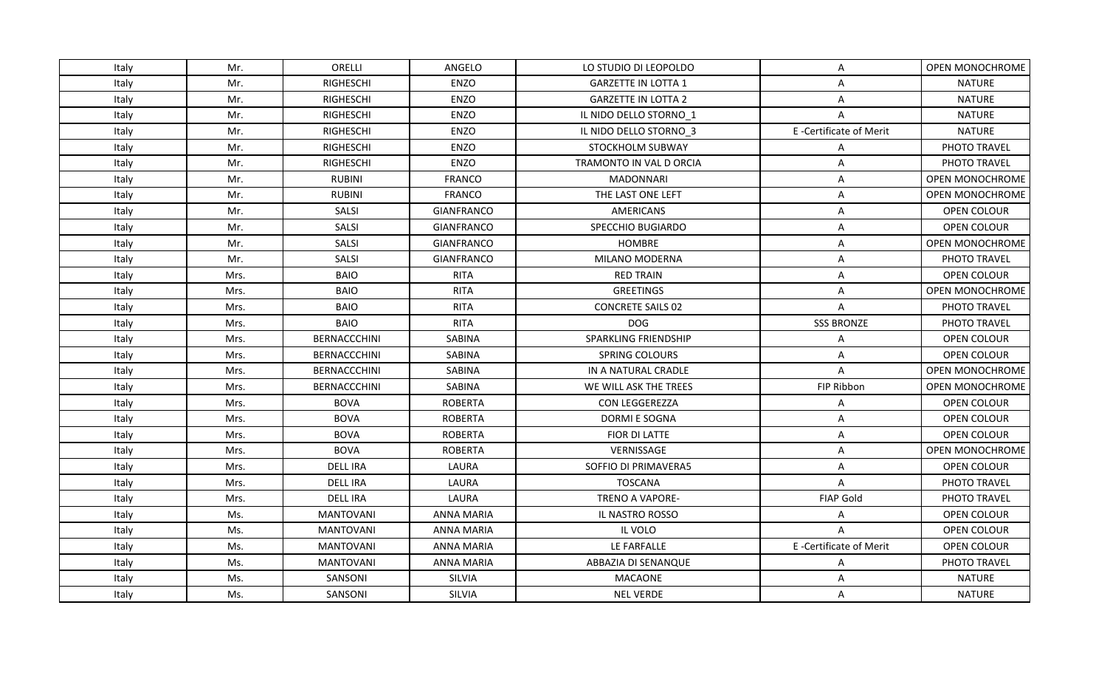| Italy | Mr.  | ORELLI              | ANGELO            | LO STUDIO DI LEOPOLDO      | A                      | OPEN MONOCHROME        |
|-------|------|---------------------|-------------------|----------------------------|------------------------|------------------------|
| Italy | Mr.  | <b>RIGHESCHI</b>    | <b>ENZO</b>       | <b>GARZETTE IN LOTTA 1</b> | Α                      | <b>NATURE</b>          |
| Italy | Mr.  | <b>RIGHESCHI</b>    | ENZO              | <b>GARZETTE IN LOTTA 2</b> | Α                      | <b>NATURE</b>          |
| Italy | Mr.  | <b>RIGHESCHI</b>    | ENZO              | IL NIDO DELLO STORNO 1     | A                      | <b>NATURE</b>          |
| Italy | Mr.  | <b>RIGHESCHI</b>    | ENZO              | IL NIDO DELLO STORNO 3     | E-Certificate of Merit | <b>NATURE</b>          |
| Italy | Mr.  | <b>RIGHESCHI</b>    | ENZO              | STOCKHOLM SUBWAY           | Α                      | PHOTO TRAVEL           |
| Italy | Mr.  | <b>RIGHESCHI</b>    | ENZO              | TRAMONTO IN VAL D ORCIA    | A                      | PHOTO TRAVEL           |
| Italy | Mr.  | <b>RUBINI</b>       | <b>FRANCO</b>     | <b>MADONNARI</b>           | Α                      | OPEN MONOCHROME        |
| Italy | Mr.  | <b>RUBINI</b>       | <b>FRANCO</b>     | THE LAST ONE LEFT          | A                      | <b>OPEN MONOCHROME</b> |
| Italy | Mr.  | SALSI               | <b>GIANFRANCO</b> | AMERICANS                  | Α                      | OPEN COLOUR            |
| Italy | Mr.  | <b>SALSI</b>        | <b>GIANFRANCO</b> | SPECCHIO BUGIARDO          | A                      | OPEN COLOUR            |
| Italy | Mr.  | <b>SALSI</b>        | <b>GIANFRANCO</b> | HOMBRE                     | A                      | OPEN MONOCHROME        |
| Italy | Mr.  | SALSI               | <b>GIANFRANCO</b> | MILANO MODERNA             | Α                      | PHOTO TRAVEL           |
| Italy | Mrs. | <b>BAIO</b>         | RITA              | <b>RED TRAIN</b>           | Α                      | OPEN COLOUR            |
| Italy | Mrs. | <b>BAIO</b>         | <b>RITA</b>       | <b>GREETINGS</b>           | Α                      | OPEN MONOCHROME        |
| Italy | Mrs. | <b>BAIO</b>         | <b>RITA</b>       | <b>CONCRETE SAILS 02</b>   | A                      | PHOTO TRAVEL           |
| Italy | Mrs. | <b>BAIO</b>         | <b>RITA</b>       | <b>DOG</b>                 | <b>SSS BRONZE</b>      | PHOTO TRAVEL           |
| Italy | Mrs. | BERNACCCHINI        | SABINA            | SPARKLING FRIENDSHIP       | Α                      | OPEN COLOUR            |
| Italy | Mrs. | <b>BERNACCCHINI</b> | SABINA            | <b>SPRING COLOURS</b>      | A                      | OPEN COLOUR            |
| Italy | Mrs. | BERNACCCHINI        | SABINA            | IN A NATURAL CRADLE        | A                      | OPEN MONOCHROME        |
| Italy | Mrs. | BERNACCCHINI        | SABINA            | WE WILL ASK THE TREES      | FIP Ribbon             | OPEN MONOCHROME        |
| Italy | Mrs. | <b>BOVA</b>         | <b>ROBERTA</b>    | CON LEGGEREZZA             | A                      | OPEN COLOUR            |
| Italy | Mrs. | <b>BOVA</b>         | <b>ROBERTA</b>    | DORMI E SOGNA              | Α                      | OPEN COLOUR            |
| Italy | Mrs. | <b>BOVA</b>         | <b>ROBERTA</b>    | FIOR DI LATTE              | A                      | OPEN COLOUR            |
| Italy | Mrs. | <b>BOVA</b>         | <b>ROBERTA</b>    | VERNISSAGE                 | Α                      | OPEN MONOCHROME        |
| Italy | Mrs. | <b>DELL IRA</b>     | LAURA             | SOFFIO DI PRIMAVERA5       | Α                      | OPEN COLOUR            |
| Italy | Mrs. | <b>DELL IRA</b>     | LAURA             | <b>TOSCANA</b>             | A                      | PHOTO TRAVEL           |
| Italy | Mrs. | <b>DELL IRA</b>     | LAURA             | TRENO A VAPORE-            | <b>FIAP Gold</b>       | PHOTO TRAVEL           |
| Italy | Ms.  | <b>MANTOVANI</b>    | <b>ANNA MARIA</b> | IL NASTRO ROSSO            | A                      | OPEN COLOUR            |
| Italy | Ms.  | <b>MANTOVANI</b>    | <b>ANNA MARIA</b> | IL VOLO                    | $\mathsf{A}$           | OPEN COLOUR            |
| Italy | Ms.  | <b>MANTOVANI</b>    | ANNA MARIA        | LE FARFALLE                | E-Certificate of Merit | OPEN COLOUR            |
| Italy | Ms.  | <b>MANTOVANI</b>    | <b>ANNA MARIA</b> | ABBAZIA DI SENANQUE        | A                      | PHOTO TRAVEL           |
| Italy | Ms.  | SANSONI             | SILVIA            | <b>MACAONE</b>             | Α                      | <b>NATURE</b>          |
| Italy | Ms.  | SANSONI             | SILVIA            | <b>NEL VERDE</b>           | A                      | NATURE                 |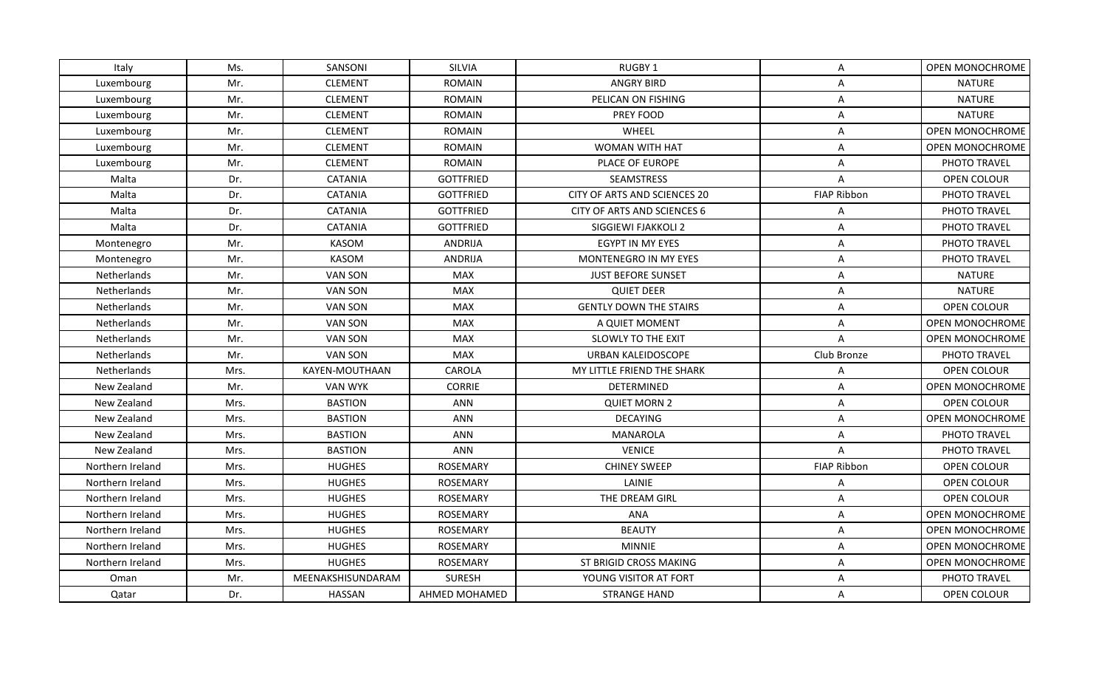| Italy              | Ms.  | SANSONI           | <b>SILVIA</b>    | <b>RUGBY 1</b>                | A                  | OPEN MONOCHROME    |
|--------------------|------|-------------------|------------------|-------------------------------|--------------------|--------------------|
| Luxembourg         | Mr.  | <b>CLEMENT</b>    | <b>ROMAIN</b>    | ANGRY BIRD                    | Α                  | <b>NATURE</b>      |
| Luxembourg         | Mr.  | <b>CLEMENT</b>    | <b>ROMAIN</b>    | PELICAN ON FISHING            | Α                  | <b>NATURE</b>      |
| Luxembourg         | Mr.  | <b>CLEMENT</b>    | <b>ROMAIN</b>    | PREY FOOD                     | A                  | <b>NATURE</b>      |
| Luxembourg         | Mr.  | <b>CLEMENT</b>    | <b>ROMAIN</b>    | WHEEL                         | Α                  | OPEN MONOCHROME    |
| Luxembourg         | Mr.  | <b>CLEMENT</b>    | <b>ROMAIN</b>    | WOMAN WITH HAT                | A                  | OPEN MONOCHROME    |
| Luxembourg         | Mr.  | <b>CLEMENT</b>    | <b>ROMAIN</b>    | PLACE OF EUROPE               | Α                  | PHOTO TRAVEL       |
| Malta              | Dr.  | <b>CATANIA</b>    | <b>GOTTFRIED</b> | SEAMSTRESS                    | A                  | <b>OPEN COLOUR</b> |
| Malta              | Dr.  | <b>CATANIA</b>    | <b>GOTTFRIED</b> | CITY OF ARTS AND SCIENCES 20  | <b>FIAP Ribbon</b> | PHOTO TRAVEL       |
| Malta              | Dr.  | CATANIA           | <b>GOTTFRIED</b> | CITY OF ARTS AND SCIENCES 6   | A                  | PHOTO TRAVEL       |
| Malta              | Dr.  | <b>CATANIA</b>    | <b>GOTTFRIED</b> | SIGGIEWI FJAKKOLI 2           | A                  | PHOTO TRAVEL       |
| Montenegro         | Mr.  | KASOM             | ANDRIJA          | EGYPT IN MY EYES              | Α                  | PHOTO TRAVEL       |
| Montenegro         | Mr.  | <b>KASOM</b>      | ANDRIJA          | MONTENEGRO IN MY EYES         | Α                  | PHOTO TRAVEL       |
| Netherlands        | Mr.  | <b>VAN SON</b>    | <b>MAX</b>       | <b>JUST BEFORE SUNSET</b>     | Α                  | <b>NATURE</b>      |
| Netherlands        | Mr.  | <b>VAN SON</b>    | <b>MAX</b>       | <b>QUIET DEER</b>             | Α                  | <b>NATURE</b>      |
| Netherlands        | Mr.  | <b>VAN SON</b>    | <b>MAX</b>       | <b>GENTLY DOWN THE STAIRS</b> | A                  | OPEN COLOUR        |
| Netherlands        | Mr.  | <b>VAN SON</b>    | <b>MAX</b>       | A QUIET MOMENT                | Α                  | OPEN MONOCHROME    |
| Netherlands        | Mr.  | <b>VAN SON</b>    | <b>MAX</b>       | <b>SLOWLY TO THE EXIT</b>     | A                  | OPEN MONOCHROME    |
| <b>Netherlands</b> | Mr.  | <b>VAN SON</b>    | <b>MAX</b>       | URBAN KALEIDOSCOPE            | Club Bronze        | PHOTO TRAVEL       |
| Netherlands        | Mrs. | KAYEN-MOUTHAAN    | CAROLA           | MY LITTLE FRIEND THE SHARK    | A                  | OPEN COLOUR        |
| New Zealand        | Mr.  | <b>VAN WYK</b>    | <b>CORRIE</b>    | DETERMINED                    | Α                  | OPEN MONOCHROME    |
| New Zealand        | Mrs. | <b>BASTION</b>    | ANN              | <b>QUIET MORN 2</b>           | Α                  | OPEN COLOUR        |
| New Zealand        | Mrs. | <b>BASTION</b>    | ANN              | <b>DECAYING</b>               | Α                  | OPEN MONOCHROME    |
| New Zealand        | Mrs. | <b>BASTION</b>    | ANN              | MANAROLA                      | A                  | PHOTO TRAVEL       |
| New Zealand        | Mrs. | <b>BASTION</b>    | ANN              | <b>VENICE</b>                 | A                  | PHOTO TRAVEL       |
| Northern Ireland   | Mrs. | <b>HUGHES</b>     | ROSEMARY         | <b>CHINEY SWEEP</b>           | FIAP Ribbon        | OPEN COLOUR        |
| Northern Ireland   | Mrs. | <b>HUGHES</b>     | <b>ROSEMARY</b>  | LAINIE                        | Α                  | OPEN COLOUR        |
| Northern Ireland   | Mrs. | <b>HUGHES</b>     | <b>ROSEMARY</b>  | THE DREAM GIRL                | Α                  | OPEN COLOUR        |
| Northern Ireland   | Mrs. | <b>HUGHES</b>     | ROSEMARY         | <b>ANA</b>                    | A                  | OPEN MONOCHROME    |
| Northern Ireland   | Mrs. | <b>HUGHES</b>     | ROSEMARY         | <b>BEAUTY</b>                 | A                  | OPEN MONOCHROME    |
| Northern Ireland   | Mrs. | <b>HUGHES</b>     | ROSEMARY         | <b>MINNIE</b>                 | Α                  | OPEN MONOCHROME    |
| Northern Ireland   | Mrs. | <b>HUGHES</b>     | ROSEMARY         | ST BRIGID CROSS MAKING        | A                  | OPEN MONOCHROME    |
| Oman               | Mr.  | MEENAKSHISUNDARAM | <b>SURESH</b>    | YOUNG VISITOR AT FORT         | Α                  | PHOTO TRAVEL       |
| Qatar              | Dr.  | <b>HASSAN</b>     | AHMED MOHAMED    | <b>STRANGE HAND</b>           | A                  | OPEN COLOUR        |
|                    |      |                   |                  |                               |                    |                    |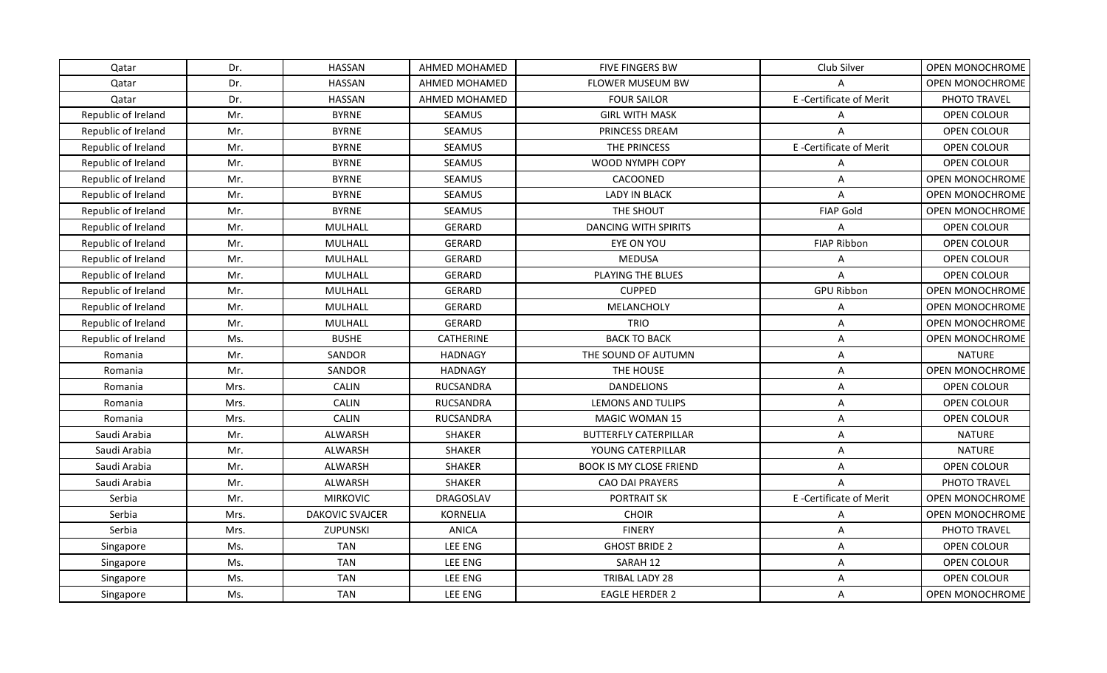| Qatar               | Dr.  | <b>HASSAN</b>          | AHMED MOHAMED    | <b>FIVE FINGERS BW</b>       | Club Silver            | OPEN MONOCHROME    |
|---------------------|------|------------------------|------------------|------------------------------|------------------------|--------------------|
| Qatar               | Dr.  | <b>HASSAN</b>          | AHMED MOHAMED    | <b>FLOWER MUSEUM BW</b>      |                        | OPEN MONOCHROME    |
| Qatar               | Dr.  | <b>HASSAN</b>          | AHMED MOHAMED    | <b>FOUR SAILOR</b>           | E-Certificate of Merit | PHOTO TRAVEL       |
| Republic of Ireland | Mr.  | <b>BYRNE</b>           | <b>SEAMUS</b>    | <b>GIRL WITH MASK</b>        |                        | OPEN COLOUR        |
| Republic of Ireland | Mr.  | <b>BYRNE</b>           | SEAMUS           | PRINCESS DREAM               | $\overline{A}$         | <b>OPEN COLOUR</b> |
| Republic of Ireland | Mr.  | <b>BYRNE</b>           | SEAMUS           | THE PRINCESS                 | E-Certificate of Merit | OPEN COLOUR        |
| Republic of Ireland | Mr.  | <b>BYRNE</b>           | SEAMUS           | WOOD NYMPH COPY              | A                      | OPEN COLOUR        |
| Republic of Ireland | Mr.  | <b>BYRNE</b>           | SEAMUS           | CACOONED                     | A                      | OPEN MONOCHROME    |
| Republic of Ireland | Mr.  | <b>BYRNE</b>           | SEAMUS           | <b>LADY IN BLACK</b>         | A                      | OPEN MONOCHROME    |
| Republic of Ireland | Mr.  | <b>BYRNE</b>           | SEAMUS           | THE SHOUT                    | <b>FIAP Gold</b>       | OPEN MONOCHROME    |
| Republic of Ireland | Mr.  | MULHALL                | <b>GERARD</b>    | DANCING WITH SPIRITS         |                        | OPEN COLOUR        |
| Republic of Ireland | Mr.  | MULHALL                | <b>GERARD</b>    | EYE ON YOU                   | <b>FIAP Ribbon</b>     | OPEN COLOUR        |
| Republic of Ireland | Mr.  | MULHALL                | <b>GERARD</b>    | <b>MEDUSA</b>                | A                      | OPEN COLOUR        |
| Republic of Ireland | Mr.  | MULHALL                | <b>GERARD</b>    | PLAYING THE BLUES            | A                      | OPEN COLOUR        |
| Republic of Ireland | Mr.  | MULHALL                | <b>GERARD</b>    | <b>CUPPED</b>                | <b>GPU Ribbon</b>      | OPEN MONOCHROME    |
| Republic of Ireland | Mr.  | MULHALL                | <b>GERARD</b>    | MELANCHOLY                   | A                      | OPEN MONOCHROME    |
| Republic of Ireland | Mr.  | MULHALL                | <b>GERARD</b>    | <b>TRIO</b>                  | A                      | OPEN MONOCHROME    |
| Republic of Ireland | Ms.  | <b>BUSHE</b>           | CATHERINE        | <b>BACK TO BACK</b>          | Α                      | OPEN MONOCHROME    |
| Romania             | Mr.  | SANDOR                 | <b>HADNAGY</b>   | THE SOUND OF AUTUMN          | A                      | <b>NATURE</b>      |
| Romania             | Mr.  | SANDOR                 | <b>HADNAGY</b>   | THE HOUSE                    | A                      | OPEN MONOCHROME    |
| Romania             | Mrs. | CALIN                  | RUCSANDRA        | <b>DANDELIONS</b>            | Α                      | OPEN COLOUR        |
| Romania             | Mrs. | <b>CALIN</b>           | <b>RUCSANDRA</b> | <b>LEMONS AND TULIPS</b>     | A                      | OPEN COLOUR        |
| Romania             | Mrs. | <b>CALIN</b>           | <b>RUCSANDRA</b> | <b>MAGIC WOMAN 15</b>        | Α                      | OPEN COLOUR        |
| Saudi Arabia        | Mr.  | ALWARSH                | SHAKER           | <b>BUTTERFLY CATERPILLAR</b> | A                      | <b>NATURE</b>      |
| Saudi Arabia        | Mr.  | ALWARSH                | SHAKER           | YOUNG CATERPILLAR            | A                      | <b>NATURE</b>      |
| Saudi Arabia        | Mr.  | ALWARSH                | SHAKER           | BOOK IS MY CLOSE FRIEND      | Α                      | OPEN COLOUR        |
| Saudi Arabia        | Mr.  | ALWARSH                | SHAKER           | CAO DAI PRAYERS              | A                      | PHOTO TRAVEL       |
| Serbia              | Mr.  | <b>MIRKOVIC</b>        | DRAGOSLAV        | <b>PORTRAIT SK</b>           | E-Certificate of Merit | OPEN MONOCHROME    |
| Serbia              | Mrs. | <b>DAKOVIC SVAJCER</b> | <b>KORNELIA</b>  | <b>CHOIR</b>                 |                        | OPEN MONOCHROME    |
| Serbia              | Mrs. | ZUPUNSKI               | ANICA            | <b>FINERY</b>                | A                      | PHOTO TRAVEL       |
| Singapore           | Ms.  | <b>TAN</b>             | LEE ENG          | <b>GHOST BRIDE 2</b>         | Α                      | OPEN COLOUR        |
| Singapore           | Ms.  | <b>TAN</b>             | LEE ENG          | SARAH 12                     | A                      | OPEN COLOUR        |
| Singapore           | Ms.  | <b>TAN</b>             | LEE ENG          | TRIBAL LADY 28               | A                      | OPEN COLOUR        |
| Singapore           | Ms.  | <b>TAN</b>             | <b>LEE ENG</b>   | <b>EAGLE HERDER 2</b>        | A                      | OPEN MONOCHROME    |
|                     |      |                        |                  |                              |                        |                    |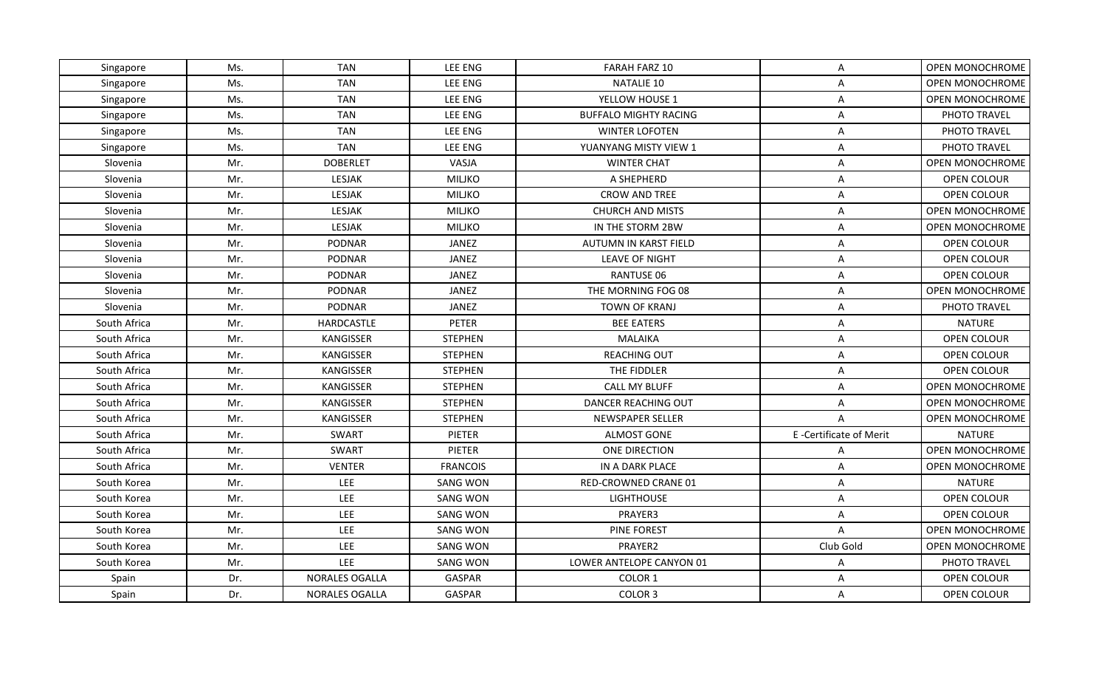| Singapore    | Ms. | TAN                   | LEE ENG         | <b>FARAH FARZ 10</b>         | A                      | OPEN MONOCHROME        |
|--------------|-----|-----------------------|-----------------|------------------------------|------------------------|------------------------|
| Singapore    | Ms. | <b>TAN</b>            | LEE ENG         | <b>NATALIE 10</b>            | A                      | OPEN MONOCHROME        |
| Singapore    | Ms. | <b>TAN</b>            | LEE ENG         | YELLOW HOUSE 1               | Α                      | OPEN MONOCHROME        |
| Singapore    | Ms. | <b>TAN</b>            | LEE ENG         | <b>BUFFALO MIGHTY RACING</b> | Α                      | <b>PHOTO TRAVEL</b>    |
| Singapore    | Ms. | TAN                   | LEE ENG         | <b>WINTER LOFOTEN</b>        | Α                      | PHOTO TRAVEL           |
| Singapore    | Ms. | TAN                   | LEE ENG         | YUANYANG MISTY VIEW 1        | A                      | PHOTO TRAVEL           |
| Slovenia     | Mr. | <b>DOBERLET</b>       | VASJA           | <b>WINTER CHAT</b>           | A                      | <b>OPEN MONOCHROME</b> |
| Slovenia     | Mr. | LESJAK                | <b>MILJKO</b>   | A SHEPHERD                   | Α                      | OPEN COLOUR            |
| Slovenia     | Mr. | LESJAK                | <b>MILJKO</b>   | <b>CROW AND TREE</b>         | A                      | OPEN COLOUR            |
| Slovenia     | Mr. | LESJAK                | <b>MILJKO</b>   | <b>CHURCH AND MISTS</b>      | Α                      | OPEN MONOCHROME        |
| Slovenia     | Mr. | LESJAK                | <b>MILJKO</b>   | IN THE STORM 2BW             | A                      | OPEN MONOCHROME        |
| Slovenia     | Mr. | PODNAR                | JANEZ           | AUTUMN IN KARST FIELD        | A                      | OPEN COLOUR            |
| Slovenia     | Mr. | PODNAR                | JANEZ           | <b>LEAVE OF NIGHT</b>        | Α                      | OPEN COLOUR            |
| Slovenia     | Mr. | <b>PODNAR</b>         | JANEZ           | RANTUSE 06                   | Α                      | OPEN COLOUR            |
| Slovenia     | Mr. | <b>PODNAR</b>         | JANEZ           | THE MORNING FOG 08           | Α                      | OPEN MONOCHROME        |
| Slovenia     | Mr. | PODNAR                | JANEZ           | TOWN OF KRANJ                | Α                      | PHOTO TRAVEL           |
| South Africa | Mr. | HARDCASTLE            | PETER           | <b>BEE EATERS</b>            | A                      | <b>NATURE</b>          |
| South Africa | Mr. | KANGISSER             | <b>STEPHEN</b>  | MALAIKA                      | Α                      | OPEN COLOUR            |
| South Africa | Mr. | KANGISSER             | <b>STEPHEN</b>  | <b>REACHING OUT</b>          | A                      | <b>OPEN COLOUR</b>     |
| South Africa | Mr. | KANGISSER             | <b>STEPHEN</b>  | THE FIDDLER                  | A                      | OPEN COLOUR            |
| South Africa | Mr. | KANGISSER             | <b>STEPHEN</b>  | <b>CALL MY BLUFF</b>         | Α                      | OPEN MONOCHROME        |
| South Africa | Mr. | KANGISSER             | <b>STEPHEN</b>  | DANCER REACHING OUT          | A                      | OPEN MONOCHROME        |
| South Africa | Mr. | KANGISSER             | <b>STEPHEN</b>  | <b>NEWSPAPER SELLER</b>      | A                      | OPEN MONOCHROME        |
| South Africa | Mr. | SWART                 | PIETER          | <b>ALMOST GONE</b>           | E-Certificate of Merit | NATURE                 |
| South Africa | Mr. | <b>SWART</b>          | PIETER          | ONE DIRECTION                | A                      | OPEN MONOCHROME        |
| South Africa | Mr. | <b>VENTER</b>         | <b>FRANCOIS</b> | IN A DARK PLACE              | Α                      | OPEN MONOCHROME        |
| South Korea  | Mr. | LEE                   | <b>SANG WON</b> | RED-CROWNED CRANE 01         | A                      | NATURE                 |
| South Korea  | Mr. | LEE                   | <b>SANG WON</b> | <b>LIGHTHOUSE</b>            | Α                      | OPEN COLOUR            |
| South Korea  | Mr. | LEE.                  | <b>SANG WON</b> | PRAYER3                      | A                      | OPEN COLOUR            |
| South Korea  | Mr. | LEE                   | <b>SANG WON</b> | PINE FOREST                  | $\mathsf{A}$           | OPEN MONOCHROME        |
| South Korea  | Mr. | LEE                   | <b>SANG WON</b> | PRAYER2                      | Club Gold              | OPEN MONOCHROME        |
| South Korea  | Mr. | <b>LEE</b>            | <b>SANG WON</b> | LOWER ANTELOPE CANYON 01     | A                      | PHOTO TRAVEL           |
| Spain        | Dr. | NORALES OGALLA        | GASPAR          | COLOR <sub>1</sub>           | A                      | OPEN COLOUR            |
| Spain        | Dr. | <b>NORALES OGALLA</b> | GASPAR          | COLOR 3                      | A                      | <b>OPEN COLOUR</b>     |
|              |     |                       |                 |                              |                        |                        |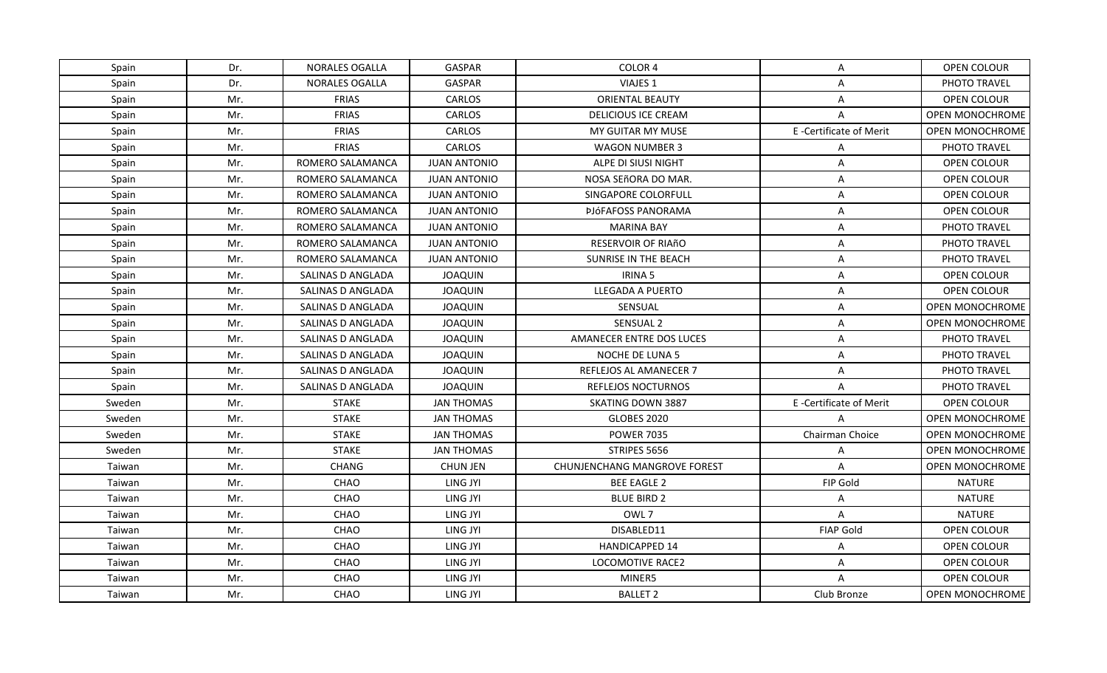| Spain  | Dr. | <b>NORALES OGALLA</b> | <b>GASPAR</b>       | COLOR <sub>4</sub>           | A                      | <b>OPEN COLOUR</b>     |
|--------|-----|-----------------------|---------------------|------------------------------|------------------------|------------------------|
| Spain  | Dr. | <b>NORALES OGALLA</b> | GASPAR              | VIAJES <sub>1</sub>          | Α                      | PHOTO TRAVEL           |
| Spain  | Mr. | <b>FRIAS</b>          | CARLOS              | <b>ORIENTAL BEAUTY</b>       | A                      | OPEN COLOUR            |
| Spain  | Mr. | <b>FRIAS</b>          | CARLOS              | DELICIOUS ICE CREAM          | A                      | OPEN MONOCHROME        |
| Spain  | Mr. | <b>FRIAS</b>          | CARLOS              | MY GUITAR MY MUSE            | E-Certificate of Merit | <b>OPEN MONOCHROME</b> |
| Spain  | Mr. | <b>FRIAS</b>          | <b>CARLOS</b>       | <b>WAGON NUMBER 3</b>        | Α                      | PHOTO TRAVEL           |
| Spain  | Mr. | ROMERO SALAMANCA      | <b>JUAN ANTONIO</b> | ALPE DI SIUSI NIGHT          | Α                      | <b>OPEN COLOUR</b>     |
| Spain  | Mr. | ROMERO SALAMANCA      | <b>JUAN ANTONIO</b> | NOSA SEñORA DO MAR.          | Α                      | OPEN COLOUR            |
| Spain  | Mr. | ROMERO SALAMANCA      | <b>JUAN ANTONIO</b> | SINGAPORE COLORFULL          | Α                      | <b>OPEN COLOUR</b>     |
| Spain  | Mr. | ROMERO SALAMANCA      | <b>JUAN ANTONIO</b> | <b>ÞJÓFAFOSS PANORAMA</b>    | A                      | OPEN COLOUR            |
| Spain  | Mr. | ROMERO SALAMANCA      | <b>JUAN ANTONIO</b> | <b>MARINA BAY</b>            | Α                      | PHOTO TRAVEL           |
| Spain  | Mr. | ROMERO SALAMANCA      | <b>JUAN ANTONIO</b> | RESERVOIR OF RIAñO           | Α                      | PHOTO TRAVEL           |
| Spain  | Mr. | ROMERO SALAMANCA      | <b>JUAN ANTONIO</b> | SUNRISE IN THE BEACH         | A                      | PHOTO TRAVEL           |
| Spain  | Mr. | SALINAS D ANGLADA     | <b>JOAQUIN</b>      | IRINA 5                      | Α                      | OPEN COLOUR            |
| Spain  | Mr. | SALINAS D ANGLADA     | <b>JOAQUIN</b>      | LLEGADA A PUERTO             | Α                      | <b>OPEN COLOUR</b>     |
| Spain  | Mr. | SALINAS D ANGLADA     | <b>JOAQUIN</b>      | SENSUAL                      | Α                      | OPEN MONOCHROME        |
| Spain  | Mr. | SALINAS D ANGLADA     | <b>JOAQUIN</b>      | SENSUAL 2                    | Α                      | OPEN MONOCHROME        |
| Spain  | Mr. | SALINAS D ANGLADA     | <b>JOAQUIN</b>      | AMANECER ENTRE DOS LUCES     | Α                      | PHOTO TRAVEL           |
| Spain  | Mr. | SALINAS D ANGLADA     | JOAQUIN             | NOCHE DE LUNA 5              | A                      | PHOTO TRAVEL           |
| Spain  | Mr. | SALINAS D ANGLADA     | JOAQUIN             | REFLEJOS AL AMANECER 7       | Α                      | PHOTO TRAVEL           |
| Spain  | Mr. | SALINAS D ANGLADA     | <b>JOAQUIN</b>      | REFLEJOS NOCTURNOS           | A                      | PHOTO TRAVEL           |
| Sweden | Mr. | <b>STAKE</b>          | <b>JAN THOMAS</b>   | <b>SKATING DOWN 3887</b>     | E-Certificate of Merit | OPEN COLOUR            |
| Sweden | Mr. | <b>STAKE</b>          | <b>JAN THOMAS</b>   | <b>GLOBES 2020</b>           | A                      | OPEN MONOCHROME        |
| Sweden | Mr. | <b>STAKE</b>          | <b>JAN THOMAS</b>   | <b>POWER 7035</b>            | Chairman Choice        | OPEN MONOCHROME        |
| Sweden | Mr. | <b>STAKE</b>          | <b>JAN THOMAS</b>   | STRIPES 5656                 | A                      | OPEN MONOCHROME        |
| Taiwan | Mr. | CHANG                 | <b>CHUN JEN</b>     | CHUNJENCHANG MANGROVE FOREST | A                      | OPEN MONOCHROME        |
| Taiwan | Mr. | CHAO                  | LING JYI            | <b>BEE EAGLE 2</b>           | FIP Gold               | <b>NATURE</b>          |
| Taiwan | Mr. | CHAO                  | LING JYI            | <b>BLUE BIRD 2</b>           | Α                      | <b>NATURE</b>          |
| Taiwan | Mr. | CHAO                  | LING JYI            | OWL 7                        | A                      | <b>NATURE</b>          |
| Taiwan | Mr. | CHAO                  | LING JYI            | DISABLED11                   | <b>FIAP Gold</b>       | <b>OPEN COLOUR</b>     |
| Taiwan | Mr. | CHAO                  | LING JYI            | <b>HANDICAPPED 14</b>        | Α                      | OPEN COLOUR            |
| Taiwan | Mr. | CHAO                  | LING JYI            | LOCOMOTIVE RACE2             | Α                      | OPEN COLOUR            |
| Taiwan | Mr. | CHAO                  | LING JYI            | MINER5                       | A                      | <b>OPEN COLOUR</b>     |
| Taiwan | Mr. | CHAO                  | LING JYI            | <b>BALLET 2</b>              | Club Bronze            | OPEN MONOCHROME        |
|        |     |                       |                     |                              |                        |                        |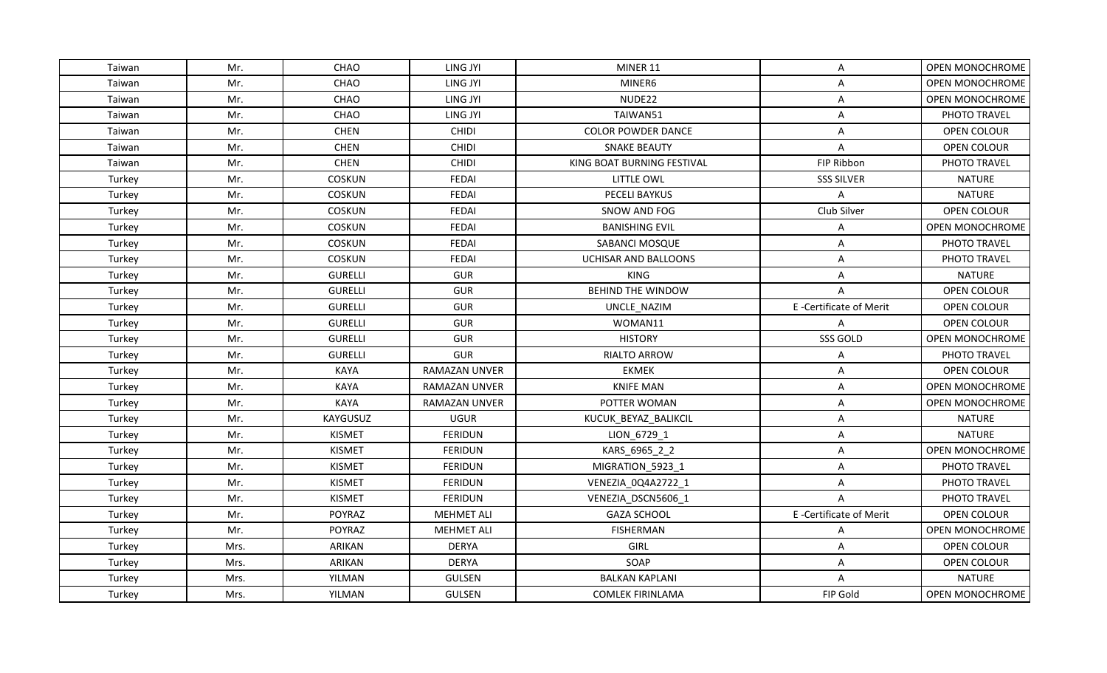| Taiwan<br>Mr.<br>CHAO<br>LING JYI<br>MINER 11<br>A<br>Mr.<br>CHAO<br>LING JYI<br>MINER6<br>Taiwan<br>A<br>NUDE22<br>CHAO<br>LING JYI<br>Taiwan<br>Mr.<br>Α<br>CHAO<br>Taiwan<br>Mr.<br>LING JYI<br>TAIWAN51<br>Α<br>PHOTO TRAVEL<br>Taiwan<br>Mr.<br><b>CHEN</b><br>CHIDI<br><b>COLOR POWDER DANCE</b><br>OPEN COLOUR<br>Α<br>Taiwan<br>Mr.<br><b>CHEN</b><br><b>CHIDI</b><br><b>SNAKE BEAUTY</b><br>OPEN COLOUR<br>A<br><b>CHEN</b><br>CHIDI<br>KING BOAT BURNING FESTIVAL<br>FIP Ribbon<br>PHOTO TRAVEL<br>Taiwan<br>Mr.<br>Mr.<br><b>COSKUN</b><br><b>FEDAI</b><br>LITTLE OWL<br><b>SSS SILVER</b><br><b>NATURE</b><br>Turkey<br>Turkey<br>Mr.<br>COSKUN<br><b>FEDAI</b><br>PECELI BAYKUS<br>A<br><b>NATURE</b><br>Club Silver<br>Turkey<br>Mr.<br><b>COSKUN</b><br>FEDAI<br>SNOW AND FOG<br>OPEN COLOUR<br>FEDAI<br>Turkey<br>Mr.<br><b>COSKUN</b><br><b>BANISHING EVIL</b><br>A<br>PHOTO TRAVEL<br>Turkey<br>Mr.<br><b>COSKUN</b><br><b>FEDAI</b><br>SABANCI MOSQUE<br>Α<br>Mr.<br><b>COSKUN</b><br>FEDAI<br>UCHISAR AND BALLOONS<br>PHOTO TRAVEL<br>Turkey<br>Α<br><b>GURELLI</b><br><b>KING</b><br><b>NATURE</b><br>Turkey<br>Mr.<br><b>GUR</b><br>Α<br>Turkey<br>Mr.<br><b>GURELLI</b><br><b>GUR</b><br><b>BEHIND THE WINDOW</b><br>OPEN COLOUR<br>A<br>Turkey<br>Mr.<br><b>GURELLI</b><br><b>GUR</b><br>E-Certificate of Merit<br>OPEN COLOUR<br>UNCLE_NAZIM<br>Mr.<br><b>GURELLI</b><br>GUR<br>WOMAN11<br>OPEN COLOUR<br>Turkey<br>Α<br><b>HISTORY</b><br>SSS GOLD<br>Mr.<br><b>GURELLI</b><br>Turkey<br><b>GUR</b><br>Turkey<br>Mr.<br><b>GURELLI</b><br><b>GUR</b><br>RIALTO ARROW<br>PHOTO TRAVEL<br>Α<br>Mr.<br>KAYA<br>RAMAZAN UNVER<br><b>EKMEK</b><br>OPEN COLOUR<br>Turkey<br>Α<br>Turkey<br>Mr.<br><b>KNIFE MAN</b><br>KAYA<br>RAMAZAN UNVER<br>Α<br><b>KAYA</b><br><b>RAMAZAN UNVER</b><br>POTTER WOMAN<br>Turkey<br>Mr.<br>Α<br>Mr.<br>KAYGUSUZ<br><b>UGUR</b><br><b>NATURE</b><br>Turkey<br>KUCUK_BEYAZ_BALIKCIL<br>Α<br>Turkey<br>Mr.<br><b>KISMET</b><br><b>FERIDUN</b><br>LION_6729_1<br><b>NATURE</b><br>Α<br><b>KISMET</b><br>KARS_6965_2_2<br>Turkey<br>Mr.<br><b>FERIDUN</b><br>Α<br>Mr.<br>PHOTO TRAVEL<br>Turkey<br><b>KISMET</b><br><b>FERIDUN</b><br>MIGRATION_5923_1<br>A<br><b>KISMET</b><br><b>FERIDUN</b><br>PHOTO TRAVEL<br>Turkey<br>Mr.<br>VENEZIA_0Q4A2722_1<br>Α<br><b>KISMET</b><br><b>FERIDUN</b><br>PHOTO TRAVEL<br>Turkey<br>Mr.<br>VENEZIA_DSCN5606_1<br>A<br>E-Certificate of Merit<br>Mr.<br>POYRAZ<br><b>MEHMET ALI</b><br><b>GAZA SCHOOL</b><br>OPEN COLOUR<br>Turkey<br>Turkey<br>Mr.<br>POYRAZ<br><b>MEHMET ALI</b><br><b>FISHERMAN</b><br>A<br><b>DERYA</b><br>OPEN COLOUR<br>Turkey<br>Mrs.<br>ARIKAN<br>GIRL<br>A<br><b>DERYA</b><br>SOAP<br>OPEN COLOUR<br>Turkey<br>Mrs.<br>ARIKAN<br>A<br>YILMAN<br><b>GULSEN</b><br><b>BALKAN KAPLANI</b><br><b>NATURE</b><br>Turkey<br>Mrs.<br>A<br>Turkey<br>YILMAN<br><b>GULSEN</b><br><b>COMLEK FIRINLAMA</b><br>FIP Gold<br>Mrs. |  |  |  |                 |
|-----------------------------------------------------------------------------------------------------------------------------------------------------------------------------------------------------------------------------------------------------------------------------------------------------------------------------------------------------------------------------------------------------------------------------------------------------------------------------------------------------------------------------------------------------------------------------------------------------------------------------------------------------------------------------------------------------------------------------------------------------------------------------------------------------------------------------------------------------------------------------------------------------------------------------------------------------------------------------------------------------------------------------------------------------------------------------------------------------------------------------------------------------------------------------------------------------------------------------------------------------------------------------------------------------------------------------------------------------------------------------------------------------------------------------------------------------------------------------------------------------------------------------------------------------------------------------------------------------------------------------------------------------------------------------------------------------------------------------------------------------------------------------------------------------------------------------------------------------------------------------------------------------------------------------------------------------------------------------------------------------------------------------------------------------------------------------------------------------------------------------------------------------------------------------------------------------------------------------------------------------------------------------------------------------------------------------------------------------------------------------------------------------------------------------------------------------------------------------------------------------------------------------------------------------------------------------------------------------------------------------------------------------------------------------------------------------------------------------------------------------------------------------------------------------------------------------------------------------------------------------------------------------------------------------------|--|--|--|-----------------|
|                                                                                                                                                                                                                                                                                                                                                                                                                                                                                                                                                                                                                                                                                                                                                                                                                                                                                                                                                                                                                                                                                                                                                                                                                                                                                                                                                                                                                                                                                                                                                                                                                                                                                                                                                                                                                                                                                                                                                                                                                                                                                                                                                                                                                                                                                                                                                                                                                                                                                                                                                                                                                                                                                                                                                                                                                                                                                                                                   |  |  |  | OPEN MONOCHROME |
|                                                                                                                                                                                                                                                                                                                                                                                                                                                                                                                                                                                                                                                                                                                                                                                                                                                                                                                                                                                                                                                                                                                                                                                                                                                                                                                                                                                                                                                                                                                                                                                                                                                                                                                                                                                                                                                                                                                                                                                                                                                                                                                                                                                                                                                                                                                                                                                                                                                                                                                                                                                                                                                                                                                                                                                                                                                                                                                                   |  |  |  | OPEN MONOCHROME |
|                                                                                                                                                                                                                                                                                                                                                                                                                                                                                                                                                                                                                                                                                                                                                                                                                                                                                                                                                                                                                                                                                                                                                                                                                                                                                                                                                                                                                                                                                                                                                                                                                                                                                                                                                                                                                                                                                                                                                                                                                                                                                                                                                                                                                                                                                                                                                                                                                                                                                                                                                                                                                                                                                                                                                                                                                                                                                                                                   |  |  |  | OPEN MONOCHROME |
|                                                                                                                                                                                                                                                                                                                                                                                                                                                                                                                                                                                                                                                                                                                                                                                                                                                                                                                                                                                                                                                                                                                                                                                                                                                                                                                                                                                                                                                                                                                                                                                                                                                                                                                                                                                                                                                                                                                                                                                                                                                                                                                                                                                                                                                                                                                                                                                                                                                                                                                                                                                                                                                                                                                                                                                                                                                                                                                                   |  |  |  |                 |
|                                                                                                                                                                                                                                                                                                                                                                                                                                                                                                                                                                                                                                                                                                                                                                                                                                                                                                                                                                                                                                                                                                                                                                                                                                                                                                                                                                                                                                                                                                                                                                                                                                                                                                                                                                                                                                                                                                                                                                                                                                                                                                                                                                                                                                                                                                                                                                                                                                                                                                                                                                                                                                                                                                                                                                                                                                                                                                                                   |  |  |  |                 |
|                                                                                                                                                                                                                                                                                                                                                                                                                                                                                                                                                                                                                                                                                                                                                                                                                                                                                                                                                                                                                                                                                                                                                                                                                                                                                                                                                                                                                                                                                                                                                                                                                                                                                                                                                                                                                                                                                                                                                                                                                                                                                                                                                                                                                                                                                                                                                                                                                                                                                                                                                                                                                                                                                                                                                                                                                                                                                                                                   |  |  |  |                 |
|                                                                                                                                                                                                                                                                                                                                                                                                                                                                                                                                                                                                                                                                                                                                                                                                                                                                                                                                                                                                                                                                                                                                                                                                                                                                                                                                                                                                                                                                                                                                                                                                                                                                                                                                                                                                                                                                                                                                                                                                                                                                                                                                                                                                                                                                                                                                                                                                                                                                                                                                                                                                                                                                                                                                                                                                                                                                                                                                   |  |  |  |                 |
|                                                                                                                                                                                                                                                                                                                                                                                                                                                                                                                                                                                                                                                                                                                                                                                                                                                                                                                                                                                                                                                                                                                                                                                                                                                                                                                                                                                                                                                                                                                                                                                                                                                                                                                                                                                                                                                                                                                                                                                                                                                                                                                                                                                                                                                                                                                                                                                                                                                                                                                                                                                                                                                                                                                                                                                                                                                                                                                                   |  |  |  |                 |
|                                                                                                                                                                                                                                                                                                                                                                                                                                                                                                                                                                                                                                                                                                                                                                                                                                                                                                                                                                                                                                                                                                                                                                                                                                                                                                                                                                                                                                                                                                                                                                                                                                                                                                                                                                                                                                                                                                                                                                                                                                                                                                                                                                                                                                                                                                                                                                                                                                                                                                                                                                                                                                                                                                                                                                                                                                                                                                                                   |  |  |  |                 |
|                                                                                                                                                                                                                                                                                                                                                                                                                                                                                                                                                                                                                                                                                                                                                                                                                                                                                                                                                                                                                                                                                                                                                                                                                                                                                                                                                                                                                                                                                                                                                                                                                                                                                                                                                                                                                                                                                                                                                                                                                                                                                                                                                                                                                                                                                                                                                                                                                                                                                                                                                                                                                                                                                                                                                                                                                                                                                                                                   |  |  |  |                 |
|                                                                                                                                                                                                                                                                                                                                                                                                                                                                                                                                                                                                                                                                                                                                                                                                                                                                                                                                                                                                                                                                                                                                                                                                                                                                                                                                                                                                                                                                                                                                                                                                                                                                                                                                                                                                                                                                                                                                                                                                                                                                                                                                                                                                                                                                                                                                                                                                                                                                                                                                                                                                                                                                                                                                                                                                                                                                                                                                   |  |  |  | OPEN MONOCHROME |
|                                                                                                                                                                                                                                                                                                                                                                                                                                                                                                                                                                                                                                                                                                                                                                                                                                                                                                                                                                                                                                                                                                                                                                                                                                                                                                                                                                                                                                                                                                                                                                                                                                                                                                                                                                                                                                                                                                                                                                                                                                                                                                                                                                                                                                                                                                                                                                                                                                                                                                                                                                                                                                                                                                                                                                                                                                                                                                                                   |  |  |  |                 |
|                                                                                                                                                                                                                                                                                                                                                                                                                                                                                                                                                                                                                                                                                                                                                                                                                                                                                                                                                                                                                                                                                                                                                                                                                                                                                                                                                                                                                                                                                                                                                                                                                                                                                                                                                                                                                                                                                                                                                                                                                                                                                                                                                                                                                                                                                                                                                                                                                                                                                                                                                                                                                                                                                                                                                                                                                                                                                                                                   |  |  |  |                 |
|                                                                                                                                                                                                                                                                                                                                                                                                                                                                                                                                                                                                                                                                                                                                                                                                                                                                                                                                                                                                                                                                                                                                                                                                                                                                                                                                                                                                                                                                                                                                                                                                                                                                                                                                                                                                                                                                                                                                                                                                                                                                                                                                                                                                                                                                                                                                                                                                                                                                                                                                                                                                                                                                                                                                                                                                                                                                                                                                   |  |  |  |                 |
|                                                                                                                                                                                                                                                                                                                                                                                                                                                                                                                                                                                                                                                                                                                                                                                                                                                                                                                                                                                                                                                                                                                                                                                                                                                                                                                                                                                                                                                                                                                                                                                                                                                                                                                                                                                                                                                                                                                                                                                                                                                                                                                                                                                                                                                                                                                                                                                                                                                                                                                                                                                                                                                                                                                                                                                                                                                                                                                                   |  |  |  |                 |
|                                                                                                                                                                                                                                                                                                                                                                                                                                                                                                                                                                                                                                                                                                                                                                                                                                                                                                                                                                                                                                                                                                                                                                                                                                                                                                                                                                                                                                                                                                                                                                                                                                                                                                                                                                                                                                                                                                                                                                                                                                                                                                                                                                                                                                                                                                                                                                                                                                                                                                                                                                                                                                                                                                                                                                                                                                                                                                                                   |  |  |  |                 |
|                                                                                                                                                                                                                                                                                                                                                                                                                                                                                                                                                                                                                                                                                                                                                                                                                                                                                                                                                                                                                                                                                                                                                                                                                                                                                                                                                                                                                                                                                                                                                                                                                                                                                                                                                                                                                                                                                                                                                                                                                                                                                                                                                                                                                                                                                                                                                                                                                                                                                                                                                                                                                                                                                                                                                                                                                                                                                                                                   |  |  |  |                 |
|                                                                                                                                                                                                                                                                                                                                                                                                                                                                                                                                                                                                                                                                                                                                                                                                                                                                                                                                                                                                                                                                                                                                                                                                                                                                                                                                                                                                                                                                                                                                                                                                                                                                                                                                                                                                                                                                                                                                                                                                                                                                                                                                                                                                                                                                                                                                                                                                                                                                                                                                                                                                                                                                                                                                                                                                                                                                                                                                   |  |  |  | OPEN MONOCHROME |
|                                                                                                                                                                                                                                                                                                                                                                                                                                                                                                                                                                                                                                                                                                                                                                                                                                                                                                                                                                                                                                                                                                                                                                                                                                                                                                                                                                                                                                                                                                                                                                                                                                                                                                                                                                                                                                                                                                                                                                                                                                                                                                                                                                                                                                                                                                                                                                                                                                                                                                                                                                                                                                                                                                                                                                                                                                                                                                                                   |  |  |  |                 |
|                                                                                                                                                                                                                                                                                                                                                                                                                                                                                                                                                                                                                                                                                                                                                                                                                                                                                                                                                                                                                                                                                                                                                                                                                                                                                                                                                                                                                                                                                                                                                                                                                                                                                                                                                                                                                                                                                                                                                                                                                                                                                                                                                                                                                                                                                                                                                                                                                                                                                                                                                                                                                                                                                                                                                                                                                                                                                                                                   |  |  |  |                 |
|                                                                                                                                                                                                                                                                                                                                                                                                                                                                                                                                                                                                                                                                                                                                                                                                                                                                                                                                                                                                                                                                                                                                                                                                                                                                                                                                                                                                                                                                                                                                                                                                                                                                                                                                                                                                                                                                                                                                                                                                                                                                                                                                                                                                                                                                                                                                                                                                                                                                                                                                                                                                                                                                                                                                                                                                                                                                                                                                   |  |  |  | OPEN MONOCHROME |
|                                                                                                                                                                                                                                                                                                                                                                                                                                                                                                                                                                                                                                                                                                                                                                                                                                                                                                                                                                                                                                                                                                                                                                                                                                                                                                                                                                                                                                                                                                                                                                                                                                                                                                                                                                                                                                                                                                                                                                                                                                                                                                                                                                                                                                                                                                                                                                                                                                                                                                                                                                                                                                                                                                                                                                                                                                                                                                                                   |  |  |  | OPEN MONOCHROME |
|                                                                                                                                                                                                                                                                                                                                                                                                                                                                                                                                                                                                                                                                                                                                                                                                                                                                                                                                                                                                                                                                                                                                                                                                                                                                                                                                                                                                                                                                                                                                                                                                                                                                                                                                                                                                                                                                                                                                                                                                                                                                                                                                                                                                                                                                                                                                                                                                                                                                                                                                                                                                                                                                                                                                                                                                                                                                                                                                   |  |  |  |                 |
|                                                                                                                                                                                                                                                                                                                                                                                                                                                                                                                                                                                                                                                                                                                                                                                                                                                                                                                                                                                                                                                                                                                                                                                                                                                                                                                                                                                                                                                                                                                                                                                                                                                                                                                                                                                                                                                                                                                                                                                                                                                                                                                                                                                                                                                                                                                                                                                                                                                                                                                                                                                                                                                                                                                                                                                                                                                                                                                                   |  |  |  |                 |
|                                                                                                                                                                                                                                                                                                                                                                                                                                                                                                                                                                                                                                                                                                                                                                                                                                                                                                                                                                                                                                                                                                                                                                                                                                                                                                                                                                                                                                                                                                                                                                                                                                                                                                                                                                                                                                                                                                                                                                                                                                                                                                                                                                                                                                                                                                                                                                                                                                                                                                                                                                                                                                                                                                                                                                                                                                                                                                                                   |  |  |  | OPEN MONOCHROME |
|                                                                                                                                                                                                                                                                                                                                                                                                                                                                                                                                                                                                                                                                                                                                                                                                                                                                                                                                                                                                                                                                                                                                                                                                                                                                                                                                                                                                                                                                                                                                                                                                                                                                                                                                                                                                                                                                                                                                                                                                                                                                                                                                                                                                                                                                                                                                                                                                                                                                                                                                                                                                                                                                                                                                                                                                                                                                                                                                   |  |  |  |                 |
|                                                                                                                                                                                                                                                                                                                                                                                                                                                                                                                                                                                                                                                                                                                                                                                                                                                                                                                                                                                                                                                                                                                                                                                                                                                                                                                                                                                                                                                                                                                                                                                                                                                                                                                                                                                                                                                                                                                                                                                                                                                                                                                                                                                                                                                                                                                                                                                                                                                                                                                                                                                                                                                                                                                                                                                                                                                                                                                                   |  |  |  |                 |
|                                                                                                                                                                                                                                                                                                                                                                                                                                                                                                                                                                                                                                                                                                                                                                                                                                                                                                                                                                                                                                                                                                                                                                                                                                                                                                                                                                                                                                                                                                                                                                                                                                                                                                                                                                                                                                                                                                                                                                                                                                                                                                                                                                                                                                                                                                                                                                                                                                                                                                                                                                                                                                                                                                                                                                                                                                                                                                                                   |  |  |  |                 |
|                                                                                                                                                                                                                                                                                                                                                                                                                                                                                                                                                                                                                                                                                                                                                                                                                                                                                                                                                                                                                                                                                                                                                                                                                                                                                                                                                                                                                                                                                                                                                                                                                                                                                                                                                                                                                                                                                                                                                                                                                                                                                                                                                                                                                                                                                                                                                                                                                                                                                                                                                                                                                                                                                                                                                                                                                                                                                                                                   |  |  |  |                 |
|                                                                                                                                                                                                                                                                                                                                                                                                                                                                                                                                                                                                                                                                                                                                                                                                                                                                                                                                                                                                                                                                                                                                                                                                                                                                                                                                                                                                                                                                                                                                                                                                                                                                                                                                                                                                                                                                                                                                                                                                                                                                                                                                                                                                                                                                                                                                                                                                                                                                                                                                                                                                                                                                                                                                                                                                                                                                                                                                   |  |  |  | OPEN MONOCHROME |
|                                                                                                                                                                                                                                                                                                                                                                                                                                                                                                                                                                                                                                                                                                                                                                                                                                                                                                                                                                                                                                                                                                                                                                                                                                                                                                                                                                                                                                                                                                                                                                                                                                                                                                                                                                                                                                                                                                                                                                                                                                                                                                                                                                                                                                                                                                                                                                                                                                                                                                                                                                                                                                                                                                                                                                                                                                                                                                                                   |  |  |  |                 |
|                                                                                                                                                                                                                                                                                                                                                                                                                                                                                                                                                                                                                                                                                                                                                                                                                                                                                                                                                                                                                                                                                                                                                                                                                                                                                                                                                                                                                                                                                                                                                                                                                                                                                                                                                                                                                                                                                                                                                                                                                                                                                                                                                                                                                                                                                                                                                                                                                                                                                                                                                                                                                                                                                                                                                                                                                                                                                                                                   |  |  |  |                 |
|                                                                                                                                                                                                                                                                                                                                                                                                                                                                                                                                                                                                                                                                                                                                                                                                                                                                                                                                                                                                                                                                                                                                                                                                                                                                                                                                                                                                                                                                                                                                                                                                                                                                                                                                                                                                                                                                                                                                                                                                                                                                                                                                                                                                                                                                                                                                                                                                                                                                                                                                                                                                                                                                                                                                                                                                                                                                                                                                   |  |  |  |                 |
|                                                                                                                                                                                                                                                                                                                                                                                                                                                                                                                                                                                                                                                                                                                                                                                                                                                                                                                                                                                                                                                                                                                                                                                                                                                                                                                                                                                                                                                                                                                                                                                                                                                                                                                                                                                                                                                                                                                                                                                                                                                                                                                                                                                                                                                                                                                                                                                                                                                                                                                                                                                                                                                                                                                                                                                                                                                                                                                                   |  |  |  | OPEN MONOCHROME |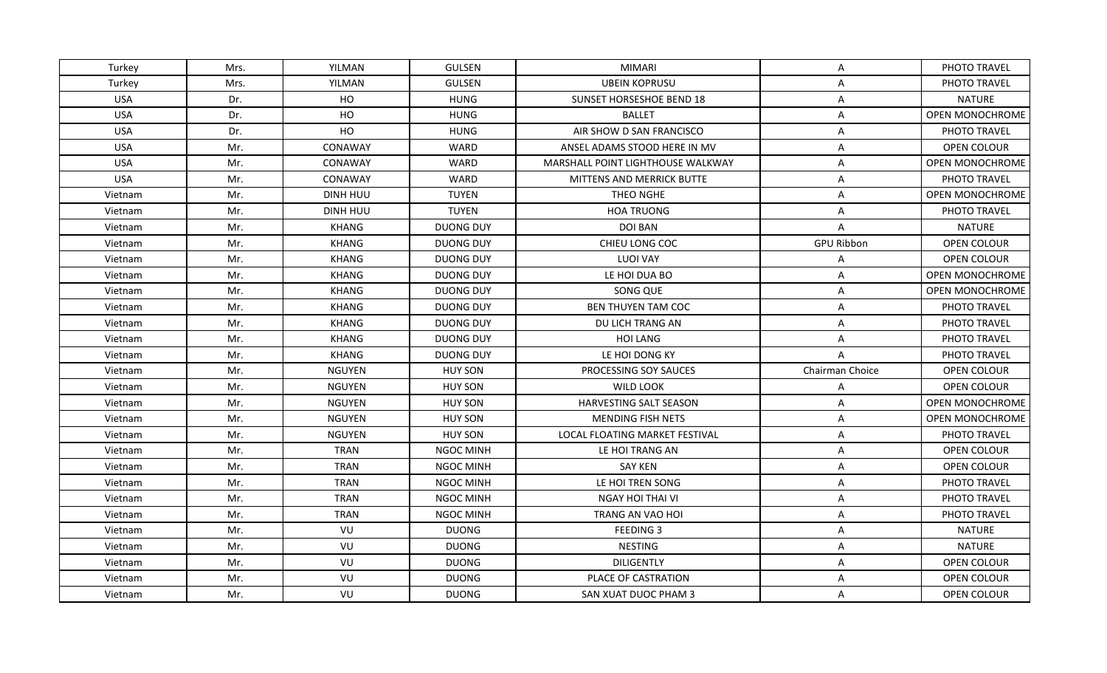| Turkey     | Mrs. | YILMAN        | <b>GULSEN</b>    | MIMARI                            | A                 | PHOTO TRAVEL           |
|------------|------|---------------|------------------|-----------------------------------|-------------------|------------------------|
| Turkey     | Mrs. | YILMAN        | <b>GULSEN</b>    | <b>UBEIN KOPRUSU</b>              | A                 | PHOTO TRAVEL           |
| <b>USA</b> | Dr.  | HO            | <b>HUNG</b>      | SUNSET HORSESHOE BEND 18          | Α                 | <b>NATURE</b>          |
| <b>USA</b> | Dr.  | HO            | HUNG             | <b>BALLET</b>                     | A                 | <b>OPEN MONOCHROME</b> |
| <b>USA</b> | Dr.  | HO            | <b>HUNG</b>      | AIR SHOW D SAN FRANCISCO          | Α                 | PHOTO TRAVEL           |
| <b>USA</b> | Mr.  | CONAWAY       | WARD             | ANSEL ADAMS STOOD HERE IN MV      | A                 | <b>OPEN COLOUR</b>     |
| <b>USA</b> | Mr.  | CONAWAY       | WARD             | MARSHALL POINT LIGHTHOUSE WALKWAY | A                 | <b>OPEN MONOCHROME</b> |
| <b>USA</b> | Mr.  | CONAWAY       | WARD             | <b>MITTENS AND MERRICK BUTTE</b>  | Α                 | PHOTO TRAVEL           |
| Vietnam    | Mr.  | DINH HUU      | <b>TUYEN</b>     | THEO NGHE                         | A                 | <b>OPEN MONOCHROME</b> |
| Vietnam    | Mr.  | DINH HUU      | <b>TUYEN</b>     | <b>HOA TRUONG</b>                 | Α                 | PHOTO TRAVEL           |
| Vietnam    | Mr.  | <b>KHANG</b>  | DUONG DUY        | DOI BAN                           | A                 | <b>NATURE</b>          |
| Vietnam    | Mr.  | <b>KHANG</b>  | <b>DUONG DUY</b> | CHIEU LONG COC                    | <b>GPU Ribbon</b> | <b>OPEN COLOUR</b>     |
| Vietnam    | Mr.  | <b>KHANG</b>  | <b>DUONG DUY</b> | <b>LUOI VAY</b>                   | Α                 | OPEN COLOUR            |
| Vietnam    | Mr.  | <b>KHANG</b>  | <b>DUONG DUY</b> | LE HOI DUA BO                     | Α                 | OPEN MONOCHROME        |
| Vietnam    | Mr.  | <b>KHANG</b>  | <b>DUONG DUY</b> | SONG QUE                          | Α                 | OPEN MONOCHROME        |
| Vietnam    | Mr.  | <b>KHANG</b>  | DUONG DUY        | <b>BEN THUYEN TAM COC</b>         | Α                 | PHOTO TRAVEL           |
| Vietnam    | Mr.  | <b>KHANG</b>  | <b>DUONG DUY</b> | DU LICH TRANG AN                  | A                 | PHOTO TRAVEL           |
| Vietnam    | Mr.  | <b>KHANG</b>  | <b>DUONG DUY</b> | <b>HOI LANG</b>                   | Α                 | PHOTO TRAVEL           |
| Vietnam    | Mr.  | <b>KHANG</b>  | DUONG DUY        | LE HOI DONG KY                    | A                 | <b>PHOTO TRAVEL</b>    |
| Vietnam    | Mr.  | <b>NGUYEN</b> | <b>HUY SON</b>   | PROCESSING SOY SAUCES             | Chairman Choice   | <b>OPEN COLOUR</b>     |
| Vietnam    | Mr.  | <b>NGUYEN</b> | <b>HUY SON</b>   | WILD LOOK                         | A                 | OPEN COLOUR            |
| Vietnam    | Mr.  | NGUYEN        | <b>HUY SON</b>   | HARVESTING SALT SEASON            | A                 | OPEN MONOCHROME        |
| Vietnam    | Mr.  | NGUYEN        | <b>HUY SON</b>   | <b>MENDING FISH NETS</b>          | Α                 | <b>OPEN MONOCHROME</b> |
| Vietnam    | Mr.  | <b>NGUYEN</b> | <b>HUY SON</b>   | LOCAL FLOATING MARKET FESTIVAL    | A                 | PHOTO TRAVEL           |
| Vietnam    | Mr.  | <b>TRAN</b>   | <b>NGOC MINH</b> | LE HOI TRANG AN                   | A                 | <b>OPEN COLOUR</b>     |
| Vietnam    | Mr.  | <b>TRAN</b>   | <b>NGOC MINH</b> | <b>SAY KEN</b>                    | Α                 | <b>OPEN COLOUR</b>     |
| Vietnam    | Mr.  | <b>TRAN</b>   | <b>NGOC MINH</b> | LE HOI TREN SONG                  | A                 | PHOTO TRAVEL           |
| Vietnam    | Mr.  | <b>TRAN</b>   | NGOC MINH        | NGAY HOI THAI VI                  | Α                 | PHOTO TRAVEL           |
| Vietnam    | Mr.  | <b>TRAN</b>   | NGOC MINH        | TRANG AN VAO HOI                  | A                 | PHOTO TRAVEL           |
| Vietnam    | Mr.  | VU            | <b>DUONG</b>     | <b>FEEDING 3</b>                  | Α                 | <b>NATURE</b>          |
| Vietnam    | Mr.  | VU            | <b>DUONG</b>     | <b>NESTING</b>                    | Α                 | <b>NATURE</b>          |
| Vietnam    | Mr.  | VU            | <b>DUONG</b>     | <b>DILIGENTLY</b>                 | A                 | OPEN COLOUR            |
| Vietnam    | Mr.  | VU            | <b>DUONG</b>     | PLACE OF CASTRATION               | Α                 | OPEN COLOUR            |
| Vietnam    | Mr.  | VU            | <b>DUONG</b>     | SAN XUAT DUOC PHAM 3              | A                 | OPEN COLOUR            |
|            |      |               |                  |                                   |                   |                        |